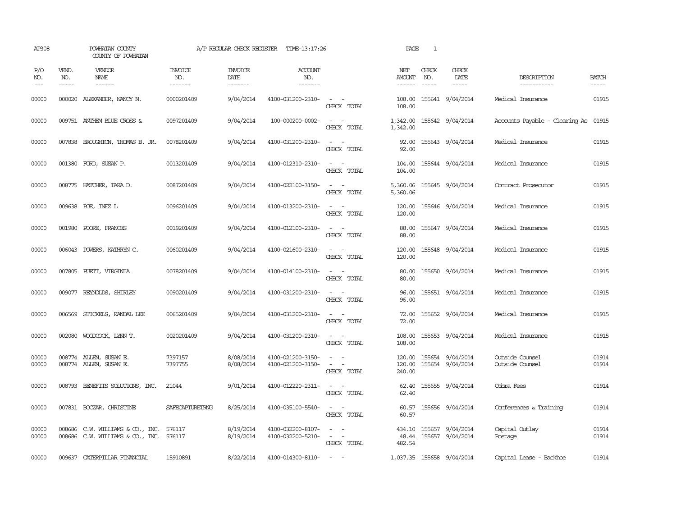| AP308               |                               | POWHATAN COUNTY<br>COUNTY OF POWHATAN                                |                                  | A/P REGULAR CHECK REGISTER         | TIME-13:17:26                          |                                                                                                                                            | PAGE                           | $\mathbf{1}$                  |                                      |                                      |                             |
|---------------------|-------------------------------|----------------------------------------------------------------------|----------------------------------|------------------------------------|----------------------------------------|--------------------------------------------------------------------------------------------------------------------------------------------|--------------------------------|-------------------------------|--------------------------------------|--------------------------------------|-----------------------------|
| P/O<br>NO.<br>$---$ | VEND.<br>NO.<br>$\frac{1}{2}$ | <b>VENDOR</b><br>NAME<br>$- - - - - -$                               | <b>INVOICE</b><br>NO.<br>------- | <b>INVOICE</b><br>DATE<br>-------- | <b>ACCOUNT</b><br>NO.<br>-------       |                                                                                                                                            | NET<br>AMOUNT<br>$- - - - - -$ | CHECK<br>NO.<br>$\frac{1}{2}$ | CHECK<br>DATE<br>$- - - - -$         | DESCRIPTION<br>-----------           | <b>BATCH</b><br>$- - - - -$ |
| 00000               |                               | 000020 ALEXANDER, NANCY N.                                           | 0000201409                       | 9/04/2014                          | 4100-031200-2310-                      | $\omega_{\rm{max}}$ and $\omega_{\rm{max}}$<br>CHECK TOTAL                                                                                 | 108.00                         |                               | 108.00 155641 9/04/2014              | Medical Insurance                    | 01915                       |
| 00000               |                               | 009751 ANTHEM BLUE CROSS &                                           | 0097201409                       | 9/04/2014                          | 100-000200-0002-                       | $\omega_{\rm{max}}$ and $\omega_{\rm{max}}$<br>CHECK TOTAL                                                                                 | 1,342.00                       |                               | 1,342.00 155642 9/04/2014            | Accounts Payable - Clearing Ac 01915 |                             |
| 00000               |                               | 007838 BROUGHTON, THOMAS B. JR.                                      | 0078201409                       | 9/04/2014                          | 4100-031200-2310-                      | $\sim$ $ \sim$<br>CHECK TOTAL                                                                                                              | 92.00<br>92.00                 |                               | 155643 9/04/2014                     | Medical Insurance                    | 01915                       |
| 00000               |                               | 001380 FORD, SUSAN P.                                                | 0013201409                       | 9/04/2014                          | 4100-012310-2310-                      | $\sim$ $ \sim$<br>CHECK TOTAL                                                                                                              | 104.00<br>104.00               |                               | 155644 9/04/2014                     | Medical Insurance                    | 01915                       |
| 00000               |                               | 008775 HATCHER, TARA D.                                              | 0087201409                       | 9/04/2014                          | 4100-022100-3150-                      | $\sim$<br>$\sim$<br>CHECK TOTAL                                                                                                            | 5,360.06<br>5,360.06           |                               | 155645 9/04/2014                     | Contract Prosecutor                  | 01915                       |
| 00000               |                               | 009638 POE, INEZ L                                                   | 0096201409                       | 9/04/2014                          | 4100-013200-2310-                      | $\sim$ $ \sim$<br>CHECK TOTAL                                                                                                              | 120.00<br>120.00               |                               | 155646 9/04/2014                     | Medical Insurance                    | 01915                       |
| 00000               |                               | 001980 POORE, FRANCES                                                | 0019201409                       | 9/04/2014                          | 4100-012100-2310-                      | $\sim$ $ -$<br>CHECK TOTAL                                                                                                                 | 88.00<br>88.00                 |                               | 155647 9/04/2014                     | Medical Insurance                    | 01915                       |
| 00000               |                               | 006043 POWERS, KATHRYN C.                                            | 0060201409                       | 9/04/2014                          | 4100-021600-2310-                      | $\omega_{\rm{max}}$ and $\omega_{\rm{max}}$<br>CHECK TOTAL                                                                                 | 120.00<br>120.00               |                               | 155648 9/04/2014                     | Medical Insurance                    | 01915                       |
| 00000               |                               | 007805 PUEIT, VIRGINIA                                               | 0078201409                       | 9/04/2014                          | 4100-014100-2310-                      | $\sim$ $\sim$<br>CHECK TOTAL                                                                                                               | 80.00<br>80.00                 |                               | 155650 9/04/2014                     | Medical Insurance                    | 01915                       |
| 00000               |                               | 009077 REYNOLDS, SHIRLEY                                             | 0090201409                       | 9/04/2014                          | 4100-031200-2310-                      | $\sim$ 100 $\sim$<br>CHECK TOTAL                                                                                                           | 96.00<br>96.00                 |                               | 155651 9/04/2014                     | Medical Insurance                    | 01915                       |
| 00000               | 006569                        | STICKELS, RANDAL LEE                                                 | 0065201409                       | 9/04/2014                          | 4100-031200-2310-                      | $\equiv$<br>CHECK TOTAL                                                                                                                    | 72.00<br>72.00                 |                               | 155652 9/04/2014                     | Medical Insurance                    | 01915                       |
| 00000               |                               | 002080 WOODCOCK, LYNN T.                                             | 0020201409                       | 9/04/2014                          | 4100-031200-2310-                      | $\omega_{\rm{max}}$ and $\omega_{\rm{max}}$<br>CHECK TOTAL                                                                                 | 108.00<br>108.00               |                               | 155653 9/04/2014                     | Medical Insurance                    | 01915                       |
| 00000<br>00000      |                               | 008774 ALLEN, SUSAN E.<br>008774 ALLEN, SUSAN E.                     | 7397157<br>7397755               | 8/08/2014<br>8/08/2014             | 4100-021200-3150-<br>4100-021200-3150- | $\omega_{\rm{max}}$ and $\omega_{\rm{max}}$<br>$\sim$ $ \sim$<br>CHECK TOTAL                                                               | 120.00<br>120.00<br>240.00     |                               | 155654 9/04/2014<br>155654 9/04/2014 | Outside Counsel<br>Outside Counsel   | 01914<br>01914              |
| 00000               |                               | 008793 BENEFITS SOLUTIONS, INC.                                      | 21044                            | 9/01/2014                          | 4100-012220-2311-                      | $\sim$ $  -$<br>CHECK TOTAL                                                                                                                | 62.40<br>62.40                 |                               | 155655 9/04/2014                     | Cobra Fees                           | 01914                       |
| 00000               |                               | 007831 BOCZAR, CHRISTINE                                             | SAFECAPTURETRNG                  | 8/25/2014                          | 4100-035100-5540-                      | $\sim$ $ \sim$<br>CHECK TOTAL                                                                                                              | 60.57<br>60.57                 |                               | 155656 9/04/2014                     | Conferences & Training               | 01914                       |
| 00000<br>00000      | 008686                        | C.W. WILLIAMS & CO., INC.<br>008686 C.W. WILLIAMS & CO., INC. 576117 | 576117                           | 8/19/2014<br>8/19/2014             | 4100-032200-8107-<br>4100-032200-5210- | $\frac{1}{2} \left( \frac{1}{2} \right) \left( \frac{1}{2} \right) = \frac{1}{2} \left( \frac{1}{2} \right)$<br>$\sim$ $ -$<br>CHECK TOTAL | 434.10<br>48.44<br>482.54      |                               | 155657 9/04/2014<br>155657 9/04/2014 | Capital Outlay<br>Postage            | 01914<br>01914              |
| 00000               |                               | 009637 CATERPILLAR FINANCIAL                                         | 15910891                         | 8/22/2014                          | 4100-014300-8110-                      | $\sim$ $  -$                                                                                                                               |                                |                               | 1,037.35 155658 9/04/2014            | Capital Lease - Backhoe              | 01914                       |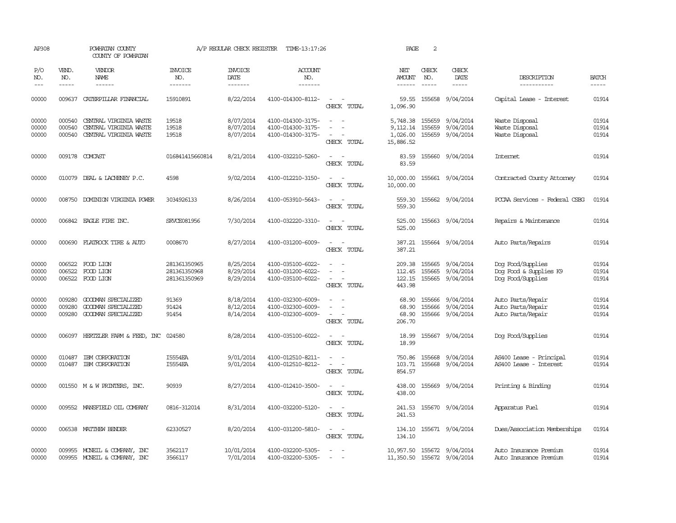| AP308                   |                               | POWHATAN COUNTY<br>COUNTY OF POWHATAN                                      |                                              | A/P REGULAR CHECK REGISTER          | TIME-13:17:26                                               |                                                   | PAGE                                          | 2                             |                                                                 |                                                                  |                         |
|-------------------------|-------------------------------|----------------------------------------------------------------------------|----------------------------------------------|-------------------------------------|-------------------------------------------------------------|---------------------------------------------------|-----------------------------------------------|-------------------------------|-----------------------------------------------------------------|------------------------------------------------------------------|-------------------------|
| P/O<br>NO.<br>$ -$      | VEND.<br>NO.<br>$\frac{1}{2}$ | VENDOR<br>NAME                                                             | <b>INVOICE</b><br>NO.<br>--------            | <b>INVOICE</b><br>DATE<br>--------  | ACCOUNT<br>NO.<br>-------                                   |                                                   | NET<br>AMOUNT<br>$- - - - - -$                | CHECK<br>NO.<br>$\frac{1}{2}$ | CHECK<br>DATE<br>$- - - - -$                                    | DESCRIPTION<br>-----------                                       | <b>BATCH</b><br>-----   |
| 00000                   | 009637                        | CATERPILLAR FINANCIAL                                                      | 15910891                                     | 8/22/2014                           | 4100-014300-8112-                                           | $\overline{\phantom{a}}$<br>CHECK TOTAL           | 59.55<br>1,096.90                             |                               | 155658 9/04/2014                                                | Capital Lease - Interest                                         | 01914                   |
| 00000<br>00000<br>00000 | 000540<br>000540<br>000540    | CENTRAL VIRGINIA WASTE<br>CENTRAL VIRGINIA WASTE<br>CENTRAL VIRGINIA WASTE | 19518<br>19518<br>19518                      | 8/07/2014<br>8/07/2014<br>8/07/2014 | 4100-014300-3175-<br>4100-014300-3175-<br>4100-014300-3175- | $\sim$<br>$\overline{\phantom{a}}$<br>CHECK TOTAL | 5,748.38<br>9,112.14<br>1,026.00<br>15,886.52 | 155659                        | 155659 9/04/2014<br>9/04/2014<br>155659 9/04/2014               | Waste Disposal<br>Waste Disposal<br>Waste Disposal               | 01914<br>01914<br>01914 |
| 00000                   |                               | 009178 COMCAST                                                             | 016841415660814                              | 8/21/2014                           | 4100-032210-5260-                                           | CHECK TOTAL                                       | 83.59<br>83.59                                |                               | 155660 9/04/2014                                                | <b>Internet</b>                                                  | 01914                   |
| 00000                   | 010079                        | DEAL & LACHENEY P.C.                                                       | 4598                                         | 9/02/2014                           | 4100-012210-3150-                                           | CHECK TOTAL                                       | 10,000.00<br>10,000.00                        |                               | 155661 9/04/2014                                                | Contracted County Attorney                                       | 01914                   |
| 00000                   | 008750                        | DOMINION VIRGINIA POWER                                                    | 3034926133                                   | 8/26/2014                           | 4100-053910-5643-                                           | $\sim$<br>CHECK TOTAL                             | 559.30<br>559.30                              |                               | 155662 9/04/2014                                                | PCCAA Services - Federal CSBG                                    | 01914                   |
| 00000                   |                               | 006842 EAGLE FIRE INC.                                                     | SRVCE081956                                  | 7/30/2014                           | 4100-032220-3310-                                           | $\equiv$<br>CHECK TOTAL                           | 525.00<br>525.00                              |                               | 155663 9/04/2014                                                | Repairs & Maintenance                                            | 01914                   |
| 00000                   | 000690                        | FLATROCK TIRE & AUTO                                                       | 0008670                                      | 8/27/2014                           | 4100-031200-6009-                                           | $\sim$<br>CHECK TOTAL                             | 387.21<br>387.21                              |                               | 155664 9/04/2014                                                | Auto Parts/Repairs                                               | 01914                   |
| 00000<br>00000<br>00000 | 006522<br>006522              | FOOD LION<br>FOOD LION<br>006522 FOOD LION                                 | 281361350965<br>281361350968<br>281361350969 | 8/25/2014<br>8/29/2014<br>8/29/2014 | 4100-035100-6022-<br>4100-031200-6022-<br>4100-035100-6022- | $\sim$<br>CHECK TOTAL                             | 209.38<br>112.45<br>443.98                    |                               | 155665 9/04/2014<br>155665 9/04/2014<br>122.15 155665 9/04/2014 | Dog Food/Supplies<br>Dog Food & Supplies K9<br>Dog Food/Supplies | 01914<br>01914<br>01914 |
| 00000<br>00000<br>00000 | 009280<br>009280<br>009280    | GOODMAN SPECIALIZED<br>GOODWAN SPECIALIZED<br>GOODMAN SPECIALIZED          | 91369<br>91424<br>91454                      | 8/18/2014<br>8/12/2014<br>8/14/2014 | 4100-032300-6009-<br>4100-032300-6009-<br>4100-032300-6009- | $\sim$<br>CHECK TOTAL                             | 68.90<br>68.90<br>68.90<br>206.70             | 155666                        | 155666 9/04/2014<br>9/04/2014<br>155666 9/04/2014               | Auto Parts/Repair<br>Auto Parts/Repair<br>Auto Parts/Repair      | 01914<br>01914<br>01914 |
| 00000                   |                               | 006097 HERTZLER FARM & FEED, INC                                           | 024580                                       | 8/28/2014                           | 4100-035100-6022-                                           | $\sim$<br>CHECK TOTAL                             | 18.99<br>18.99                                |                               | 155667 9/04/2014                                                | Dog Food/Supplies                                                | 01914                   |
| 00000<br>00000          | 010487                        | IBM CORPORATION<br>010487 IBM CORPORATION                                  | I5554EA<br><b>I5554EA</b>                    | 9/01/2014<br>9/01/2014              | 4100-012510-8211-<br>4100-012510-8212-                      | $\sim$<br>$\overline{\phantom{a}}$<br>CHECK TOTAL | 750.86<br>103.71<br>854.57                    | 155668                        | 9/04/2014<br>155668 9/04/2014                                   | AS400 Lease - Principal<br>AS400 Lease - Interest                | 01914<br>01914          |
| 00000                   |                               | 001550 M & W PRINTERS, INC.                                                | 90939                                        | 8/27/2014                           | 4100-012410-3500-                                           | CHECK TOTAL                                       | 438.00<br>438.00                              |                               | 155669 9/04/2014                                                | Printing & Binding                                               | 01914                   |
| 00000                   |                               | 009552 MANSFIELD OIL COMPANY                                               | 0816-312014                                  | 8/31/2014                           | 4100-032200-5120-                                           | $ -$<br>CHECK TOTAL                               | 241.53<br>241.53                              |                               | 155670 9/04/2014                                                | Apparatus Fuel                                                   | 01914                   |
| 00000                   |                               | 006538 MATTHEW BENDER                                                      | 62330527                                     | 8/20/2014                           | 4100-031200-5810-                                           | - -<br>CHECK TOTAL                                | 134.10<br>134.10                              |                               | 155671 9/04/2014                                                | Dues/Association Memberships                                     | 01914                   |
| 00000<br>00000          |                               | 009955 MONEIL & COMPANY, INC<br>009955 MONEIL & COMPANY, INC               | 3562117<br>3566117                           | 10/01/2014<br>7/01/2014             | 4100-032200-5305-<br>4100-032200-5305-                      | $\overline{a}$                                    |                                               |                               | 10,957.50 155672 9/04/2014<br>11,350.50 155672 9/04/2014        | Auto Insurance Premium<br>Auto Insurance Premium                 | 01914<br>01914          |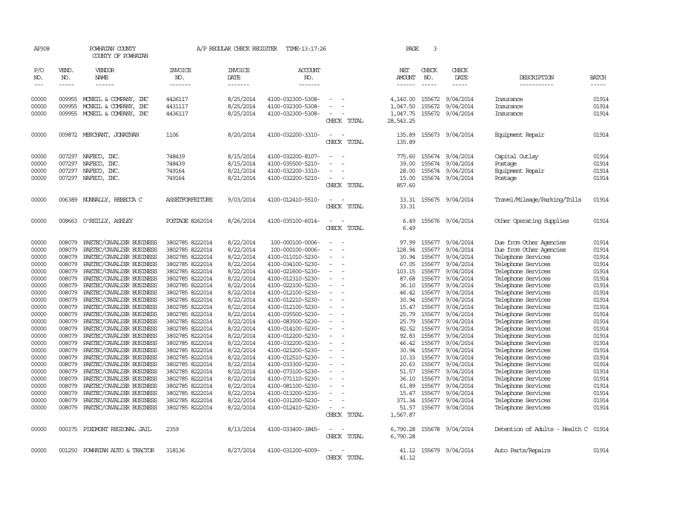| AP308               |              | POWHATAN COUNTY<br>COUNTY OF POWHATAN |                       | A/P REGULAR CHECK REGISTER | TIME-13:17:26         |                                         | PAGE                 | 3            |                  |                                |              |
|---------------------|--------------|---------------------------------------|-----------------------|----------------------------|-----------------------|-----------------------------------------|----------------------|--------------|------------------|--------------------------------|--------------|
| P/O<br>NO.          | VEND.<br>NO. | VENDOR<br><b>NAME</b>                 | <b>INVOICE</b><br>NO. | <b>INVOICE</b><br>DATE     | <b>ACCOUNT</b><br>NO. |                                         | NET<br><b>AMOUNT</b> | CHECK<br>NO. | CHECK<br>DATE    | DESCRIPTION                    | <b>BATCH</b> |
| $\qquad \qquad - -$ | $- - - - -$  | ------                                | -------               | -------                    | -------               |                                         | ------               | $- - - - -$  | -----            | -----------                    | -----        |
| 00000               | 009955       | MONEIL & COMPANY, INC                 | 4426117               | 8/25/2014                  | 4100-032300-5308-     | $\overline{\phantom{a}}$                | 4,140.00             |              | 155672 9/04/2014 | Insurance                      | 01914        |
| 00000               | 009955       | MONEIL & COMPANY, INC                 | 4431117               | 8/25/2014                  | 4100-032300-5308-     |                                         | 1,047.50             | 155672       | 9/04/2014        | Insurance                      | 01914        |
| 00000               |              | 009955 MONEIL & COMPANY, INC          | 4436117               | 8/25/2014                  | 4100-032300-5308-     |                                         | 1,047.75             |              | 155672 9/04/2014 | Insurance                      | 01914        |
|                     |              |                                       |                       |                            |                       | CHECK TOTAL                             | 28,543.25            |              |                  |                                |              |
| 00000               |              | 009872 MERCHANT, JONATHAN             | 1106                  | 8/20/2014                  | 4100-032200-3310-     | $\overline{\phantom{a}}$<br>CHECK TOTAL | 135.89<br>135.89     |              | 155673 9/04/2014 | Equipment Repair               | 01914        |
| 00000               | 007297       | NAFECO, INC.                          | 748439                | 8/15/2014                  | 4100-032200-8107-     |                                         | 775.60               |              | 155674 9/04/2014 | Capital Outlay                 | 01914        |
| 00000               | 007297       | NAFECO, INC.                          | 748439                | 8/15/2014                  | 4100-035500-5210-     |                                         | 39.00                |              | 155674 9/04/2014 | Postage                        | 01914        |
| 00000               | 007297       | NAFECO, INC.                          | 749164                | 8/21/2014                  | 4100-032200-3310-     | $\sim$                                  | 28.00                |              | 155674 9/04/2014 | Equipment Repair               | 01914        |
| 00000               | 007297       | NAFECO, INC.                          | 749164                | 8/21/2014                  | 4100-032200-5210-     | $\overline{\phantom{a}}$                | 15.00                |              | 155674 9/04/2014 | Postage                        | 01914        |
|                     |              |                                       |                       |                            |                       | CHECK TOTAL                             | 857.60               |              |                  |                                |              |
| 00000               |              | 006389 NUNNALLY, REBECCA C            | ASSETFORFEITURE       | 9/03/2014                  | 4100-012410-5510-     | $\equiv$                                | 33.31                |              | 155675 9/04/2014 | Travel/Mileage/Parking/Tolls   | 01914        |
|                     |              |                                       |                       |                            |                       | CHECK TOTAL                             | 33.31                |              |                  |                                |              |
| 00000               |              | 008663 O'REILLY, ASHLEY               | POSTAGE 8262014       | 8/26/2014                  | 4100-035100-6014-     | $\overline{\phantom{a}}$                | 6.49                 |              | 155676 9/04/2014 | Other Operating Supplies       | 01914        |
|                     |              |                                       |                       |                            |                       | CHECK TOTAL                             | 6.49                 |              |                  |                                |              |
| 00000               | 008079       | PAETEC/CAVALIER BUSINESS              | 3802785 8222014       | 8/22/2014                  | 100-000100-0006-      | $\equiv$                                | 97.99                |              | 155677 9/04/2014 | Due from Other Agencies        | 01914        |
| 00000               | 008079       | PAETEC/CAVALIER BUSINESS              | 3802785 8222014       | 8/22/2014                  | 100-000100-0006-      |                                         | 128.94               | 155677       | 9/04/2014        | Due from Other Agencies        | 01914        |
| 00000               | 008079       | PAETEC/CAVALIER BUSINESS              | 3802785 8222014       | 8/22/2014                  | 4100-011010-5230-     | $\equiv$                                | 30.94                | 155677       | 9/04/2014        | Telephone Services             | 01914        |
| 00000               | 008079       | PAETEC/CAVALIER BUSINESS              | 3802785 8222014       | 8/22/2014                  | 4100-034100-5230-     | $\equiv$                                | 67.05                |              | 155677 9/04/2014 | Telephone Services             | 01914        |
| 00000               | 008079       | PAETEC/CAVALIER BUSINESS              | 3802785 8222014       | 8/22/2014                  | 4100-021600-5230-     | $\overline{\phantom{a}}$                | 103.15               |              | 155677 9/04/2014 | Telephone Services             | 01914        |
| 00000               | 008079       | PAETEC/CAVALIER BUSINESS              | 3802785 8222014       | 8/22/2014                  | 4100-012310-5230-     | $\equiv$                                | 87.68                | 155677       | 9/04/2014        | Telephone Services             | 01914        |
| 00000               | 008079       | PAETEC/CAVALIER BUSINESS              | 3802785 8222014       | 8/22/2014                  | 4100-022100-5230-     |                                         | 36.10                |              | 155677 9/04/2014 | Telephone Services             | 01914        |
| 00000               | 008079       | PAETEC/CAVALIER BUSINESS              | 3802785 8222014       | 8/22/2014                  | 4100-012100-5230-     | $\overline{\phantom{a}}$                | 46.42                |              | 155677 9/04/2014 | Telephone Services             | 01914        |
| 00000               | 008079       | PAETEC/CAVALIER BUSINESS              | 3802785 8222014       | 8/22/2014                  | 4100-012210-5230-     | $\overline{\phantom{a}}$                | 30.94                | 155677       | 9/04/2014        | Telephone Services             | 01914        |
| 00000               | 008079       | PAETEC/CAVALIER BUSINESS              | 3802785 8222014       | 8/22/2014                  | 4100-012100-5230-     |                                         | 15.47                |              | 155677 9/04/2014 | Telephone Services             | 01914        |
| 00000               | 008079       | PAETEC/CAVALIER BUSINESS              | 3802785 8222014       | 8/22/2014                  | 4100-035500-5230-     | $\equiv$                                | 25.79                |              | 155677 9/04/2014 | Telephone Services             | 01914        |
| 00000               | 008079       | PAETEC/CAVALIER BUSINESS              | 3802785 8222014       | 8/22/2014                  | 4100-083500-5230-     | $\equiv$                                | 25.79                |              | 155677 9/04/2014 | Telephone Services             | 01914        |
| 00000               | 008079       | PAETEC/CAVALIER BUSINESS              | 3802785 8222014       | 8/22/2014                  | 4100-014100-5230-     | $\equiv$                                | 82.52                |              | 155677 9/04/2014 | Telephone Services             | 01914        |
| 00000               | 008079       | PAETEC/CAVALIER BUSINESS              | 3802785 8222014       | 8/22/2014                  | 4100-012200-5230-     |                                         | 92.83                |              | 155677 9/04/2014 | Telephone Services             | 01914        |
| 00000               | 008079       | PAETEC/CAVALIER BUSINESS              | 3802785 8222014       | 8/22/2014                  | 4100-032200-5230-     | $\overline{\phantom{a}}$                | 46.42                |              | 155677 9/04/2014 | Telephone Services             | 01914        |
| 00000               | 008079       | PAETEC/CAVALIER BUSINESS              | 3802785 8222014       | 8/22/2014                  | 4100-021200-5230-     |                                         | 30.94                | 155677       | 9/04/2014        | Telephone Services             | 01914        |
| 00000               | 008079       | PAETEC/CAVALIER BUSINESS              | 3802785 8222014       | 8/22/2014                  | 4100-012510-5230-     |                                         | 10.33                |              | 155677 9/04/2014 | Telephone Services             | 01914        |
| 00000               | 008079       | PAETEC/CAVALIER BUSINESS              | 3802785 8222014       | 8/22/2014                  | 4100-033300-5230-     | $\equiv$                                | 20.63                |              | 155677 9/04/2014 | Telephone Services             | 01914        |
| 00000               | 008079       | PAETEC/CAVALIER BUSINESS              | 3802785 8222014       | 8/22/2014                  | 4100-073100-5230-     |                                         | 51.57                | 155677       | 9/04/2014        | Telephone Services             | 01914        |
| 00000               | 008079       | PAETEC/CAVALIER BUSINESS              | 3802785 8222014       | 8/22/2014                  | 4100-071110-5230-     |                                         | 36.10                |              | 155677 9/04/2014 | Telephone Services             | 01914        |
| 00000               | 008079       | PAETEC/CAVALIER BUSINESS              | 3802785 8222014       | 8/22/2014                  | 4100-081100-5230-     |                                         | 61.89                |              | 155677 9/04/2014 | Telephone Services             | 01914        |
| 00000               | 008079       | PAETEC/CAVALIER BUSINESS              | 3802785 8222014       | 8/22/2014                  | 4100-013200-5230-     |                                         | 15.47                | 155677       | 9/04/2014        | Telephone Services             | 01914        |
| 00000               | 008079       | PAETEC/CAVALIER BUSINESS              | 3802785 8222014       | 8/22/2014                  | 4100-031200-5230-     | $\sim$                                  | 371.34               | 155677       | 9/04/2014        | Telephone Services             | 01914        |
| 00000               | 008079       | PAETEC/CAVALIER BUSINESS              | 3802785 8222014       | 8/22/2014                  | 4100-012410-5230-     |                                         | 51.57                |              | 155677 9/04/2014 | Telephone Services             | 01914        |
|                     |              |                                       |                       |                            |                       | CHECK TOTAL                             | 1,567.87             |              |                  |                                |              |
| 00000               |              | 000375 PIEDMONT REGIONAL JAIL         | 2359                  | 8/13/2014                  | 4100-033400-3845-     | $\overline{\phantom{a}}$                | 6,790.28             |              | 155678 9/04/2014 | Detention of Adults - Health C | 01914        |
|                     |              |                                       |                       |                            |                       | CHECK TOTAL                             | 6,790.28             |              |                  |                                |              |
| 00000               |              | 001250 POWHATAN AUTO & TRACTOR        | 318136                | 8/27/2014                  | 4100-031200-6009-     |                                         | 41.12                |              | 155679 9/04/2014 | Auto Parts/Repairs             | 01914        |
|                     |              |                                       |                       |                            |                       | CHECK TOTAL                             | 41.12                |              |                  |                                |              |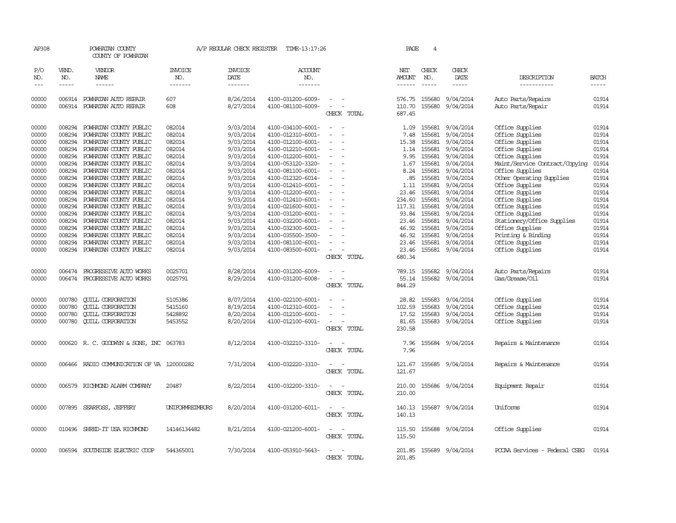| AP308               |                             | POWHATAN COUNTY<br>COUNTY OF POWHATAN                   |                                  | A/P REGULAR CHECK REGISTER        | TIME-13:17:26                    |                                                      | PAGE                           | 4                           |                               |                                    |                          |
|---------------------|-----------------------------|---------------------------------------------------------|----------------------------------|-----------------------------------|----------------------------------|------------------------------------------------------|--------------------------------|-----------------------------|-------------------------------|------------------------------------|--------------------------|
| P/O<br>NO.<br>$---$ | VEND.<br>NO.<br>$- - - - -$ | VENDOR<br>NAME<br>------                                | <b>INVOICE</b><br>NO.<br>------- | <b>INVOICE</b><br>DATE<br>------- | <b>ACCOUNT</b><br>NO.<br>------- |                                                      | NET<br>AMOUNT<br>$- - - - - -$ | CHECK<br>NO.<br>$- - - - -$ | CHECK<br>DATE<br>-----        | DESCRIPTION<br>-----------         | <b>BATCH</b><br>$\cdots$ |
|                     |                             |                                                         |                                  |                                   |                                  |                                                      |                                |                             |                               |                                    |                          |
| 00000               |                             | 006914 POWHATAN AUTO REPAIR                             | 607                              | 8/26/2014                         | 4100-031200-6009-                | $\equiv$<br>$\sim$<br>$\equiv$                       | 576.75                         | 155680                      | 9/04/2014                     | Auto Parts/Repairs                 | 01914                    |
| 00000               |                             | 006914 POWHATAN AUTO REPAIR                             | 608                              | 8/27/2014                         | 4100-081100-6009-                | $\overline{\phantom{a}}$<br>CHECK TOTAL              | 110.70<br>687.45               | 155680                      | 9/04/2014                     | Auto Parts/Repair                  | 01914                    |
| 00000               |                             | 008294 POWHATAN COUNTY PUBLIC                           | 082014                           | 9/03/2014                         | 4100-034100-6001-                | $\overline{\phantom{a}}$<br>$\sim$                   |                                | 1.09 155681                 | 9/04/2014                     | Office Supplies                    | 01914                    |
| 00000               | 008294                      | POWHATAN COUNTY PUBLIC                                  | 082014                           | 9/03/2014                         | 4100-012310-6001-                |                                                      | 7.48                           | 155681                      | 9/04/2014                     | Office Supplies                    | 01914                    |
| 00000               | 008294                      | POWHATAN COUNTY PUBLIC                                  | 082014                           | 9/03/2014                         | 4100-012100-6001-                |                                                      | 15.38                          | 155681                      | 9/04/2014                     | Office Supplies                    | 01914                    |
| 00000               | 008294                      | POWHATAN COUNTY PUBLIC                                  | 082014                           | 9/03/2014                         | 4100-012210-6001-                | $\overline{\phantom{a}}$                             | 1.14                           | 155681                      | 9/04/2014                     | Office Supplies                    | 01914                    |
| 00000               |                             | 008294 POWHATAN COUNTY PUBLIC                           | 082014                           | 9/03/2014                         | 4100-012200-6001-                |                                                      |                                | 9.95 155681                 | 9/04/2014                     | Office Supplies                    | 01914                    |
| 00000               | 008294                      | POWHATAN COUNTY PUBLIC                                  | 082014                           | 9/03/2014                         | 4100-053120-3320-                |                                                      | 1.67                           | 155681                      | 9/04/2014                     | Maint/Service Contract/Copying     | 01914                    |
| 00000               |                             | 008294 POWHATAN COUNTY PUBLIC                           | 082014                           | 9/03/2014                         | 4100-081100-6001-                |                                                      | 8.24                           | 155681                      | 9/04/2014                     | Office Supplies                    | 01914                    |
| 00000               |                             | 008294 POWHATAN COUNTY PUBLIC                           | 082014                           | 9/03/2014                         | 4100-012320-6014-                | $\overline{\phantom{a}}$<br>$\overline{\phantom{a}}$ | .85                            | 155681                      | 9/04/2014                     | Other Operating Supplies           | 01914                    |
| 00000               |                             | 008294 POWHATAN COUNTY PUBLIC                           | 082014                           | 9/03/2014                         | 4100-012410-6001-                | $\overline{\phantom{a}}$                             | 1.11                           | 155681                      | 9/04/2014                     | Office Supplies                    | 01914                    |
| 00000               | 008294                      | POWHATAN COUNTY PUBLIC                                  | 082014                           | 9/03/2014                         | 4100-012200-6001-                |                                                      | 23.46                          | 155681                      | 9/04/2014                     | Office Supplies                    | 01914                    |
| 00000               | 008294                      | POWHATAN COUNTY PUBLIC                                  | 082014                           | 9/03/2014                         | 4100-012410-6001-                |                                                      | 234.60                         | 155681                      | 9/04/2014                     | Office Supplies                    | 01914                    |
| 00000               | 008294                      | POWHATAN COUNTY PUBLIC                                  | 082014                           | 9/03/2014                         | 4100-021600-6001-                | $\overline{\phantom{a}}$                             | 117.31                         | 155681                      | 9/04/2014                     | Office Supplies                    | 01914                    |
| 00000               | 008294                      | POWHATAN COUNTY PUBLIC                                  | 082014                           | 9/03/2014                         | 4100-031200-6001-                |                                                      | 93.84                          | 155681                      | 9/04/2014                     | Office Supplies                    | 01914                    |
| 00000               | 008294                      | POWHATAN COUNTY PUBLIC                                  | 082014                           | 9/03/2014                         | 4100-032200-6001-                |                                                      | 23.46                          | 155681                      | 9/04/2014                     | Stationery/Office Supplies         | 01914                    |
| 00000               | 008294                      | POWHATAN COUNTY PUBLIC                                  | 082014                           | 9/03/2014                         | 4100-032300-6001-                |                                                      | 46.92                          | 155681                      | 9/04/2014                     | Office Supplies                    | 01914                    |
| 00000               | 008294                      | POWHATAN COUNTY PUBLIC                                  | 082014                           |                                   | 4100-035500-3500-                |                                                      | 46.92                          | 155681                      |                               |                                    | 01914                    |
|                     | 008294                      |                                                         | 082014                           | 9/03/2014                         |                                  | $\overline{\phantom{a}}$                             |                                |                             | 9/04/2014                     | Printing & Binding                 | 01914                    |
| 00000<br>00000      |                             | POWHATAN COUNTY PUBLIC<br>008294 POWHATAN COUNTY PUBLIC | 082014                           | 9/03/2014<br>9/03/2014            | 4100-081100-6001-                | $\overline{\phantom{a}}$                             | 23.46                          | 155681                      | 9/04/2014<br>155681 9/04/2014 | Office Supplies<br>Office Supplies | 01914                    |
|                     |                             |                                                         |                                  |                                   | 4100-083500-6001-                | CHECK TOTAL                                          | 23.46<br>680.34                |                             |                               |                                    |                          |
|                     |                             |                                                         |                                  |                                   |                                  |                                                      |                                |                             |                               |                                    |                          |
| 00000               |                             | 006474 PROGRESSIVE AUTO WORKS                           | 0025701                          | 8/28/2014                         | 4100-031200-6009-                |                                                      |                                | 789.15 155682               | 9/04/2014                     | Auto Parts/Repairs                 | 01914                    |
| 00000               |                             | 006474 PROGRESSIVE AUTO WORKS                           | 0025791                          | 8/29/2014                         | 4100-031200-6008-                | $\overline{\phantom{a}}$                             | 55.14                          |                             | 155682 9/04/2014              | Gas/Grease/Oil                     | 01914                    |
|                     |                             |                                                         |                                  |                                   |                                  | CHECK TOTAL                                          | 844.29                         |                             |                               |                                    |                          |
| 00000               | 000780                      | <b>CUILL CORPORATION</b>                                | 5105386                          | 8/07/2014                         | 4100-022100-6001-                |                                                      | 28.82                          | 155683                      | 9/04/2014                     | Office Supplies                    | 01914                    |
| 00000               | 000780                      | <b>QUILL CORPORATION</b>                                | 5415160                          | 8/19/2014                         | 4100-012310-6001-                | $\overline{\phantom{a}}$                             | 102.59                         | 155683                      | 9/04/2014                     | Office Supplies                    | 01914                    |
| 00000               | 000780                      | <b>QUILL CORPORATION</b>                                | 5428892                          | 8/20/2014                         | 4100-012100-6001-                | $\equiv$                                             | 17.52                          | 155683                      | 9/04/2014                     | Office Supplies                    | 01914                    |
| 00000               | 000780                      | <b>QUILL CORPORATION</b>                                | 5453552                          | 8/20/2014                         | 4100-012100-6001-                | $\sim$                                               | 81.65                          | 155683                      | 9/04/2014                     | Office Supplies                    | 01914                    |
|                     |                             |                                                         |                                  |                                   |                                  | CHECK TOTAL                                          | 230.58                         |                             |                               |                                    |                          |
| 00000               |                             |                                                         | 063783                           | 8/12/2014                         | 4100-032210-3310-                |                                                      | 7.96                           |                             | 155684 9/04/2014              |                                    | 01914                    |
|                     |                             | 000620 R.C. GOODWYN & SONS, INC                         |                                  |                                   |                                  | CHECK TOTAL                                          | 7.96                           |                             |                               | Repairs & Maintenance              |                          |
|                     |                             |                                                         |                                  |                                   |                                  |                                                      |                                |                             |                               |                                    |                          |
| 00000               |                             | 006466 RADIO COMUNICATION OF VA 120000282               |                                  | 7/31/2014                         | 4100-032220-3310-                | CHECK TOTAL                                          | 121.67<br>121.67               |                             | 155685 9/04/2014              | Repairs & Maintenance              | 01914                    |
|                     |                             |                                                         |                                  |                                   |                                  |                                                      |                                |                             |                               |                                    |                          |
| 00000               |                             | 006579 RICHMOND ALARM COMPANY                           | 20487                            | 8/22/2014                         | 4100-032200-3310-                | $\sim$<br>$\overline{\phantom{a}}$                   | 210.00                         |                             | 155686 9/04/2014              | Equipment Repair                   | 01914                    |
|                     |                             |                                                         |                                  |                                   |                                  | CHECK TOTAL                                          | 210.00                         |                             |                               |                                    |                          |
| 00000               |                             | 007895 SEARFOSS, JEFFERY                                | <b>UNIFORMREIMBURS</b>           | 8/20/2014                         | 4100-031200-6011-                | $\sim$                                               | 140.13                         |                             | 155687 9/04/2014              | Uniforms                           | 01914                    |
|                     |                             |                                                         |                                  |                                   |                                  | CHECK TOTAL                                          | 140.13                         |                             |                               |                                    |                          |
| 00000               |                             | 010496 SHRED-IT USA RICHMOND                            | 14146134482                      | 8/21/2014                         | 4100-021200-6001-                | $\sim$<br>$\overline{\phantom{a}}$                   | 115.50                         |                             | 155688 9/04/2014              | Office Supplies                    | 01914                    |
|                     |                             |                                                         |                                  |                                   |                                  | CHECK TOTAL                                          | 115.50                         |                             |                               |                                    |                          |
|                     |                             |                                                         |                                  |                                   |                                  |                                                      |                                |                             |                               |                                    |                          |
| 00000               |                             | 006594 SOUTHSIDE ELECTRIC COOP                          | 544365001                        | 7/30/2014                         | 4100-053910-5643-                |                                                      |                                |                             | 201.85 155689 9/04/2014       | PCCAA Services - Federal CSBG      | 01914                    |
|                     |                             |                                                         |                                  |                                   |                                  | CHECK TOTAL                                          | 201.85                         |                             |                               |                                    |                          |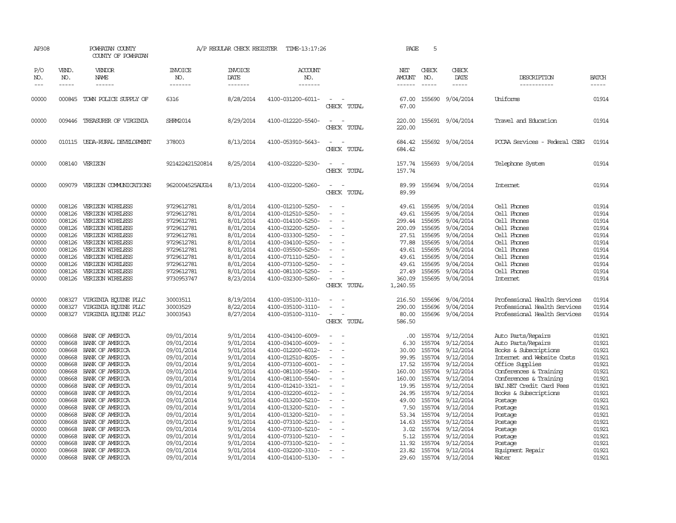| DESCRIPTION<br><b>BATCH</b><br>-----------<br>-----<br>Uniforms<br>Travel and Education<br>POCAA Services - Federal CSBG                                                                                                                                                                                 | 01914<br>01914<br>01914                                                                                                                      |
|----------------------------------------------------------------------------------------------------------------------------------------------------------------------------------------------------------------------------------------------------------------------------------------------------------|----------------------------------------------------------------------------------------------------------------------------------------------|
|                                                                                                                                                                                                                                                                                                          |                                                                                                                                              |
|                                                                                                                                                                                                                                                                                                          |                                                                                                                                              |
|                                                                                                                                                                                                                                                                                                          |                                                                                                                                              |
|                                                                                                                                                                                                                                                                                                          |                                                                                                                                              |
| Telephone System                                                                                                                                                                                                                                                                                         | 01914                                                                                                                                        |
| <b>Internet</b>                                                                                                                                                                                                                                                                                          | 01914                                                                                                                                        |
| Cell Phones<br>Cell Phones<br>Cell Phones<br>Cell Phones<br>Cell Phones<br>Cell Phones<br>Cell Phones<br>Cell Phones<br>Cell Phones<br>Cell Phones<br>Internet<br>Professional Health Services<br>Professional Health Services<br>Professional Health Services                                           | 01914<br>01914<br>01914<br>01914<br>01914<br>01914<br>01914<br>01914<br>01914<br>01914<br>01914<br>01914<br>01914<br>01914                   |
| Auto Parts/Repairs<br>Auto Parts/Repairs<br>Books & Subscriptions<br>Internet and Website Costs<br>Office Supplies<br>Conferences & Training<br>Conferences & Training<br>BAI.NET Credit Card Fees<br>Books & Subscriptions<br>Postage<br>Postage<br>Postage<br>Postage<br>Postage<br>Postage<br>Postage | 01921<br>01921<br>01921<br>01921<br>01921<br>01921<br>01921<br>01921<br>01921<br>01921<br>01921<br>01921<br>01921<br>01921<br>01921<br>01921 |
|                                                                                                                                                                                                                                                                                                          | 01921<br>Equipment Repair<br>01921                                                                                                           |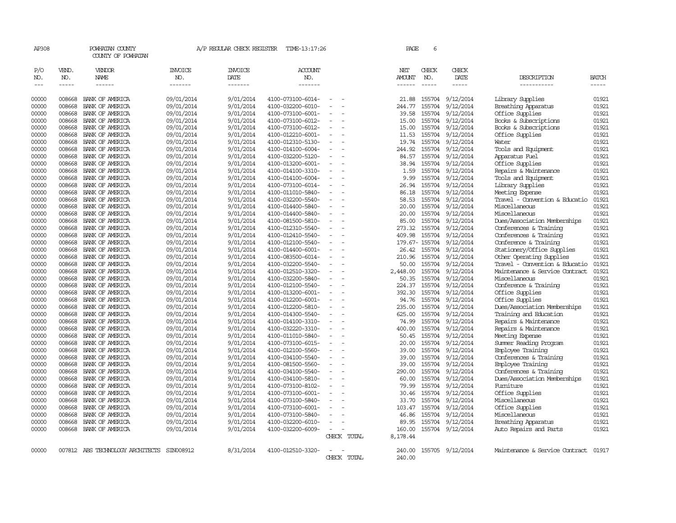| AP308          |                  | POWHATAN COUNTY<br>COUNTY OF POWHATAN      |                          | A/P REGULAR CHECK REGISTER | TIME-13:17:26                          |                          |             | PAGE            | 6             |                                      |                                      |                |
|----------------|------------------|--------------------------------------------|--------------------------|----------------------------|----------------------------------------|--------------------------|-------------|-----------------|---------------|--------------------------------------|--------------------------------------|----------------|
| P/O            | VEND.            | VENDOR                                     | <b>INVOICE</b>           | <b>INVOICE</b>             | ACCOUNT                                |                          |             | NET             | CHECK         | CHECK                                |                                      |                |
| NO.            | NO.              | <b>NAME</b>                                | NO.                      | DATE                       | NO.                                    |                          |             | <b>AMOUNT</b>   | NO.           | DATE                                 | DESCRIPTION                          | <b>BATCH</b>   |
| $---$          | $- - - - -$      |                                            | -------                  | -------                    | -------                                |                          |             | $- - - - - -$   | $\frac{1}{2}$ | $- - - - -$                          | -----------                          | $- - - - -$    |
| 00000          | 008668           | BANK OF AMERICA                            | 09/01/2014               | 9/01/2014                  | 4100-073100-6014-                      |                          |             | 21.88           |               | 155704 9/12/2014                     | Library Supplies                     | 01921          |
| 00000          | 008668           | BANK OF AMERICA                            | 09/01/2014               | 9/01/2014                  | 4100-032200-6010-                      |                          |             | 244.77          |               | 155704 9/12/2014                     | Breathing Apparatus                  | 01921          |
| 00000          | 008668           | BANK OF AMERICA                            | 09/01/2014               | 9/01/2014                  | 4100-073100-6001-                      |                          |             | 39.58           |               | 155704 9/12/2014                     | Office Supplies                      | 01921          |
| 00000          | 008668           | BANK OF AMERICA                            | 09/01/2014               | 9/01/2014                  | 4100-073100-6012-                      | $\equiv$                 |             | 15.00           |               | 155704 9/12/2014                     | Books & Subscriptions                | 01921          |
| 00000          | 008668           | BANK OF AMERICA                            | 09/01/2014               | 9/01/2014                  | 4100-073100-6012-                      |                          |             | 15.00           |               | 155704 9/12/2014                     | Books & Subscriptions                | 01921          |
| 00000          | 008668           | BANK OF AMERICA                            | 09/01/2014               | 9/01/2014                  | 4100-012210-6001-                      |                          |             | 11.53           |               | 155704 9/12/2014                     | Office Supplies                      | 01921          |
| 00000          | 008668           | BANK OF AMERICA                            | 09/01/2014               | 9/01/2014                  | 4100-012310-5130-                      | $\sim$                   |             | 19.74           |               | 155704 9/12/2014                     | Water                                | 01921          |
| 00000<br>00000 | 008668<br>008668 | BANK OF AMERICA<br>BANK OF AMERICA         | 09/01/2014               | 9/01/2014<br>9/01/2014     | 4100-014100-6004-                      | $\sim$                   |             | 244.92<br>84.57 |               | 155704 9/12/2014                     | Tools and Equipment                  | 01921<br>01921 |
| 00000          | 008668           | BANK OF AMERICA                            | 09/01/2014<br>09/01/2014 | 9/01/2014                  | 4100-032200-5120-<br>4100-013200-6001- |                          |             | 38.94           |               | 155704 9/12/2014<br>155704 9/12/2014 | Apparatus Fuel<br>Office Supplies    | 01921          |
| 00000          | 008668           | BANK OF AMERICA                            | 09/01/2014               | 9/01/2014                  | 4100-014100-3310-                      | $\equiv$                 |             | 1.59            |               | 155704 9/12/2014                     | Repairs & Maintenance                | 01921          |
| 00000          | 008668           | BANK OF AMERICA                            | 09/01/2014               | 9/01/2014                  | 4100-014100-6004-                      |                          |             | 9.99            |               | 155704 9/12/2014                     | Tools and Equipment                  | 01921          |
| 00000          | 008668           | BANK OF AMERICA                            | 09/01/2014               | 9/01/2014                  | 4100-073100-6014-                      |                          |             | 26.94           |               | 155704 9/12/2014                     | Library Supplies                     | 01921          |
| 00000          | 008668           | BANK OF AMERICA                            | 09/01/2014               | 9/01/2014                  | 4100-011010-5840-                      |                          |             | 86.18           |               | 155704 9/12/2014                     | Meeting Expense                      | 01921          |
| 00000          | 008668           | BANK OF AMERICA                            | 09/01/2014               | 9/01/2014                  | 4100-032200-5540-                      |                          |             | 58.53           |               | 155704 9/12/2014                     | Travel - Convention & Educatio       | 01921          |
| 00000          | 008668           | BANK OF AMERICA                            | 09/01/2014               | 9/01/2014                  | 4100-014400-5840-                      |                          |             | 20.00           |               | 155704 9/12/2014                     | Miscellaneous                        | 01921          |
| 00000          | 008668           | BANK OF AMERICA                            | 09/01/2014               | 9/01/2014                  | 4100-014400-5840-                      |                          |             | 20.00           |               | 155704 9/12/2014                     | Miscellaneous                        | 01921          |
| 00000          | 008668           | BANK OF AMERICA                            | 09/01/2014               | 9/01/2014                  | 4100-081500-5810-                      | $\equiv$                 |             | 85.00           |               | 155704 9/12/2014                     | Dues/Association Memberships         | 01921          |
| 00000          | 008668           | BANK OF AMERICA                            | 09/01/2014               | 9/01/2014                  | 4100-012310-5540-                      |                          |             | 273.32          |               | 155704 9/12/2014                     | Conferences & Training               | 01921          |
| 00000          | 008668           | BANK OF AMERICA                            | 09/01/2014               | 9/01/2014                  | 4100-012410-5540-                      |                          |             | 409.98          |               | 155704 9/12/2014                     | Conferences & Training               | 01921          |
| 00000          | 008668           | BANK OF AMERICA                            | 09/01/2014               | 9/01/2014                  | 4100-012100-5540-                      | $\sim$                   |             |                 |               | 179.67-155704 9/12/2014              | Conference & Training                | 01921          |
| 00000          | 008668           | BANK OF AMERICA                            | 09/01/2014               | 9/01/2014                  | 4100-014400-6001-                      |                          |             | 26.42           |               | 155704 9/12/2014                     | Stationery/Office Supplies           | 01921          |
| 00000          | 008668           | BANK OF AMERICA                            | 09/01/2014               | 9/01/2014                  | 4100-083500-6014-                      | $\sim$                   |             | 210.96          |               | 155704 9/12/2014                     | Other Operating Supplies             | 01921          |
| 00000          | 008668           | BANK OF AMERICA                            | 09/01/2014               | 9/01/2014                  | 4100-032200-5540-                      |                          |             | 50.00           |               | 155704 9/12/2014                     | Travel - Convention & Educatio       | 01921          |
| 00000          | 008668           | BANK OF AMERICA                            | 09/01/2014               | 9/01/2014                  | 4100-012510-3320-                      | $\equiv$                 |             | 2,448.00        |               | 155704 9/12/2014                     | Maintenance & Service Contract       | 01921          |
| 00000          | 008668           | BANK OF AMERICA                            | 09/01/2014               | 9/01/2014                  | 4100-032200-5840-                      |                          |             | 50.35           |               | 155704 9/12/2014                     | Miscellaneous                        | 01921          |
| 00000          | 008668           | BANK OF AMERICA                            | 09/01/2014               | 9/01/2014                  | 4100-012100-5540-                      |                          |             | 224.37          |               | 155704 9/12/2014                     | Conference & Training                | 01921          |
| 00000          | 008668           | BANK OF AMERICA                            | 09/01/2014               | 9/01/2014                  | 4100-013200-6001-                      | $\equiv$                 |             | 392.30          |               | 155704 9/12/2014                     | Office Supplies                      | 01921          |
| 00000          | 008668           | BANK OF AMERICA                            | 09/01/2014               | 9/01/2014                  | 4100-012200-6001-                      |                          |             | 94.76           |               | 155704 9/12/2014                     | Office Supplies                      | 01921          |
| 00000          | 008668           | BANK OF AMERICA                            | 09/01/2014               | 9/01/2014                  | 4100-012200-5810-                      | $\sim$                   |             | 235.00          |               | 155704 9/12/2014                     | Dues/Association Memberships         | 01921          |
| 00000          | 008668           | BANK OF AMERICA                            | 09/01/2014               | 9/01/2014                  | 4100-014300-5540-                      |                          |             | 625.00          |               | 155704 9/12/2014                     | Training and Education               | 01921          |
| 00000          | 008668           | BANK OF AMERICA                            | 09/01/2014               | 9/01/2014                  | 4100-014100-3310-                      | $\equiv$                 |             | 74.99           |               | 155704 9/12/2014                     | Repairs & Maintenance                | 01921          |
| 00000          | 008668           | BANK OF AMERICA                            | 09/01/2014               | 9/01/2014                  | 4100-032220-3310-                      |                          |             | 400.00          |               | 155704 9/12/2014                     | Repairs & Maintenance                | 01921          |
| 00000          | 008668           | BANK OF AMERICA                            | 09/01/2014               | 9/01/2014                  | 4100-011010-5840-                      |                          |             | 50.45           |               | 155704 9/12/2014                     | Meeting Expense                      | 01921          |
| 00000          | 008668           | BANK OF AMERICA                            | 09/01/2014               | 9/01/2014                  | 4100-073100-6015-                      |                          |             | 20.00           |               | 155704 9/12/2014                     | Summer Reading Program               | 01921          |
| 00000          | 008668           | BANK OF AMERICA                            | 09/01/2014               | 9/01/2014                  | 4100-012100-5560-                      |                          |             | 39.00           |               | 155704 9/12/2014                     | Employee Training                    | 01921          |
| 00000          | 008668           | BANK OF AMERICA                            | 09/01/2014               | 9/01/2014                  | 4100-034100-5540-                      | $\sim$                   |             | 39.00           |               | 155704 9/12/2014                     | Conferences & Training               | 01921          |
| 00000          | 008668           | BANK OF AMERICA                            | 09/01/2014               | 9/01/2014                  | 4100-081500-5560-                      |                          |             | 39.00           |               | 155704 9/12/2014                     | <b>Employee Training</b>             | 01921          |
| 00000          | 008668           | BANK OF AMERICA                            | 09/01/2014               | 9/01/2014                  | 4100-034100-5540-                      | $\overline{\phantom{a}}$ |             | 290.00          |               | 155704 9/12/2014                     | Conferences & Training               | 01921          |
| 00000          | 008668           | BANK OF AMERICA                            | 09/01/2014               | 9/01/2014                  | 4100-034100-5810-                      |                          |             | 60.00           |               | 155704 9/12/2014                     | Dues/Association Memberships         | 01921          |
| 00000          | 008668           | BANK OF AMERICA                            | 09/01/2014               | 9/01/2014                  | 4100-073100-8102-                      |                          |             | 79.99           |               | 155704 9/12/2014                     | Furniture                            | 01921          |
| 00000          | 008668           | BANK OF AMERICA                            | 09/01/2014               | 9/01/2014                  | 4100-073100-6001-                      |                          |             | 30.46           |               | 155704 9/12/2014                     | Office Supplies                      | 01921          |
| 00000          | 008668<br>008668 | BANK OF AMERICA                            | 09/01/2014               | 9/01/2014                  | 4100-073100-5840-                      |                          |             | 33.70           |               | 155704 9/12/2014                     | Miscellaneous                        | 01921<br>01921 |
| 00000          | 008668           | BANK OF AMERICA                            | 09/01/2014               | 9/01/2014<br>9/01/2014     | 4100-073100-6001-                      |                          |             | 103.47          |               | 155704 9/12/2014<br>155704 9/12/2014 | Office Supplies<br>Miscellaneous     | 01921          |
| 00000          | 008668           | BANK OF AMERICA<br>BANK OF AMERICA         | 09/01/2014<br>09/01/2014 | 9/01/2014                  | 4100-073100-5840-                      | $\equiv$                 |             | 46.86<br>89.95  |               | 155704 9/12/2014                     | Breathing Apparatus                  | 01921          |
| 00000<br>00000 | 008668           | BANK OF AMERICA                            | 09/01/2014               | 9/01/2014                  | 4100-032200-6010-<br>4100-032200-6009- | $\overline{\phantom{a}}$ |             | 160.00          |               | 155704 9/12/2014                     |                                      | 01921          |
|                |                  |                                            |                          |                            |                                        |                          | CHECK TOTAL | 8,178.44        |               |                                      | Auto Repairs and Parts               |                |
|                |                  |                                            |                          |                            |                                        |                          |             |                 |               |                                      |                                      |                |
| 00000          |                  | 007812 ABS TECHNOLOGY ARCHITECTS SIN008912 |                          | 8/31/2014                  | 4100-012510-3320-                      |                          |             | 240.00          |               | 155705 9/12/2014                     | Maintenance & Service Contract 01917 |                |
|                |                  |                                            |                          |                            |                                        |                          | CHECK TOTAL | 240.00          |               |                                      |                                      |                |
|                |                  |                                            |                          |                            |                                        |                          |             |                 |               |                                      |                                      |                |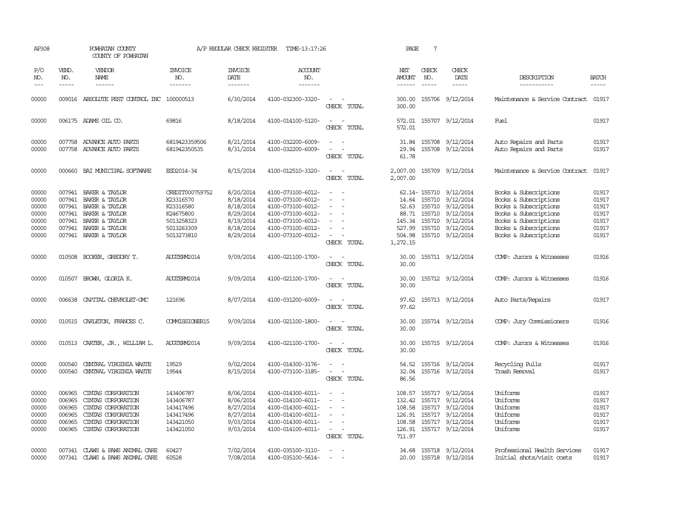| AP308                                                       |                                                | POWHATAN COUNTY<br>COUNTY OF POWHATAN                                                                                                                  |                                                                                                  | A/P REGULAR CHECK REGISTER                                                              | TIME-13:17:26                                                                                                                                   |                                                                                                                          | PAGE                                                     | $7\phantom{.0}$             |                                                                                                                                                      |                                                                                                                                                                             |                                                             |
|-------------------------------------------------------------|------------------------------------------------|--------------------------------------------------------------------------------------------------------------------------------------------------------|--------------------------------------------------------------------------------------------------|-----------------------------------------------------------------------------------------|-------------------------------------------------------------------------------------------------------------------------------------------------|--------------------------------------------------------------------------------------------------------------------------|----------------------------------------------------------|-----------------------------|------------------------------------------------------------------------------------------------------------------------------------------------------|-----------------------------------------------------------------------------------------------------------------------------------------------------------------------------|-------------------------------------------------------------|
| P/O<br>NO.<br>$---$                                         | VEND.<br>NO.<br>$- - - - -$                    | VENDOR<br><b>NAME</b><br>$- - - - - -$                                                                                                                 | <b>INVOICE</b><br>NO.<br>-------                                                                 | <b>INVOICE</b><br>DATE<br>-------                                                       | <b>ACCOUNT</b><br>NO.<br>-------                                                                                                                |                                                                                                                          | NET<br><b>AMOUNT</b><br>$- - - - - -$                    | CHECK<br>NO.<br>$- - - - -$ | CHECK<br>DATE<br>$- - - - -$                                                                                                                         | DESCRIPTION<br>-----------                                                                                                                                                  | <b>BATCH</b><br>$- - - - -$                                 |
| 00000                                                       |                                                | 009016 ABSOLUTE PEST CONTROL INC 100000513                                                                                                             |                                                                                                  | 6/30/2014                                                                               | 4100-032300-3320-                                                                                                                               | $\overline{\phantom{a}}$<br>$\sim$<br>CHECK TOTAL                                                                        | 300.00<br>300.00                                         |                             | 155706 9/12/2014                                                                                                                                     | Maintenance & Service Contract                                                                                                                                              | 01917                                                       |
| 00000                                                       |                                                | 006175 ADAMS OIL CO.                                                                                                                                   | 69816                                                                                            | 8/18/2014                                                                               | 4100-014100-5120-                                                                                                                               | $\overline{\phantom{a}}$<br>$\sim$<br>CHECK TOTAL                                                                        | 572.01<br>572.01                                         |                             | 155707 9/12/2014                                                                                                                                     | Fuel                                                                                                                                                                        | 01917                                                       |
| 00000<br>00000                                              |                                                | 007758 ADVANCE AUTO PARTS<br>007758 ADVANCE AUTO PARTS                                                                                                 | 6819423359506<br>681942350535                                                                    | 8/21/2014<br>8/31/2014                                                                  | 4100-032200-6009-<br>4100-032200-6009-                                                                                                          | $\sim$ $\sim$<br>$\overline{\phantom{a}}$<br>$\sim$<br>CHECK TOTAL                                                       | 29.94<br>61.78                                           |                             | 31.84 155708 9/12/2014<br>155708 9/12/2014                                                                                                           | Auto Repairs and Parts<br>Auto Repairs and Parts                                                                                                                            | 01917<br>01917                                              |
| 00000                                                       |                                                | 000660 BAI MUNICIPAL SOFTWARE                                                                                                                          | ESD2014-34                                                                                       | 8/15/2014                                                                               | 4100-012510-3320-                                                                                                                               | $\sim$<br>$\sim$<br>CHECK TOTAL                                                                                          | 2,007.00<br>2,007.00                                     |                             | 155709 9/12/2014                                                                                                                                     | Maintenance & Service Contract                                                                                                                                              | 01917                                                       |
| 00000<br>00000<br>00000<br>00000<br>00000<br>00000<br>00000 | 007941<br>007941<br>007941                     | BAKER & TAYLOR<br>BAKER & TAYLOR<br>BAKER & TAYLOR<br>007941 BAKER & TAYLOR<br>007941 BAKER & TAYLOR<br>007941 BAKER & TAYLOR<br>007941 BAKER & TAYLOR | CREDIT000759752<br>K23316570<br>K23316580<br>K24675800<br>5013258323<br>5013263309<br>5013273810 | 8/20/2014<br>8/18/2014<br>8/18/2014<br>8/29/2014<br>8/19/2014<br>8/18/2014<br>8/29/2014 | 4100-073100-6012-<br>4100-073100-6012-<br>4100-073100-6012-<br>4100-073100-6012-<br>4100-073100-6012-<br>4100-073100-6012-<br>4100-073100-6012- | $\sim$<br>$\equiv$<br>$\overline{\phantom{a}}$<br>CHECK TOTAL                                                            | 14.64<br>52.63<br>527.99<br>504.98<br>1,272.15           | 155710                      | 62.14-155710 9/12/2014<br>155710 9/12/2014<br>155710 9/12/2014<br>88.71 155710 9/12/2014<br>145.34 155710 9/12/2014<br>9/12/2014<br>155710 9/12/2014 | Books & Subscriptions<br>Books & Subscriptions<br>Books & Subscriptions<br>Books & Subscriptions<br>Books & Subscriptions<br>Books & Subscriptions<br>Books & Subscriptions | 01917<br>01917<br>01917<br>01917<br>01917<br>01917<br>01917 |
| 00000                                                       |                                                | 010508 BOOKER, GREGORY T.                                                                                                                              | AUGTERM2014                                                                                      | 9/09/2014                                                                               | 4100-021100-1700-                                                                                                                               | CHECK TOTAL                                                                                                              | 30.00<br>30.00                                           |                             | 155711 9/12/2014                                                                                                                                     | COMP: Jurors & Witnesses                                                                                                                                                    | 01916                                                       |
| 00000                                                       |                                                | 010507 BROWN, GLORIA K.                                                                                                                                | AUGTERM2014                                                                                      | 9/09/2014                                                                               | 4100-021100-1700-                                                                                                                               | CHECK TOTAL                                                                                                              | 30.00<br>30.00                                           |                             | 155712 9/12/2014                                                                                                                                     | COMP: Jurors & Witnesses                                                                                                                                                    | 01916                                                       |
| 00000                                                       | 006638                                         | CAPITAL CHEVROLET-GMC                                                                                                                                  | 121696                                                                                           | 8/07/2014                                                                               | 4100-031200-6009-                                                                                                                               | CHECK TOTAL                                                                                                              | 97.62<br>97.62                                           |                             | 155713 9/12/2014                                                                                                                                     | Auto Parts/Repairs                                                                                                                                                          | 01917                                                       |
| 00000                                                       |                                                | 010515 CARLETON, FRANCES C.                                                                                                                            | COMMISSIONER15                                                                                   | 9/09/2014                                                                               | 4100-021100-1800-                                                                                                                               | $\equiv$<br>CHECK TOTAL                                                                                                  | 30.00<br>30.00                                           |                             | 155714 9/12/2014                                                                                                                                     | COMP: Jury Commissioners                                                                                                                                                    | 01916                                                       |
| 00000                                                       |                                                | 010513 CARTER, JR., WILLIAM L.                                                                                                                         | AUGTERM2014                                                                                      | 9/09/2014                                                                               | 4100-021100-1700-                                                                                                                               | $\sim$ $ \sim$<br>CHECK TOTAL                                                                                            | 30.00<br>30.00                                           |                             | 155715 9/12/2014                                                                                                                                     | COMP: Jurors & Witnesses                                                                                                                                                    | 01916                                                       |
| 00000<br>00000                                              | 000540<br>000540                               | CENTRAL VIRGINIA WASTE<br>CENTRAL VIRGINIA WASTE                                                                                                       | 19529<br>19544                                                                                   | 9/02/2014<br>8/15/2014                                                                  | 4100-014300-3176-<br>4100-073100-3185-                                                                                                          | $\sim$ $ \sim$<br>$\omega_{\rm{max}}$ and $\omega_{\rm{max}}$<br>CHECK TOTAL                                             | 32.04<br>86.56                                           |                             | 54.52 155716 9/12/2014<br>155716 9/12/2014                                                                                                           | Recycling Pulls<br>Trash Removal                                                                                                                                            | 01917<br>01917                                              |
| 00000<br>00000<br>00000<br>00000<br>00000<br>00000          | 006965<br>006965<br>006965<br>006965<br>006965 | CINTAS CORPORATION<br>CINIAS CORPORATION<br>CINIAS CORPORATION<br>CINIAS CORPORATION<br>CINIAS CORPORATION<br>006965 CINIAS CORPORATION                | 143406787<br>143406787<br>143417496<br>143417496<br>143421050<br>143421050                       | 8/06/2014<br>8/06/2014<br>8/27/2014<br>8/27/2014<br>9/03/2014<br>9/03/2014              | 4100-014300-6011-<br>4100-014100-6011-<br>4100-014300-6011-<br>4100-014100-6011-<br>4100-014300-6011-<br>4100-014100-6011-                      | $\overline{\phantom{a}}$<br>$\overline{\phantom{a}}$<br>$\sim$<br>$\overline{\phantom{a}}$<br>$\sim$ $ -$<br>CHECK TOTAL | 108.57<br>132.42<br>108.58<br>108.58<br>126.91<br>711.97 |                             | 155717 9/12/2014<br>155717 9/12/2014<br>155717 9/12/2014<br>126.91 155717 9/12/2014<br>155717 9/12/2014<br>155717 9/12/2014                          | Uniforms<br>Uniforms<br>Uniforms<br>Uniforms<br>Uniforms<br>Uniforms                                                                                                        | 01917<br>01917<br>01917<br>01917<br>01917<br>01917          |
| 00000<br>00000                                              |                                                | 007341 CLAWS & PAWS ANIMAL CARE<br>007341 CLAWS & PAWS ANIMAL CARE                                                                                     | 60427<br>60528                                                                                   | 7/02/2014<br>7/08/2014                                                                  | 4100-035100-3110-<br>4100-035100-5614-                                                                                                          | $\sim$<br>$\sim$                                                                                                         |                                                          |                             | 34.68 155718 9/12/2014<br>20.00 155718 9/12/2014                                                                                                     | Professional Health Services<br>Initial shots/visit costs                                                                                                                   | 01917<br>01917                                              |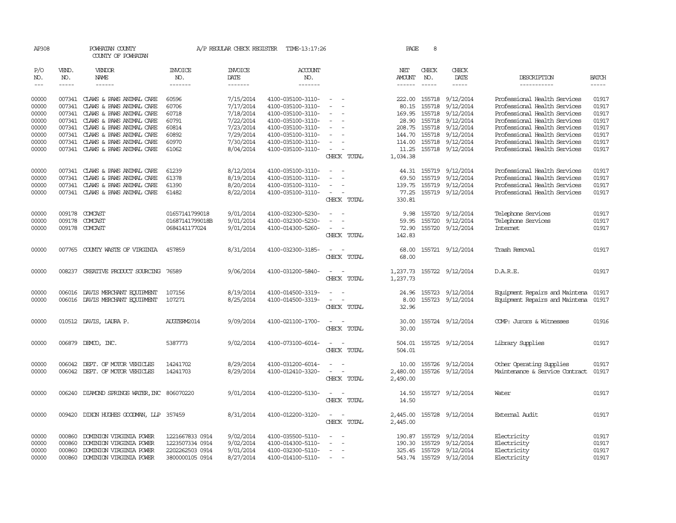| AP308                                                                |                                      | POWHATAN COUNTY<br>COUNTY OF POWHATAN                                                                                                                                                                                                                                                |                                                                          | A/P REGULAR CHECK REGISTER                                                                           | TIME-13:17:26                                                                                                                                                        |                                                                                                                             | PAGE                                                               | 8                             |                                                                                                                                                             |                                                                                                                                                                                                                                                              |                                                                      |
|----------------------------------------------------------------------|--------------------------------------|--------------------------------------------------------------------------------------------------------------------------------------------------------------------------------------------------------------------------------------------------------------------------------------|--------------------------------------------------------------------------|------------------------------------------------------------------------------------------------------|----------------------------------------------------------------------------------------------------------------------------------------------------------------------|-----------------------------------------------------------------------------------------------------------------------------|--------------------------------------------------------------------|-------------------------------|-------------------------------------------------------------------------------------------------------------------------------------------------------------|--------------------------------------------------------------------------------------------------------------------------------------------------------------------------------------------------------------------------------------------------------------|----------------------------------------------------------------------|
| P/O<br>NO.<br>$---$                                                  | VEND.<br>NO.<br>$- - - - -$          | VENDOR<br>NAME<br>$- - - - - -$                                                                                                                                                                                                                                                      | <b>INVOICE</b><br>NO.<br>-------                                         | <b>INVOICE</b><br>DATE<br>--------                                                                   | <b>ACCOUNT</b><br>NO.<br>-------                                                                                                                                     |                                                                                                                             | NET<br><b>AMOUNT</b><br>------                                     | CHECK<br>NO.<br>$\frac{1}{2}$ | CHECK<br>DATE<br>$- - - - -$                                                                                                                                | DESCRIPTION<br>-----------                                                                                                                                                                                                                                   | <b>BATCH</b>                                                         |
| 00000<br>00000<br>00000<br>00000<br>00000<br>00000<br>00000<br>00000 |                                      | 007341 CLAWS & PAWS ANIMAL CARE<br>007341 CLAWS & PAWS ANIMAL CARE<br>007341 CLAWS & PAWS ANIMAL CARE<br>007341 CLAWS & PAWS ANIMAL CARE<br>007341 CLAWS & PAWS ANIMAL CARE<br>007341 CLAWS & PAWS ANIMAL CARE<br>007341 CLAWS & PAWS ANIMAL CARE<br>007341 CLAWS & PAWS ANIMAL CARE | 60596<br>60706<br>60718<br>60791<br>60814<br>60892<br>60970<br>61062     | 7/15/2014<br>7/17/2014<br>7/18/2014<br>7/22/2014<br>7/23/2014<br>7/29/2014<br>7/30/2014<br>8/04/2014 | 4100-035100-3110-<br>4100-035100-3110-<br>4100-035100-3110-<br>4100-035100-3110-<br>4100-035100-3110-<br>4100-035100-3110-<br>4100-035100-3110-<br>4100-035100-3110- | $\equiv$<br>$\equiv$<br>$\overline{\phantom{a}}$<br>$\sim$<br>$\overline{\phantom{a}}$<br>$\sim$ 100 $\mu$<br>CHECK TOTAL   | 222.00<br>80.15<br>169.95<br>28.90<br>144.70<br>114.00<br>1,034.38 | 155718<br>155718              | 155718 9/12/2014<br>155718 9/12/2014<br>9/12/2014<br>9/12/2014<br>208.75 155718 9/12/2014<br>155718 9/12/2014<br>155718 9/12/2014<br>11.25 155718 9/12/2014 | Professional Health Services<br>Professional Health Services<br>Professional Health Services<br>Professional Health Services<br>Professional Health Services<br>Professional Health Services<br>Professional Health Services<br>Professional Health Services | 01917<br>01917<br>01917<br>01917<br>01917<br>01917<br>01917<br>01917 |
| 00000<br>00000<br>00000<br>00000                                     | 007341                               | 007341 CLAWS & PAWS ANIMAL CARE<br>CLAWS & PAWS ANIMAL CARE<br>007341 CLAWS & PAWS ANIMAL CARE<br>007341 CLAWS & PAWS ANIMAL CARE                                                                                                                                                    | 61239<br>61378<br>61390<br>61482                                         | 8/12/2014<br>8/19/2014<br>8/20/2014<br>8/22/2014                                                     | 4100-035100-3110-<br>4100-035100-3110-<br>4100-035100-3110-<br>4100-035100-3110-                                                                                     | $\sim$<br>$\sim$<br>CHECK TOTAL                                                                                             | 69.50<br>139.75<br>77.25<br>330.81                                 |                               | 44.31 155719 9/12/2014<br>155719 9/12/2014<br>155719 9/12/2014<br>155719 9/12/2014                                                                          | Professional Health Services<br>Professional Health Services<br>Professional Health Services<br>Professional Health Services                                                                                                                                 | 01917<br>01917<br>01917<br>01917                                     |
| 00000<br>00000<br>00000                                              | 009178<br>009178                     | COMCAST<br><b>COMCAST</b><br>009178 COMCAST                                                                                                                                                                                                                                          | 01657141799018<br>01687141799018B<br>0684141177024                       | 9/01/2014<br>9/01/2014<br>9/01/2014                                                                  | 4100-032300-5230-<br>4100-032300-5230-<br>4100-014300-5260-                                                                                                          | $\sim$<br>$\sim$<br>CHECK TOTAL                                                                                             | 9.98<br>59.95<br>72.90<br>142.83                                   | 155720<br>155720              | 9/12/2014<br>9/12/2014<br>155720 9/12/2014                                                                                                                  | Telephone Services<br>Telephone Services<br>Internet                                                                                                                                                                                                         | 01917<br>01917<br>01917                                              |
| 00000                                                                |                                      | 007765 COUNTY WASTE OF VIRGINIA                                                                                                                                                                                                                                                      | 457859                                                                   | 8/31/2014                                                                                            | 4100-032300-3185-                                                                                                                                                    | CHECK TOTAL                                                                                                                 | 68.00<br>68.00                                                     |                               | 155721 9/12/2014                                                                                                                                            | Trash Removal                                                                                                                                                                                                                                                | 01917                                                                |
| 00000                                                                |                                      | 008237 CREATIVE PRODUCT SOURCING                                                                                                                                                                                                                                                     | 76589                                                                    | 9/06/2014                                                                                            | 4100-031200-5840-                                                                                                                                                    | $\overline{\phantom{a}}$<br>CHECK TOTAL                                                                                     | 1,237.73<br>1,237.73                                               |                               | 155722 9/12/2014                                                                                                                                            | D.A.R.E.                                                                                                                                                                                                                                                     | 01917                                                                |
| 00000<br>00000                                                       |                                      | 006016 DAVIS MERCHANT EQUIPMENT<br>006016 DAVIS MERCHANT EQUIPMENT                                                                                                                                                                                                                   | 107156<br>107271                                                         | 8/19/2014<br>8/25/2014                                                                               | 4100-014500-3319-<br>4100-014500-3319-                                                                                                                               | CHECK TOTAL                                                                                                                 | 24.96<br>8.00<br>32.96                                             |                               | 155723 9/12/2014<br>155723 9/12/2014                                                                                                                        | Equipment Repairs and Maintena 01917<br>Equipment Repairs and Maintena                                                                                                                                                                                       | 01917                                                                |
| 00000                                                                |                                      | 010512 DAVIS, LAURA P.                                                                                                                                                                                                                                                               | AUGTERM2014                                                              | 9/09/2014                                                                                            | 4100-021100-1700-                                                                                                                                                    | $\sim$<br>CHECK TOTAL                                                                                                       | 30.00<br>30.00                                                     |                               | 155724 9/12/2014                                                                                                                                            | COMP: Jurors & Witnesses                                                                                                                                                                                                                                     | 01916                                                                |
| 00000                                                                |                                      | 006879 DEMCO, INC.                                                                                                                                                                                                                                                                   | 5387773                                                                  | 9/02/2014                                                                                            | 4100-073100-6014-                                                                                                                                                    | $\sim$ $  -$<br>CHECK TOTAL                                                                                                 | 504.01                                                             |                               | 504.01 155725 9/12/2014                                                                                                                                     | Library Supplies                                                                                                                                                                                                                                             | 01917                                                                |
| 00000<br>00000                                                       |                                      | 006042 DEPT. OF MOTOR VEHICLES<br>006042 DEPT. OF MOTOR VEHICLES                                                                                                                                                                                                                     | 14241702<br>14241703                                                     | 8/29/2014<br>8/29/2014                                                                               | 4100-031200-6014-<br>4100-012410-3320-                                                                                                                               | CHECK TOTAL                                                                                                                 | 10.00<br>2,480.00<br>2,490.00                                      |                               | 155726 9/12/2014<br>155726 9/12/2014                                                                                                                        | Other Operating Supplies<br>Maintenance & Service Contract                                                                                                                                                                                                   | 01917<br>01917                                                       |
| 00000                                                                |                                      | 006240 DIAMOND SPRINGS WATER, INC 806070220                                                                                                                                                                                                                                          |                                                                          | 9/01/2014                                                                                            | 4100-012200-5130-                                                                                                                                                    | $\sim$<br>CHECK TOTAL                                                                                                       | 14.50                                                              |                               | 14.50 155727 9/12/2014                                                                                                                                      | Water                                                                                                                                                                                                                                                        | 01917                                                                |
| 00000                                                                |                                      | 009420 DIXON HUGHES GOODWAN, LLP 357459                                                                                                                                                                                                                                              |                                                                          | 8/31/2014                                                                                            | 4100-012200-3120-                                                                                                                                                    | $\frac{1}{2} \left( \frac{1}{2} \right) \left( \frac{1}{2} \right) = \frac{1}{2} \left( \frac{1}{2} \right)$<br>CHECK TOTAL | 2,445.00<br>2,445.00                                               |                               | 155728 9/12/2014                                                                                                                                            | External Audit                                                                                                                                                                                                                                               | 01917                                                                |
| 00000<br>00000<br>00000<br>00000                                     | 000860<br>000860<br>000860<br>000860 | DOMINION VIRGINIA POWER<br>DOMINION VIRGINIA POWER<br>DOMINION VIRGINIA POWER<br>DOMINION VIRGINIA POWER                                                                                                                                                                             | 1221667833 0914<br>1223507334 0914<br>2202262503 0914<br>3800000105 0914 | 9/02/2014<br>9/02/2014<br>9/01/2014<br>8/27/2014                                                     | 4100-035500-5110-<br>4100-014300-5110-<br>4100-032300-5110-<br>4100-014100-5110-                                                                                     | $\overline{\phantom{a}}$<br>$\hspace{0.1mm}-\hspace{0.1mm}$<br>$\sim$ $ \sim$                                               | 190.87 155729<br>190.30                                            | 155729                        | 9/12/2014<br>9/12/2014<br>325.45 155729 9/12/2014<br>543.74 155729 9/12/2014                                                                                | Electricity<br>Electricity<br>Electricity<br>Electricity                                                                                                                                                                                                     | 01917<br>01917<br>01917<br>01917                                     |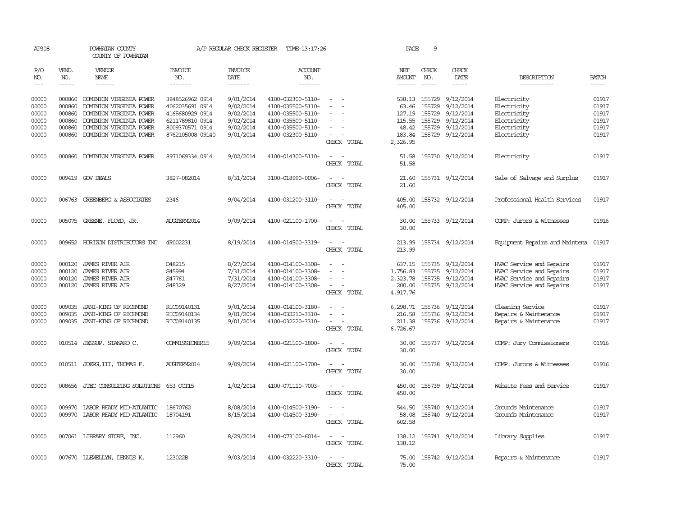| AP308          |                  | POWHATAN COUNTY<br>COUNTY OF POWHATAN                 |                                    | A/P REGULAR CHECK REGISTER | TIME-13:17:26                          |                                                                     | PAGE                         | 9                       |                               |                                                |                |
|----------------|------------------|-------------------------------------------------------|------------------------------------|----------------------------|----------------------------------------|---------------------------------------------------------------------|------------------------------|-------------------------|-------------------------------|------------------------------------------------|----------------|
| P/O<br>NO.     | VEND.<br>NO.     | <b>VENDOR</b><br>NAME                                 | <b>INVOICE</b><br>NO.              | <b>INVOICE</b><br>DATE     | ACCOUNT<br>NO.                         |                                                                     | NET<br><b>AMOUNT</b>         | CHECK<br>NO.            | CHECK<br>DATE                 | DESCRIPTION                                    | <b>BATCH</b>   |
| $---$          | $- - - - -$      | $- - - - - -$                                         | -------                            | -------                    | -------                                |                                                                     |                              | $\frac{1}{2}$           | -----                         | -----------                                    |                |
| 00000<br>00000 | 000860<br>000860 | DOMINION VIRGINIA POWER<br>DOMINION VIRGINIA POWER    | 3848526962 0914<br>4062035691 0914 | 9/01/2014<br>9/02/2014     | 4100-032300-5110-<br>4100-035500-5110- | $\overline{\phantom{a}}$                                            | 63.46                        | 538.13 155729<br>155729 | 9/12/2014<br>9/12/2014        | Electricity<br>Electricity                     | 01917<br>01917 |
| 00000          | 000860           | DOMINION VIRGINIA POWER                               | 4165680929 0914                    | 9/02/2014                  | 4100-035500-5110-                      |                                                                     | 127.19                       | 155729                  | 9/12/2014                     | Electricity                                    | 01917          |
| 00000          | 000860           | DOMINION VIRGINIA POWER                               | 6211789810 0914                    | 9/02/2014                  | 4100-035500-5110-                      | $\overline{\phantom{a}}$                                            | 115.55                       | 155729                  | 9/12/2014                     | Electricity                                    | 01917          |
| 00000          | 000860           | DOMINION VIRGINIA POWER                               | 8009370571 0914                    | 9/02/2014                  | 4100-035500-5110-                      | $\overline{\phantom{a}}$                                            |                              | 48.42 155729            | 9/12/2014                     | Electricity                                    | 01917          |
| 00000          | 000860           | DOMINION VIRGINIA POWER                               | 8762105008 09140                   | 9/01/2014                  | 4100-032300-5110-                      | CHECK TOTAL                                                         | 183.84<br>2,326.95           |                         | 155729 9/12/2014              | Electricity                                    | 01917          |
| 00000          | 000860           | DOMINION VIRGINIA POWER                               | 8971069334 0914                    | 9/02/2014                  | 4100-014300-5110-                      | $\sim$<br>$\overline{\phantom{a}}$<br>CHECK TOTAL                   | 51.58<br>51.58               |                         | 155730 9/12/2014              | Electricity                                    | 01917          |
| 00000          |                  | 009419 GOV DEALS                                      | 3827-082014                        | 8/31/2014                  | 3100-018990-0006-                      | $\overline{\phantom{a}}$<br>$\overline{\phantom{a}}$<br>CHECK TOTAL | 21.60<br>21.60               |                         | 155731 9/12/2014              | Sale of Salvage and Surplus                    | 01917          |
| 00000          |                  | 006763 GREENBERG & ASSOCIATES                         | 2346                               | 9/04/2014                  | 4100-031200-3110-                      | $\sim$<br>$\sim$<br>CHECK TOTAL                                     | 405.00<br>405.00             |                         | 155732 9/12/2014              | Professional Health Services                   | 01917          |
| 00000          |                  | 005075 GREENE, FLOYD, JR.                             | AUGTERM2014                        | 9/09/2014                  | 4100-021100-1700-                      | $\sim$<br>CHECK TOTAL                                               | 30.00<br>30.00               |                         | 155733 9/12/2014              | COMP: Jurors & Witnesses                       | 01916          |
| 00000          |                  | 009652 HORIZON DISTRIBUTORS INC                       | 4R002231                           | 8/19/2014                  | 4100-014500-3319-                      | CHECK TOTAL                                                         | 213.99                       |                         | 213.99 155734 9/12/2014       | Equipment Repairs and Maintena                 | 01917          |
| 00000          | 000120           | <b>JAMES RIVER AIR</b>                                | D48215                             | 8/27/2014                  | 4100-014100-3308-                      |                                                                     | 637.15                       | 155735                  | 9/12/2014                     | HVAC Service and Repairs                       | 01917          |
| 00000          | 000120           | <b>JAMES RIVER AIR</b>                                | S45994                             | 7/31/2014                  | 4100-014100-3308-                      |                                                                     | 1,756.83                     | 155735                  | 9/12/2014                     | HVAC Service and Repairs                       | 01917          |
| 00000          | 000120           | <b>JAMES RIVER AIR</b>                                | S47761                             | 7/31/2014                  | 4100-014100-3308-                      | $\sim$                                                              | 2,323.78                     | 155735                  | 9/12/2014                     | HVAC Service and Repairs                       | 01917          |
| 00000          | 000120           | JAMES RIVER AIR                                       | S48329                             | 8/27/2014                  | 4100-014100-3308-                      | $\overline{\phantom{a}}$<br>CHECK TOTAL                             | 200.00<br>4,917.76           |                         | 155735 9/12/2014              | HVAC Service and Repairs                       | 01917          |
| 00000          | 009035           | JANI-KING OF RICHMOND                                 | RIC09140131                        | 9/01/2014                  | 4100-014100-3180-                      | $\overline{a}$                                                      | 6,298.71                     | 155736                  | 9/12/2014                     | Cleaning Service                               | 01917          |
| 00000<br>00000 | 009035           | JANI-KING OF RICHMOND<br>009035 JANI-KING OF RICHMOND | RIC09140134<br>RIC09140135         | 9/01/2014<br>9/01/2014     | 4100-032210-3310-<br>4100-032220-3310- | $\sim$<br>$\sim$<br>$\overline{\phantom{a}}$<br>CHECK TOTAL         | 216.58<br>211.38<br>6,726.67 | 155736                  | 9/12/2014<br>155736 9/12/2014 | Repairs & Maintenance<br>Repairs & Maintenance | 01917<br>01917 |
| 00000          |                  | 010514 JESSUP, STANARD C.                             | COMMISSIONER15                     | 9/09/2014                  | 4100-021100-1800-                      | $\overline{\phantom{a}}$<br>CHECK TOTAL                             | 30.00<br>30.00               |                         | 155737 9/12/2014              | COMP: Jury Commissioners                       | 01916          |
| 00000          |                  | 010511 JOERG, III, THOMAS F.                          | AUGTERM2014                        | 9/09/2014                  | 4100-021100-1700-                      | CHECK TOTAL                                                         | 30.00<br>30.00               |                         | 155738 9/12/2014              | COMP: Jurors & Witnesses                       | 01916          |
| 00000          |                  | 008656 JTEC CONSULTING SOLUTIONS 653 OCT15            |                                    | 1/02/2014                  | 4100-071110-7003-                      | $\sim$<br>$\sim$<br>CHECK TOTAL                                     | 450.00<br>450.00             |                         | 155739 9/12/2014              | Website Fees and Service                       | 01917          |
| 00000          | 009970           | LABOR READY MID-ATLANTIC                              | 18670762                           | 8/08/2014                  | 4100-014500-3190-                      | $\sim$<br>$\overline{\phantom{a}}$                                  | 544.50                       |                         | 155740 9/12/2014              | Grounds Maintenance                            | 01917          |
| 00000          |                  | 009970 LABOR READY MID-ATLANTIC                       | 18704191                           | 8/15/2014                  | 4100-014500-3190-                      | $\sim$<br>$\overline{\phantom{a}}$<br>CHECK TOTAL                   | 58.08<br>602.58              |                         | 155740 9/12/2014              | Grounds Maintenance                            | 01917          |
| 00000          |                  | 007061 LIBRARY STORE, INC.                            | 112960                             | 8/29/2014                  | 4100-073100-6014-                      | $\overline{\phantom{0}}$<br>CHECK TOTAL                             | 138.12                       |                         | 138.12 155741 9/12/2014       | Library Supplies                               | 01917          |
| 00000          |                  | 007670 LLEWELLYN, DENNIS K.                           | 123022B                            | 9/03/2014                  | 4100-032220-3310-                      | CHECK<br>TOTAL                                                      | 75.00                        |                         | 75.00 155742 9/12/2014        | Repairs & Maintenance                          | 01917          |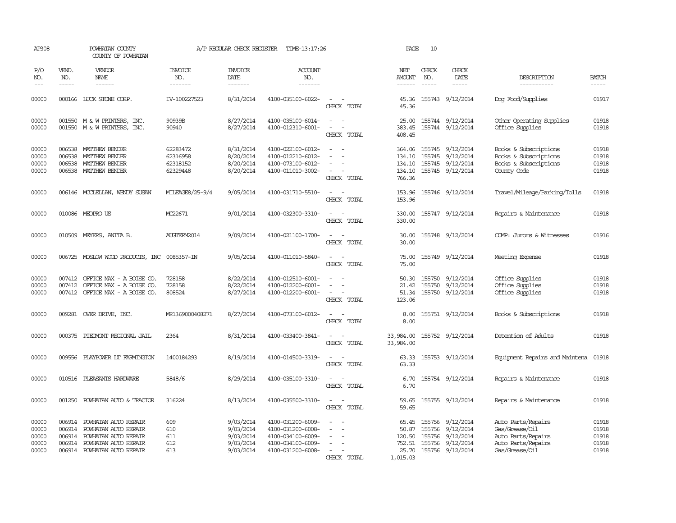| AP308                                     |                             | POWHATAN COUNTY<br>COUNTY OF POWHATAN                                                                                                                   |                                              | A/P REGULAR CHECK REGISTER                                    | TIME-13:17:26                                                                                         |                                                                    | PAGE                                 | 10                          |                                                                                                                     |                                                                                                    |                                           |
|-------------------------------------------|-----------------------------|---------------------------------------------------------------------------------------------------------------------------------------------------------|----------------------------------------------|---------------------------------------------------------------|-------------------------------------------------------------------------------------------------------|--------------------------------------------------------------------|--------------------------------------|-----------------------------|---------------------------------------------------------------------------------------------------------------------|----------------------------------------------------------------------------------------------------|-------------------------------------------|
| P/O<br>NO.<br>$---$                       | VEND.<br>NO.<br>$- - - - -$ | <b>VENDOR</b><br>NAME<br>$- - - - - -$                                                                                                                  | <b>INVOICE</b><br>NO.<br>-------             | <b>INVOICE</b><br>DATE<br>-------                             | <b>ACCOUNT</b><br>NO.<br>-------                                                                      |                                                                    | NET<br>AMOUNT<br>$- - - - - -$       | CHECK<br>NO.<br>$- - - - -$ | CHECK<br>DATE<br>$- - - - -$                                                                                        | DESCRIPTION<br>-----------                                                                         | <b>BATCH</b><br>$\qquad \qquad - - - -$   |
| 00000                                     |                             | 000166 LUCK STONE CORP.                                                                                                                                 | IV-100227523                                 | 8/31/2014                                                     | 4100-035100-6022-                                                                                     | $\equiv$<br>CHECK TOTAL                                            | 45.36<br>45.36                       |                             | 155743 9/12/2014                                                                                                    | Dog Food/Supplies                                                                                  | 01917                                     |
| 00000<br>00000                            |                             | 001550 M & W PRINTERS, INC.<br>001550 M & W PRINTERS, INC.                                                                                              | 90939B<br>90940                              | 8/27/2014<br>8/27/2014                                        | 4100-035100-6014-<br>4100-012310-6001-                                                                | $\sim$ $ -$<br>$\equiv$<br>$\overline{\phantom{a}}$<br>CHECK TOTAL | 25.00<br>383.45<br>408.45            |                             | 155744 9/12/2014<br>155744 9/12/2014                                                                                | Other Operating Supplies<br>Office Supplies                                                        | 01918<br>01918                            |
| 00000<br>00000<br>00000<br>00000          |                             | 006538 MATTHEW BENDER<br>006538 MATTHEW BENDER<br>006538 MATTHEW BENDER<br>006538 MATTHEW BENDER                                                        | 62283472<br>62316958<br>62318152<br>62329448 | 8/31/2014<br>8/20/2014<br>8/20/2014<br>8/20/2014              | 4100-022100-6012-<br>4100-012210-6012-<br>4100-073100-6012-<br>4100-011010-3002-                      | $\sim$<br>CHECK TOTAL                                              | 364.06<br>134.10<br>134.10<br>766.36 |                             | 155745 9/12/2014<br>134.10 155745 9/12/2014<br>155745 9/12/2014<br>155745 9/12/2014                                 | Books & Subscriptions<br>Books & Subscriptions<br>Books & Subscriptions<br>County Code             | 01918<br>01918<br>01918<br>01918          |
| 00000                                     |                             | 006146 MCCLELLAN, WENDY SUSAN                                                                                                                           | MILEAGE8/25-9/4                              | 9/05/2014                                                     | 4100-031710-5510-                                                                                     | CHECK TOTAL                                                        | 153.96<br>153.96                     |                             | 155746 9/12/2014                                                                                                    | Travel/Mileage/Parking/Tolls                                                                       | 01918                                     |
| 00000                                     |                             | 010086 MEDPROUS                                                                                                                                         | MC22671                                      | 9/01/2014                                                     | 4100-032300-3310-                                                                                     | $\overline{\phantom{a}}$<br>$\sim$<br>CHECK TOTAL                  | 330.00<br>330.00                     |                             | 155747 9/12/2014                                                                                                    | Repairs & Maintenance                                                                              | 01918                                     |
| 00000                                     |                             | 010509 MEYERS, ANITA B.                                                                                                                                 | AUGTERM2014                                  | 9/09/2014                                                     | 4100-021100-1700-                                                                                     | $\sim$ $\sim$<br>CHECK TOTAL                                       | 30.00<br>30.00                       |                             | 155748 9/12/2014                                                                                                    | COMP: Jurors & Witnesses                                                                           | 01916                                     |
| 00000                                     |                             | 006725 MOSLOW WOOD PRODUCTS, INC 0085357-IN                                                                                                             |                                              | 9/05/2014                                                     | 4100-011010-5840-                                                                                     | CHECK TOTAL                                                        | 75.00<br>75.00                       |                             | 155749 9/12/2014                                                                                                    | Meeting Expense                                                                                    | 01918                                     |
| 00000<br>00000<br>00000                   | 007412                      | 007412 OFFICE MAX - A BOISE CO.<br>OFFICE MAX - A BOISE CO.<br>007412 OFFICE MAX - A BOISE CO.                                                          | 728158<br>728158<br>808524                   | 8/22/2014<br>8/22/2014<br>8/27/2014                           | 4100-012510-6001-<br>4100-012200-6001-<br>4100-012200-6001-                                           | $\sim$<br>CHECK TOTAL                                              | 50.30<br>21.42<br>51.34<br>123.06    |                             | 155750 9/12/2014<br>155750 9/12/2014<br>155750 9/12/2014                                                            | Office Supplies<br>Office Supplies<br>Office Supplies                                              | 01918<br>01918<br>01918                   |
| 00000                                     |                             | 009281 OVER DRIVE, INC.                                                                                                                                 | MR1369000408271                              | 8/27/2014                                                     | 4100-073100-6012-                                                                                     | $\sim$<br>CHECK TOTAL                                              | 8.00<br>8.00                         |                             | 155751 9/12/2014                                                                                                    | Books & Subscriptions                                                                              | 01918                                     |
| 00000                                     |                             | 000375 PIEDMONT REGIONAL JAIL                                                                                                                           | 2364                                         | 8/31/2014                                                     | 4100-033400-3841-                                                                                     | $\sim$<br>$\sim$<br>CHECK TOTAL                                    | 33,984.00<br>33,984.00               |                             | 155752 9/12/2014                                                                                                    | Detention of Adults                                                                                | 01918                                     |
| 00000                                     |                             | 009556 PLAYPOWER LT FARMINGTON                                                                                                                          | 1400184293                                   | 8/19/2014                                                     | 4100-014500-3319-                                                                                     | CHECK TOTAL                                                        | 63.33<br>63.33                       |                             | 155753 9/12/2014                                                                                                    | Equipment Repairs and Maintena                                                                     | 01918                                     |
| 00000                                     |                             | 010516 PLEASANTS HARDWARE                                                                                                                               | 5848/6                                       | 8/29/2014                                                     | 4100-035100-3310-                                                                                     | $ -$<br>CHECK TOTAL                                                | 6.70<br>6.70                         |                             | 155754 9/12/2014                                                                                                    | Repairs & Maintenance                                                                              | 01918                                     |
| 00000                                     | 001250                      | POWHATAN AUTO & TRACTOR                                                                                                                                 | 316224                                       | 8/13/2014                                                     | 4100-035500-3310-                                                                                     | CHECK TOTAL                                                        | 59.65                                |                             | 59.65 155755 9/12/2014                                                                                              | Repairs & Maintenance                                                                              | 01918                                     |
| 00000<br>00000<br>00000<br>00000<br>00000 |                             | 006914 POWHATAN AUTO REPAIR<br>006914 POWHATAN AUTO REPAIR<br>006914 POWHATAN AUTO REPAIR<br>006914 POWHATAN AUTO REPAIR<br>006914 POWHATAN AUTO REPAIR | 609<br>610<br>611<br>612<br>613              | 9/03/2014<br>9/03/2014<br>9/03/2014<br>9/03/2014<br>9/03/2014 | 4100-031200-6009-<br>4100-031200-6008-<br>4100-034100-6009-<br>4100-034100-6009-<br>4100-031200-6008- | $\sim$<br>CHECK TOTAL                                              | 50.87<br>752.51<br>1,015.03          |                             | 65.45 155756 9/12/2014<br>155756 9/12/2014<br>120.50 155756 9/12/2014<br>155756 9/12/2014<br>25.70 155756 9/12/2014 | Auto Parts/Repairs<br>Gas/Grease/Oil<br>Auto Parts/Repairs<br>Auto Parts/Repairs<br>Gas/Grease/Oil | 01918<br>01918<br>01918<br>01918<br>01918 |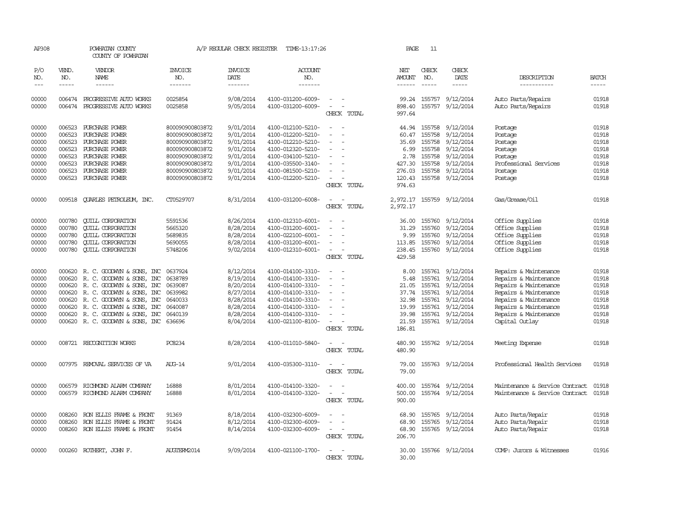| AP308          |                  | POWHATAN COUNTY<br>COUNTY OF POWHATAN                  |                       | A/P REGULAR CHECK REGISTER | TIME-13:17:26                          |                                    | PAGE            | 11               |                               |                                                |                |
|----------------|------------------|--------------------------------------------------------|-----------------------|----------------------------|----------------------------------------|------------------------------------|-----------------|------------------|-------------------------------|------------------------------------------------|----------------|
| P/O<br>NO.     | VEND.<br>NO.     | VENDOR<br><b>NAME</b>                                  | <b>INVOICE</b><br>NO. | <b>INVOICE</b><br>DATE     | ACCOUNT<br>NO.                         |                                    | NET<br>AMOUNT   | CHECK<br>NO.     | CHECK<br>DATE                 | DESCRIPTION                                    | <b>BATCH</b>   |
| $---$          | $\frac{1}{2}$    | ------                                                 | -------               | --------                   | -------                                |                                    | $- - - - - -$   | $\frac{1}{2}$    | -----                         | -----------                                    | $\frac{1}{2}$  |
| 00000<br>00000 | 006474<br>006474 | PROGRESSIVE AUTO WORKS<br>PROGRESSIVE AUTO WORKS       | 0025854<br>0025858    | 9/08/2014<br>9/05/2014     | 4100-031200-6009-<br>4100-031200-6009- | $\equiv$                           | 99.24<br>898.40 | 155757<br>155757 | 9/12/2014<br>9/12/2014        | Auto Parts/Repairs<br>Auto Parts/Repairs       | 01918<br>01918 |
|                |                  |                                                        |                       |                            |                                        | CHECK TOTAL                        | 997.64          |                  |                               |                                                |                |
| 00000          | 006523           | PURCHASE POWER                                         | 800090900803872       | 9/01/2014                  | 4100-012100-5210-                      |                                    | 44.94           | 155758           | 9/12/2014                     | Postage                                        | 01918          |
| 00000          | 006523           | PURCHASE POWER                                         | 800090900803872       | 9/01/2014                  | 4100-012200-5210-                      |                                    | 60.47           | 155758           | 9/12/2014                     | Postage                                        | 01918          |
| 00000          | 006523           | PURCHASE POWER                                         | 800090900803872       | 9/01/2014                  | 4100-012210-5210-                      |                                    | 35.69           | 155758           | 9/12/2014                     | Postage                                        | 01918          |
| 00000          | 006523           | PURCHASE POWER                                         | 800090900803872       | 9/01/2014                  | 4100-012320-5210-                      |                                    | 6.99            | 155758           | 9/12/2014                     | Postage                                        | 01918          |
| 00000          | 006523           | PURCHASE POWER                                         | 800090900803872       | 9/01/2014                  | 4100-034100-5210-                      |                                    | 2.78            | 155758           | 9/12/2014                     | Postage                                        | 01918          |
| 00000          | 006523           | PURCHASE POWER                                         | 800090900803872       | 9/01/2014                  | 4100-035500-3140-                      |                                    | 427.30          |                  | 155758 9/12/2014              | Professional Services                          | 01918          |
| 00000          | 006523           | PURCHASE POWER                                         | 800090900803872       | 9/01/2014                  | 4100-081500-5210-                      |                                    | 276.03          |                  | 155758 9/12/2014              | Postage                                        | 01918          |
| 00000          | 006523           | PURCHASE POWER                                         | 800090900803872       | 9/01/2014                  | 4100-012200-5210-                      |                                    | 120.43          |                  | 155758 9/12/2014              | Postage                                        | 01918          |
|                |                  |                                                        |                       |                            |                                        | CHECK TOTAL                        | 974.63          |                  |                               |                                                |                |
|                |                  |                                                        |                       |                            |                                        |                                    |                 |                  |                               |                                                |                |
| 00000          |                  | 009518 CUARLES PETROLEUM, INC.                         | CT0529707             | 8/31/2014                  | 4100-031200-6008-                      | $\sim$                             |                 |                  | 2,972.17 155759 9/12/2014     | Gas/Grease/0il                                 | 01918          |
|                |                  |                                                        |                       |                            |                                        | CHECK TOTAL                        | 2,972.17        |                  |                               |                                                |                |
| 00000          | 000780           | <b>CUILL CORPORATION</b>                               | 5591536               | 8/26/2014                  | 4100-012310-6001-                      |                                    | 36.00           |                  | 155760 9/12/2014              | Office Supplies                                | 01918          |
| 00000          | 000780           | <b>CUILL CORPORATION</b>                               | 5665320               | 8/28/2014                  | 4100-031200-6001-                      |                                    | 31.29           | 155760           | 9/12/2014                     | Office Supplies                                | 01918          |
| 00000          | 000780           | <b>CUILL CORPORATION</b>                               | 5689835               | 8/28/2014                  | 4100-022100-6001-                      |                                    | 9.99            | 155760           | 9/12/2014                     | Office Supplies                                | 01918          |
| 00000          | 000780           | <b>CUILL CORPORATION</b>                               | 5690055               | 8/28/2014                  | 4100-031200-6001-                      |                                    | 113.85          |                  | 155760 9/12/2014              | Office Supplies                                | 01918          |
| 00000          | 000780           | <b>QUILL CORPORATION</b>                               | 5748206               | 9/02/2014                  | 4100-012310-6001-                      | $\sim$                             | 238.45          |                  | 155760 9/12/2014              | Office Supplies                                | 01918          |
|                |                  |                                                        |                       |                            |                                        | CHECK TOTAL                        | 429.58          |                  |                               |                                                |                |
| 00000          | 000620           |                                                        | 0637924               | 8/12/2014                  | 4100-014100-3310-                      |                                    | 8.00            |                  | 155761 9/12/2014              | Repairs & Maintenance                          | 01918          |
| 00000          | 000620           | R. C. GOODWYN & SONS, INC                              | 0638789               | 8/19/2014                  | 4100-014100-3310-                      | $\sim$<br>$\overline{\phantom{a}}$ | 5.48            |                  |                               |                                                | 01918          |
| 00000          | 000620           | R. C. GOODWYN & SONS, INC                              | 0639087               | 8/20/2014                  | 4100-014100-3310-                      |                                    | 21.05           | 155761           | 155761 9/12/2014<br>9/12/2014 | Repairs & Maintenance<br>Repairs & Maintenance | 01918          |
| 00000          | 000620           | R. C. GOODWYN & SONS, INC<br>R. C. GOODWYN & SONS, INC | 0639982               | 8/27/2014                  | 4100-014100-3310-                      |                                    | 37.74           |                  | 155761 9/12/2014              |                                                | 01918          |
| 00000          | 000620           | R. C. GOODWYN & SONS, INC                              | 0640033               | 8/28/2014                  | 4100-014100-3310-                      |                                    | 32.98           |                  | 155761 9/12/2014              | Repairs & Maintenance<br>Repairs & Maintenance | 01918          |
| 00000          | 000620           |                                                        | 0640087               | 8/28/2014                  |                                        |                                    |                 |                  | 155761 9/12/2014              | Repairs & Maintenance                          | 01918          |
|                |                  | R. C. GOODWYN & SONS, INC                              |                       |                            | 4100-014100-3310-                      |                                    | 19.99           |                  |                               |                                                |                |
| 00000<br>00000 | 000620           | R. C. GOODWYN & SONS, INC                              | 0640139               | 8/28/2014                  | 4100-014100-3310-                      |                                    | 39.98           |                  | 155761 9/12/2014              | Repairs & Maintenance                          | 01918<br>01918 |
|                |                  | 000620 R. C. GOODWYN & SONS, INC 636696                |                       | 8/04/2014                  | 4100-021100-8100-                      | CHECK TOTAL                        | 21.59<br>186.81 |                  | 155761 9/12/2014              | Capital Outlay                                 |                |
|                |                  |                                                        |                       |                            |                                        |                                    |                 |                  |                               |                                                |                |
| 00000          |                  | 008721 RECOGNITION WORKS                               | PC8234                | 8/28/2014                  | 4100-011010-5840-                      | $\overline{\phantom{a}}$           | 480.90          |                  | 155762 9/12/2014              | Meeting Expense                                | 01918          |
|                |                  |                                                        |                       |                            |                                        | CHECK TOTAL                        | 480.90          |                  |                               |                                                |                |
| 00000          |                  | 007975 REMOVAL SERVICES OF VA                          | AUG-14                | 9/01/2014                  | 4100-035300-3110-                      | $\sim$                             | 79.00           |                  | 155763 9/12/2014              | Professional Health Services                   | 01918          |
|                |                  |                                                        |                       |                            |                                        | CHECK TOTAL                        | 79.00           |                  |                               |                                                |                |
| 00000          | 006579           | RICHMOND ALARM COMPANY                                 | 16888                 | 8/01/2014                  | 4100-014100-3320-                      |                                    | 400.00          |                  | 155764 9/12/2014              | Maintenance & Service Contract                 | 01918          |
| 00000          | 006579           | RICHMOND ALARM COMPANY                                 | 16888                 | 8/01/2014                  | 4100-014100-3320-                      |                                    | 500.00          |                  | 155764 9/12/2014              | Maintenance & Service Contract                 | 01918          |
|                |                  |                                                        |                       |                            |                                        | CHECK TOTAL                        | 900.00          |                  |                               |                                                |                |
|                |                  |                                                        |                       |                            |                                        |                                    |                 |                  |                               |                                                |                |
| 00000          | 008260           | RON ELLIS FRAME & FRONT                                | 91369                 | 8/18/2014                  | 4100-032300-6009-                      |                                    | 68.90           |                  | 155765 9/12/2014              | Auto Parts/Repair                              | 01918          |
| 00000          | 008260           | RON ELLIS FRAME & FRONT                                | 91424                 | 8/12/2014                  | 4100-032300-6009-                      |                                    | 68.90           | 155765           | 9/12/2014                     | Auto Parts/Repair                              | 01918          |
| 00000          | 008260           | RON ELLIS FRAME & FRONT                                | 91454                 | 8/14/2014                  | 4100-032300-6009-                      | $\sim$                             | 68.90           |                  | 155765 9/12/2014              | Auto Parts/Repair                              | 01918          |
|                |                  |                                                        |                       |                            |                                        | CHECK TOTAL                        | 206.70          |                  |                               |                                                |                |
| 00000          |                  | 000260 ROTHERT, JOHN F.                                | AUGTERM2014           | 9/09/2014                  | 4100-021100-1700-                      |                                    | 30.00           |                  | 155766 9/12/2014              | COMP: Jurors & Witnesses                       | 01916          |
|                |                  |                                                        |                       |                            |                                        | CHECK TOTAL                        | 30.00           |                  |                               |                                                |                |
|                |                  |                                                        |                       |                            |                                        |                                    |                 |                  |                               |                                                |                |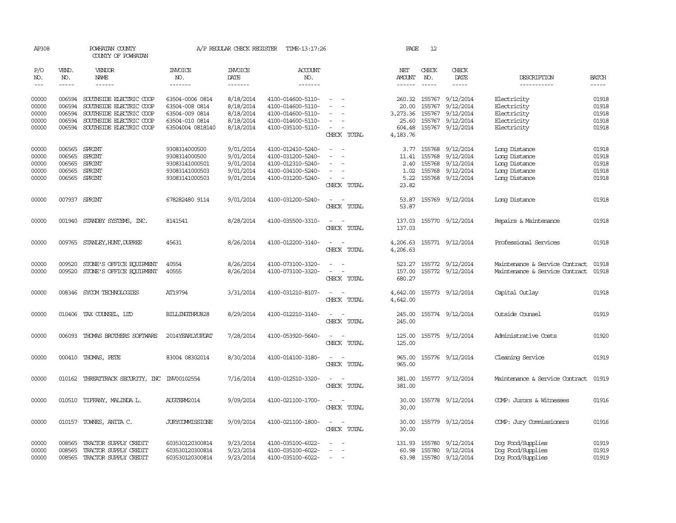| AP308          |                  | POWHATAN COUNTY<br>COUNTY OF POWHATAN                     |                                    | A/P REGULAR CHECK REGISTER | TIME-13:17:26                          |                                                      | PAGE                 | 12               |                                            |                                        |                |
|----------------|------------------|-----------------------------------------------------------|------------------------------------|----------------------------|----------------------------------------|------------------------------------------------------|----------------------|------------------|--------------------------------------------|----------------------------------------|----------------|
| P/O<br>NO.     | VEND.<br>NO.     | <b>VENDOR</b><br>NAME                                     | <b>INVOICE</b><br>NO.              | <b>INVOICE</b><br>DATE     | ACCOUNT<br>NO.                         |                                                      | NET<br>AMOUNT        | CHECK<br>NO.     | CHECK<br>DATE                              | DESCRIPTION                            | <b>BATCH</b>   |
| $---$          | $\frac{1}{2}$    | $- - - - - -$                                             | --------                           | -------                    | -------                                |                                                      | $- - - - - -$        | $\frac{1}{2}$    | $- - - - -$                                | -----------                            | $\frac{1}{2}$  |
| 00000<br>00000 | 006594<br>006594 | SOUTHSIDE ELECTRIC COOP<br>SOUTHSIDE ELECTRIC COOP        | 63504-0006 0814<br>63504-008 0814  | 8/18/2014<br>8/18/2014     | 4100-014600-5110-<br>4100-014600-5110- | $\sim$ $\sim$                                        | 260.32<br>20.00      | 155767<br>155767 | 9/12/2014<br>9/12/2014                     | Electricity<br>Electricity             | 01918<br>01918 |
| 00000          | 006594           | SOUTHSIDE ELECTRIC COOP                                   | 63504-009 0814                     | 8/18/2014                  | 4100-014600-5110-                      | $\sim$                                               | 3,273.36             |                  | 155767 9/12/2014                           | Electricity                            | 01918          |
| 00000<br>00000 | 006594           | SOUTHSIDE ELECTRIC COOP<br>006594 SOUTHSIDE ELECTRIC COOP | 63504-010 0814<br>63504004 0818140 | 8/18/2014<br>8/18/2014     | 4100-014600-5110-<br>4100-035100-5110- | $\sim$                                               | 25.60<br>604.48      |                  | 155767 9/12/2014<br>155767 9/12/2014       | Electricity<br>Electricity             | 01918<br>01918 |
|                |                  |                                                           |                                    |                            |                                        | CHECK TOTAL                                          | 4,183.76             |                  |                                            |                                        |                |
| 00000          | 006565           | SPRINT                                                    | 9308314000500                      | 9/01/2014                  | 4100-012410-5240-                      |                                                      | 3.77                 | 155768           | 9/12/2014                                  | Long Distance                          | 01918          |
| 00000          | 006565           | SPRINT                                                    | 9308314000500                      | 9/01/2014                  | 4100-031200-5240-                      |                                                      | 11.41                | 155768           | 9/12/2014                                  | Long Distance                          | 01918          |
| 00000          | 006565           | SPRINT                                                    | 93083141000501                     | 9/01/2014                  | 4100-012310-5240-                      |                                                      | 2.40                 | 155768           | 9/12/2014                                  | Long Distance                          | 01918          |
| 00000<br>00000 | 006565<br>006565 | SPRINT<br>SPRINT                                          | 93083141000503<br>93083141000503   | 9/01/2014<br>9/01/2014     | 4100-034100-5240-<br>4100-031200-5240- | $\overline{\phantom{a}}$<br>$\overline{\phantom{a}}$ | 1.02<br>5.22         | 155768           | 155768 9/12/2014<br>9/12/2014              | Long Distance<br>Long Distance         | 01918<br>01918 |
|                |                  |                                                           |                                    |                            |                                        | CHECK TOTAL                                          | 23.82                |                  |                                            |                                        |                |
| 00000          |                  | 007937 SPRINT                                             | 678282480 9114                     | 9/01/2014                  | 4100-031200-5240-                      |                                                      | 53.87                |                  | 155769 9/12/2014                           | Long Distance                          | 01918          |
|                |                  |                                                           |                                    |                            |                                        | CHECK TOTAL                                          | 53.87                |                  |                                            |                                        |                |
| 00000          |                  | 001940 STANDBY SYSTEMS, INC.                              | 8141541                            | 8/28/2014                  | 4100-035500-3310-                      | $\sim$<br>$\sim$<br>CHECK TOTAL                      | 137.03<br>137.03     |                  | 155770 9/12/2014                           | Repairs & Maintenance                  | 01918          |
| 00000          |                  | 009765 STANLEY, HUNT, DUPREE                              | 45631                              | 8/26/2014                  | 4100-012200-3140-                      | $\sim$<br>$\sim$<br>CHECK TOTAL                      | 4,206.63<br>4,206.63 |                  | 155771 9/12/2014                           | Professional Services                  | 01918          |
| 00000          | 009520           | STONE'S OFFICE EQUIPMENT                                  | 40554                              | 8/26/2014                  | 4100-073100-3320-                      | $\sim$<br>$\sim$<br>$\sim$                           | 523.27               |                  | 155772 9/12/2014                           | Maintenance & Service Contract         | 01918<br>01918 |
| 00000          | 009520           | STONE'S OFFICE EQUIPMENT                                  | 40555                              | 8/26/2014                  | 4100-073100-3320-                      | CHECK TOTAL                                          | 157.00<br>680.27     |                  | 155772 9/12/2014                           | Maintenance & Service Contract         |                |
| 00000          |                  | 008346 SYCOM TECHNOLOGIES                                 | AT19794                            | 3/31/2014                  | 4100-031210-8107-                      | $\sim$ $\sim$<br>CHECK TOTAL                         | 4,642.00<br>4,642.00 |                  | 155773 9/12/2014                           | Capital Outlay                         | 01918          |
| 00000          |                  | 010406 TAX COUNSEL, LTD                                   | BILLINGTHRU828                     | 8/29/2014                  | 4100-012210-3140-                      | CHECK TOTAL                                          | 245.00<br>245.00     |                  | 155774 9/12/2014                           | Outside Counsel                        | 01919          |
| 00000          | 006093           | THOMAS BROTHERS SOFTWARE                                  | 2014YEARLYUPDAT                    | 7/28/2014                  | 4100-053920-5640-                      | $ -$<br>CHECK TOTAL                                  | 125.00<br>125.00     |                  | 155775 9/12/2014                           | Administrative Costs                   | 01920          |
| 00000          |                  | 000410 THOMAS, PETE                                       | 83004 08302014                     | 8/30/2014                  | 4100-014100-3180-                      | CHECK TOTAL                                          | 965.00<br>965.00     |                  | 155776 9/12/2014                           | Cleaning Service                       | 01919          |
| 00000          |                  | 010162 THREATTRACK SECURITY, INC INV00102554              |                                    | 7/16/2014                  | 4100-012510-3320-                      | CHECK TOTAL                                          | 381.00<br>381.00     |                  | 155777 9/12/2014                           | Maintenance & Service Contract         | 01919          |
| 00000          |                  | 010510 TIFFANY, MALINDA L.                                | AUGTERM2014                        | 9/09/2014                  | 4100-021100-1700-                      | CHECK TOTAL                                          | 30.00<br>30.00       |                  | 155778 9/12/2014                           | COMP: Jurors & Witnesses               | 01916          |
| 00000          | 010157           | TOWNES, ANITA C.                                          | <b>JURYCOMMISSIONE</b>             | 9/09/2014                  | 4100-021100-1800-                      | $\overline{\phantom{a}}$<br>CHECK TOTAL              | 30.00<br>30.00       |                  | 155779 9/12/2014                           | COMP: Jury Commissioners               | 01916          |
| 00000          | 008565           | TRACTOR SUPPLY CREDIT                                     | 603530120300814                    | 9/23/2014                  | 4100-035100-6022-                      |                                                      | 131.93               |                  | 155780 9/12/2014                           | Dog Food/Supplies                      | 01919          |
| 00000<br>00000 | 008565           | TRACTOR SUPPLY CREDIT<br>008565 TRACTOR SUPPLY CREDIT     | 603530120300814<br>603530120300814 | 9/23/2014<br>9/23/2014     | 4100-035100-6022-<br>4100-035100-6022- | $\equiv$<br>$\sim$                                   | 60.98                |                  | 155780 9/12/2014<br>63.98 155780 9/12/2014 | Dog Food/Supplies<br>Dog Food/Supplies | 01919<br>01919 |
|                |                  |                                                           |                                    |                            |                                        |                                                      |                      |                  |                                            |                                        |                |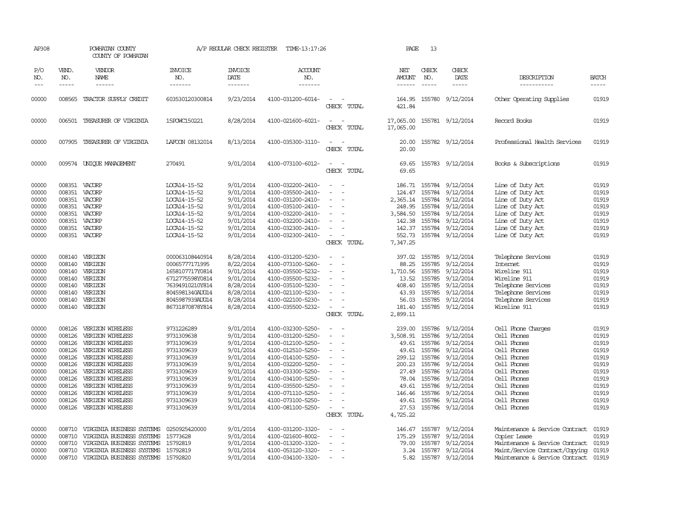| AP308                                                                                                    |                                                                                                                      | POWHATAN COUNTY<br>COUNTY OF POWHATAN                                                                                                                                                                                                        |                                                                                                                                                                      | A/P REGULAR CHECK REGISTER                                                                                                                               | TIME-13:17:26                                                                                                                                                                                                                                            |                                                                                               | PAGE                                                                                                                        | 13                                                                                                                   |                                                                                                                                                          |                                                                                                                                                                                         |                                                                                                          |
|----------------------------------------------------------------------------------------------------------|----------------------------------------------------------------------------------------------------------------------|----------------------------------------------------------------------------------------------------------------------------------------------------------------------------------------------------------------------------------------------|----------------------------------------------------------------------------------------------------------------------------------------------------------------------|----------------------------------------------------------------------------------------------------------------------------------------------------------|----------------------------------------------------------------------------------------------------------------------------------------------------------------------------------------------------------------------------------------------------------|-----------------------------------------------------------------------------------------------|-----------------------------------------------------------------------------------------------------------------------------|----------------------------------------------------------------------------------------------------------------------|----------------------------------------------------------------------------------------------------------------------------------------------------------|-----------------------------------------------------------------------------------------------------------------------------------------------------------------------------------------|----------------------------------------------------------------------------------------------------------|
| P/O<br>NO.<br>$---$                                                                                      | VEND.<br>NO.                                                                                                         | VENDOR<br>NAME<br>------                                                                                                                                                                                                                     | <b>INVOICE</b><br>NO.<br>-------                                                                                                                                     | <b>INVOICE</b><br>DATE<br>-------                                                                                                                        | <b>ACCOUNT</b><br>NO.<br>-------                                                                                                                                                                                                                         |                                                                                               | NET<br>AMOUNT<br>------                                                                                                     | CHECK<br>NO.                                                                                                         | CHECK<br>DATE<br>$- - - - -$                                                                                                                             | DESCRIPTION<br>-----------                                                                                                                                                              | <b>BATCH</b><br>-----                                                                                    |
| 00000                                                                                                    |                                                                                                                      | 008565 TRACTOR SUPPLY CREDIT                                                                                                                                                                                                                 | 603530120300814                                                                                                                                                      | 9/23/2014                                                                                                                                                | 4100-031200-6014-                                                                                                                                                                                                                                        | CHECK TOTAL                                                                                   | 164.95<br>421.84                                                                                                            |                                                                                                                      | 155780 9/12/2014                                                                                                                                         | Other Operating Supplies                                                                                                                                                                | 01919                                                                                                    |
| 00000                                                                                                    |                                                                                                                      | 006501 TREASURER OF VIRGINIA                                                                                                                                                                                                                 | 15POWC150221                                                                                                                                                         | 8/28/2014                                                                                                                                                | 4100-021600-6021-                                                                                                                                                                                                                                        | $\sim$<br>CHECK TOTAL                                                                         | 17,065.00<br>17,065.00                                                                                                      |                                                                                                                      | 155781 9/12/2014                                                                                                                                         | Record Books                                                                                                                                                                            | 01919                                                                                                    |
| 00000                                                                                                    |                                                                                                                      | 007905 TREASURER OF VIRGINIA                                                                                                                                                                                                                 | LAFOON 08132014                                                                                                                                                      | 8/13/2014                                                                                                                                                | 4100-035300-3110-                                                                                                                                                                                                                                        | CHECK TOTAL                                                                                   | 20.00<br>20.00                                                                                                              |                                                                                                                      | 155782 9/12/2014                                                                                                                                         | Professional Health Services                                                                                                                                                            | 01919                                                                                                    |
| 00000                                                                                                    |                                                                                                                      | 009574 UNIOUE MANAGEMENT                                                                                                                                                                                                                     | 270491                                                                                                                                                               | 9/01/2014                                                                                                                                                | 4100-073100-6012-                                                                                                                                                                                                                                        | $\sim$<br>CHECK TOTAL                                                                         | 69.65<br>69.65                                                                                                              |                                                                                                                      | 155783 9/12/2014                                                                                                                                         | Books & Subscriptions                                                                                                                                                                   | 01919                                                                                                    |
| 00000<br>00000<br>00000<br>00000<br>00000<br>00000<br>00000<br>00000                                     | 008351<br>008351 VACORP<br>008351<br>008351<br>008351<br>008351<br>008351                                            | 008351 VACORP<br>VACORP<br>VACORP<br>VACORP<br>VACORP<br>VACORP<br>VACORP                                                                                                                                                                    | LOCA14-15-52<br>LOCA14-15-52<br>LOCA14-15-52<br>LOCA14-15-52<br>LOCA14-15-52<br>LOCA14-15-52<br>LOCA14-15-52<br>LOCA14-15-52                                         | 9/01/2014<br>9/01/2014<br>9/01/2014<br>9/01/2014<br>9/01/2014<br>9/01/2014<br>9/01/2014<br>9/01/2014                                                     | 4100-032200-2410-<br>4100-035500-2410-<br>4100-031200-2410-<br>4100-035100-2410-<br>4100-032200-2410-<br>4100-032200-2410-<br>4100-032300-2410-<br>4100-032300-2410-                                                                                     | $\equiv$<br>$\sim$<br>CHECK TOTAL                                                             | 186.71<br>124.47<br>2,365.14<br>248.95<br>3,584.50<br>142.38<br>142.37<br>552.73<br>7,347.25                                | 155784<br>155784<br>155784<br>155784<br>155784                                                                       | 9/12/2014<br>9/12/2014<br>155784 9/12/2014<br>9/12/2014<br>9/12/2014<br>9/12/2014<br>155784 9/12/2014<br>155784 9/12/2014                                | Line of Duty Act<br>Line of Duty Act<br>Line of Duty Act<br>Line of Duty Act<br>Line of Duty Act<br>Line of Duty Act<br>Line Of Duty Act<br>Line Of Duty Act                            | 01919<br>01919<br>01919<br>01919<br>01919<br>01919<br>01919<br>01919                                     |
| 00000<br>00000<br>00000<br>00000<br>00000<br>00000<br>00000<br>00000                                     | 008140<br>008140<br>008140<br>008140<br>008140<br>008140<br>008140<br>008140                                         | VERIZON<br>VERIZON<br>VERIZON<br>VERIZON<br>VERIZON<br>VERIZON<br>VERIZON<br>VERIZON                                                                                                                                                         | 000063108440914<br>00065777171995<br>1658107717Y0814<br>6712775598Y0814<br>76394910210Y814<br>8045981340AUG14<br>8045987939AUG14<br>86731870878Y814                  | 8/28/2014<br>8/22/2014<br>9/01/2014<br>9/01/2014<br>8/28/2014<br>8/28/2014<br>8/28/2014<br>8/28/2014                                                     | 4100-031200-5230-<br>4100-073100-5260-<br>4100-035500-5232-<br>4100-035500-5232-<br>4100-035100-5230-<br>4100-021100-5230-<br>4100-022100-5230-<br>4100-035500-5232-                                                                                     | $\sim$<br>$\sim$<br>$\equiv$<br>$\overline{\phantom{a}}$<br>CHECK TOTAL                       | 397.02<br>88.25<br>1,710.56<br>13.52<br>408.40<br>43.93<br>56.03<br>181.40<br>2,899.11                                      | 155785<br>155785<br>155785<br>155785<br>155785<br>155785<br>155785<br>155785                                         | 9/12/2014<br>9/12/2014<br>9/12/2014<br>9/12/2014<br>9/12/2014<br>9/12/2014<br>9/12/2014<br>9/12/2014                                                     | Telephone Services<br>Internet<br>Wireline 911<br>Wireline 911<br>Telephone Services<br>Telephone Services<br>Telephone Services<br>Wireline 911                                        | 01919<br>01919<br>01919<br>01919<br>01919<br>01919<br>01919<br>01919                                     |
| 00000<br>00000<br>00000<br>00000<br>00000<br>00000<br>00000<br>00000<br>00000<br>00000<br>00000<br>00000 | 008126<br>008126<br>008126<br>008126<br>008126<br>008126<br>008126<br>008126<br>008126<br>008126<br>008126<br>008126 | VERIZON WIRELESS<br>VERIZON WIRELESS<br>VERIZON WIRELESS<br>VERIZON WIRELESS<br>VERIZON WIRELESS<br>VERIZON WIRELESS<br>VERIZON WIRELESS<br>VERIZON WIRELESS<br>VERIZON WIRELESS<br>VERIZON WIRELESS<br>VERIZON WIRELESS<br>VERIZON WIRELESS | 9731226289<br>9731309638<br>9731309639<br>9731309639<br>9731309639<br>9731309639<br>9731309639<br>9731309639<br>9731309639<br>9731309639<br>9731309639<br>9731309639 | 9/01/2014<br>9/01/2014<br>9/01/2014<br>9/01/2014<br>9/01/2014<br>9/01/2014<br>9/01/2014<br>9/01/2014<br>9/01/2014<br>9/01/2014<br>9/01/2014<br>9/01/2014 | 4100-032300-5250-<br>4100-031200-5250-<br>4100-012100-5250-<br>4100-012510-5250-<br>4100-014100-5250-<br>4100-032200-5250-<br>4100-033300-5250-<br>4100-034100-5250-<br>4100-035500-5250-<br>4100-071110-5250-<br>4100-073100-5250-<br>4100-081100-5250- | $\sim$<br>$\equiv$<br>$\sim$<br>$\sim$<br>$\equiv$<br>$\overline{\phantom{a}}$<br>CHECK TOTAL | 239.00<br>3,508.91<br>49.61<br>49.61<br>299.12<br>200.23<br>27.49<br>78.04<br>49.61<br>146.46<br>49.61<br>27.53<br>4,725.22 | 155786<br>155786<br>155786<br>155786<br>155786<br>155786<br>155786<br>155786<br>155786<br>155786<br>155786<br>155786 | 9/12/2014<br>9/12/2014<br>9/12/2014<br>9/12/2014<br>9/12/2014<br>9/12/2014<br>9/12/2014<br>9/12/2014<br>9/12/2014<br>9/12/2014<br>9/12/2014<br>9/12/2014 | Cell Phone Charges<br>Cell Phones<br>Cell Phones<br>Cell Phones<br>Cell Phones<br>Cell Phones<br>Cell Phones<br>Cell Phones<br>Cell Phones<br>Cell Phones<br>Cell Phones<br>Cell Phones | 01919<br>01919<br>01919<br>01919<br>01919<br>01919<br>01919<br>01919<br>01919<br>01919<br>01919<br>01919 |
| 00000<br>00000<br>00000<br>00000<br>00000                                                                | 008710<br>008710<br>008710<br>008710<br>008710                                                                       | VIRGINIA BUSINESS SYSTEMS<br>VIRGINIA BUSINESS SYSTEMS<br>VIRGINIA BUSINESS SYSTEMS<br>VIRGINIA BUSINESS SYSTEMS<br>VIRGINIA BUSINESS SYSTEMS                                                                                                | 0250925420000<br>15773628<br>15792819<br>15792819<br>15792820                                                                                                        | 9/01/2014<br>9/01/2014<br>9/01/2014<br>9/01/2014<br>9/01/2014                                                                                            | 4100-031200-3320-<br>4100-021600-8002-<br>4100-013200-3320-<br>4100-053120-3320-<br>4100-034100-3320-                                                                                                                                                    | $\equiv$<br>$\overline{\phantom{a}}$                                                          | 146.67<br>175.29<br>79.00<br>3.24<br>5.82                                                                                   | 155787<br>155787<br>155787                                                                                           | 9/12/2014<br>9/12/2014<br>9/12/2014<br>155787 9/12/2014<br>155787 9/12/2014                                                                              | Maintenance & Service Contract<br>Copier Lease<br>Maintenance & Service Contract<br>Maint/Service Contract/Copying<br>Maintenance & Service Contract                                    | 01919<br>01919<br>01919<br>01919<br>01919                                                                |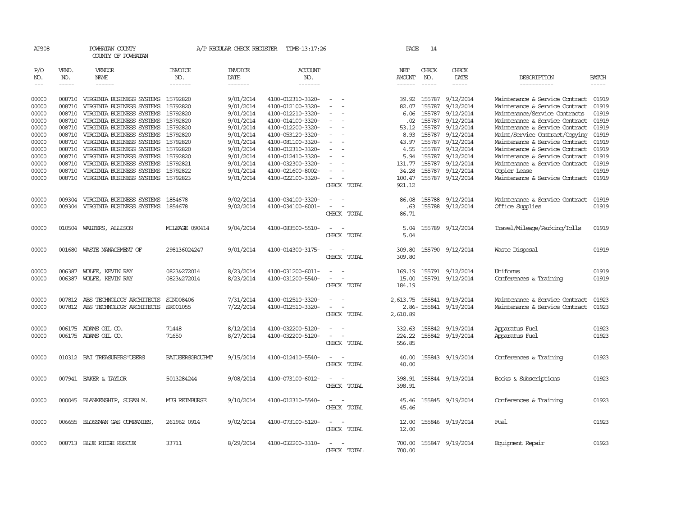| AP308                                                                                           |                                                                    | POWHATAN COUNTY<br>COUNTY OF POWHATAN                                                                                                                                                                                                                                                                                                                   |                                                                                                                                  | A/P REGULAR CHECK REGISTER                                                                                                                  | TIME-13:17:26                                                                                                                                                                                                                       |                                                | PAGE                                                                               | 14                                                                                                              |                                                                                                                                             |                                                                                                                                                                                                                                                                                                                                                                 |                                                                                                 |
|-------------------------------------------------------------------------------------------------|--------------------------------------------------------------------|---------------------------------------------------------------------------------------------------------------------------------------------------------------------------------------------------------------------------------------------------------------------------------------------------------------------------------------------------------|----------------------------------------------------------------------------------------------------------------------------------|---------------------------------------------------------------------------------------------------------------------------------------------|-------------------------------------------------------------------------------------------------------------------------------------------------------------------------------------------------------------------------------------|------------------------------------------------|------------------------------------------------------------------------------------|-----------------------------------------------------------------------------------------------------------------|---------------------------------------------------------------------------------------------------------------------------------------------|-----------------------------------------------------------------------------------------------------------------------------------------------------------------------------------------------------------------------------------------------------------------------------------------------------------------------------------------------------------------|-------------------------------------------------------------------------------------------------|
| P/O<br>NO.<br>$---$                                                                             | VEND.<br>NO.<br>$- - - - -$                                        | VENDOR<br>NAME<br>$- - - - - -$                                                                                                                                                                                                                                                                                                                         | <b>INVOICE</b><br>NO.<br>-------                                                                                                 | <b>INVOICE</b><br>DATE<br>--------                                                                                                          | ACCOUNT<br>NO.<br>$- - - - - - -$                                                                                                                                                                                                   |                                                | NET<br>AMOUNT<br>------                                                            | CHECK<br>NO.<br>$- - - - -$                                                                                     | CHECK<br>DATE<br>$- - - - -$                                                                                                                | DESCRIPTION<br>-----------                                                                                                                                                                                                                                                                                                                                      | <b>BATCH</b><br>$- - - - -$                                                                     |
| 00000<br>00000<br>00000<br>00000<br>00000<br>00000<br>00000<br>00000<br>00000<br>00000<br>00000 | 008710<br>008710<br>008710<br>008710<br>008710<br>008710<br>008710 | VIRGINIA BUSINESS SYSTEMS<br>VIRGINIA BUSINESS SYSTEMS<br>008710 VIRGINIA BUSINESS SYSTEMS<br>VIRGINIA BUSINESS SYSTEMS<br>008710 VIRGINIA BUSINESS SYSTEMS<br>008710 VIRGINIA BUSINESS SYSTEMS<br>VIRGINIA BUSINESS SYSTEMS<br>008710 VIRGINIA BUSINESS SYSTEMS<br>VIRGINIA BUSINESS SYSTEMS<br>VIRGINIA BUSINESS SYSTEMS<br>VIRGINIA BUSINESS SYSTEMS | 15792820<br>15792820<br>15792820<br>15792820<br>15792820<br>15792820<br>15792820<br>15792820<br>15792820<br>15792821<br>15792822 | 9/01/2014<br>9/01/2014<br>9/01/2014<br>9/01/2014<br>9/01/2014<br>9/01/2014<br>9/01/2014<br>9/01/2014<br>9/01/2014<br>9/01/2014<br>9/01/2014 | 4100-012310-3320-<br>4100-012100-3320-<br>4100-012210-3320-<br>4100-014100-3320-<br>4100-012200-3320-<br>4100-053120-3320-<br>4100-081100-3320-<br>4100-012310-3320-<br>4100-012410-3320-<br>4100-032300-3320-<br>4100-021600-8002- | $\overline{\phantom{a}}$<br>$\sim$<br>$\equiv$ | 39.92<br>82.07<br>.02<br>53.12<br>8.93<br>43.97<br>4.55<br>5.94<br>131.77<br>34.28 | 155787<br>155787<br>6.06 155787<br>155787<br>155787<br>155787<br>155787<br>155787<br>155787<br>155787<br>155787 | 9/12/2014<br>9/12/2014<br>9/12/2014<br>9/12/2014<br>9/12/2014<br>9/12/2014<br>9/12/2014<br>9/12/2014<br>9/12/2014<br>9/12/2014<br>9/12/2014 | Maintenance & Service Contract<br>Maintenance & Service Contract<br>Maintenance/Service Contracts<br>Maintenance & Service Contract<br>Maintenance & Service Contract<br>Maint/Service Contract/Copying<br>Maintenance & Service Contract<br>Maintenance & Service Contract<br>Maintenance & Service Contract<br>Maintenance & Service Contract<br>Copier Lease | 01919<br>01919<br>01919<br>01919<br>01919<br>01919<br>01919<br>01919<br>01919<br>01919<br>01919 |
| 00000                                                                                           | 008710                                                             | VIRGINIA BUSINESS SYSTEMS                                                                                                                                                                                                                                                                                                                               | 15792823                                                                                                                         | 9/01/2014                                                                                                                                   | 4100-022100-3320-                                                                                                                                                                                                                   | CHECK TOTAL                                    | 100.47<br>921.12                                                                   |                                                                                                                 | 155787 9/12/2014                                                                                                                            | Maintenance & Service Contract 01919                                                                                                                                                                                                                                                                                                                            |                                                                                                 |
| 00000<br>00000                                                                                  | 009304                                                             | VIRGINIA BUSINESS SYSTEMS<br>009304 VIRGINIA BUSINESS SYSTEMS                                                                                                                                                                                                                                                                                           | 1854678<br>1854678                                                                                                               | 9/02/2014<br>9/02/2014                                                                                                                      | 4100-034100-3320-<br>4100-034100-6001-                                                                                                                                                                                              | CHECK TOTAL                                    | 86.08<br>.63<br>86.71                                                              |                                                                                                                 | 155788 9/12/2014<br>155788 9/12/2014                                                                                                        | Maintenance & Service Contract<br>Office Supplies                                                                                                                                                                                                                                                                                                               | 01919<br>01919                                                                                  |
| 00000                                                                                           |                                                                    | 010504 WALTERS, ALLISON                                                                                                                                                                                                                                                                                                                                 | MILEAGE 090414                                                                                                                   | 9/04/2014                                                                                                                                   | 4100-083500-5510-                                                                                                                                                                                                                   | $\sim$<br>CHECK TOTAL                          | 5.04<br>5.04                                                                       |                                                                                                                 | 155789 9/12/2014                                                                                                                            | Travel/Mileage/Parking/Tolls                                                                                                                                                                                                                                                                                                                                    | 01919                                                                                           |
| 00000                                                                                           |                                                                    | 001680 WASTE MANAGEMENT OF                                                                                                                                                                                                                                                                                                                              | 298136024247                                                                                                                     | 9/01/2014                                                                                                                                   | 4100-014300-3175-                                                                                                                                                                                                                   | $\equiv$<br>$\sim$<br>CHECK TOTAL              | 309.80<br>309.80                                                                   |                                                                                                                 | 155790 9/12/2014                                                                                                                            | Waste Disposal                                                                                                                                                                                                                                                                                                                                                  | 01919                                                                                           |
| 00000<br>00000                                                                                  | 006387                                                             | WOLFE, KEVIN RAY<br>006387 WOLFE, KEVIN RAY                                                                                                                                                                                                                                                                                                             | 0823&272014<br>0823&272014                                                                                                       | 8/23/2014<br>8/23/2014                                                                                                                      | 4100-031200-6011-<br>4100-031200-5540-                                                                                                                                                                                              | $\equiv$<br>$\sim$<br>CHECK TOTAL              | 169.19<br>15.00<br>184.19                                                          |                                                                                                                 | 155791 9/12/2014<br>155791 9/12/2014                                                                                                        | Uniforms<br>Conferences & Training                                                                                                                                                                                                                                                                                                                              | 01919<br>01919                                                                                  |
| 00000<br>00000                                                                                  | 007812                                                             | 007812 ABS TECHNOLOGY ARCHITECTS<br>ABS TECHNOLOGY ARCHITECTS                                                                                                                                                                                                                                                                                           | SIN008406<br>SR001055                                                                                                            | 7/31/2014<br>7/22/2014                                                                                                                      | 4100-012510-3320-<br>4100-012510-3320-                                                                                                                                                                                              | CHECK TOTAL                                    | 2,613.75<br>2,610.89                                                               |                                                                                                                 | 155841 9/19/2014<br>2.86-155841 9/19/2014                                                                                                   | Maintenance & Service Contract<br>Maintenance & Service Contract                                                                                                                                                                                                                                                                                                | 01923<br>01923                                                                                  |
| 00000<br>00000                                                                                  |                                                                    | 006175 ADAMS OIL CO.<br>006175 ADAMS OIL CO.                                                                                                                                                                                                                                                                                                            | 71448<br>71650                                                                                                                   | 8/12/2014<br>8/27/2014                                                                                                                      | 4100-032200-5120-<br>4100-032200-5120-                                                                                                                                                                                              | $\overline{\phantom{a}}$<br>CHECK TOTAL        | 332.63<br>224.22<br>556.85                                                         |                                                                                                                 | 155842 9/19/2014<br>155842 9/19/2014                                                                                                        | Apparatus Fuel<br>Apparatus Fuel                                                                                                                                                                                                                                                                                                                                | 01923<br>01923                                                                                  |
| 00000                                                                                           |                                                                    | 010312 BAI TREASURERS USERS                                                                                                                                                                                                                                                                                                                             | BAIUSERSGROUPMT                                                                                                                  | 9/15/2014                                                                                                                                   | 4100-012410-5540-                                                                                                                                                                                                                   | CHECK TOTAL                                    | 40.00<br>40.00                                                                     |                                                                                                                 | 155843 9/19/2014                                                                                                                            | Conferences & Training                                                                                                                                                                                                                                                                                                                                          | 01923                                                                                           |
| 00000                                                                                           |                                                                    | 007941 BAKER & TAYLOR                                                                                                                                                                                                                                                                                                                                   | 5013284244                                                                                                                       | 9/08/2014                                                                                                                                   | 4100-073100-6012-                                                                                                                                                                                                                   | $\equiv$<br>$\sim$<br>CHECK TOTAL              | 398.91<br>398.91                                                                   |                                                                                                                 | 155844 9/19/2014                                                                                                                            | Books & Subscriptions                                                                                                                                                                                                                                                                                                                                           | 01923                                                                                           |
| 00000                                                                                           |                                                                    | 000045 BLANKENSHIP, SUSAN M.                                                                                                                                                                                                                                                                                                                            | <b>MIG REIMBURSE</b>                                                                                                             | 9/10/2014                                                                                                                                   | 4100-012310-5540-                                                                                                                                                                                                                   | CHECK TOTAL                                    | 45.46<br>45.46                                                                     |                                                                                                                 | 155845 9/19/2014                                                                                                                            | Conferences & Training                                                                                                                                                                                                                                                                                                                                          | 01923                                                                                           |
| 00000                                                                                           |                                                                    | 006655 BLOSSMAN GAS COMPANIES                                                                                                                                                                                                                                                                                                                           | 261962 0914                                                                                                                      | 9/02/2014                                                                                                                                   | 4100-073100-5120-                                                                                                                                                                                                                   | $\sim$<br>CHECK TOTAL                          | 12.00<br>12.00                                                                     |                                                                                                                 | 155846 9/19/2014                                                                                                                            | Fuel                                                                                                                                                                                                                                                                                                                                                            | 01923                                                                                           |
| 00000                                                                                           |                                                                    | 008713 BLUE RIDGE RESCUE                                                                                                                                                                                                                                                                                                                                | 33711                                                                                                                            | 8/29/2014                                                                                                                                   | 4100-032200-3310-                                                                                                                                                                                                                   | CHECK TOTAL                                    | 700.00<br>700.00                                                                   |                                                                                                                 | 155847 9/19/2014                                                                                                                            | Equipment Repair                                                                                                                                                                                                                                                                                                                                                | 01923                                                                                           |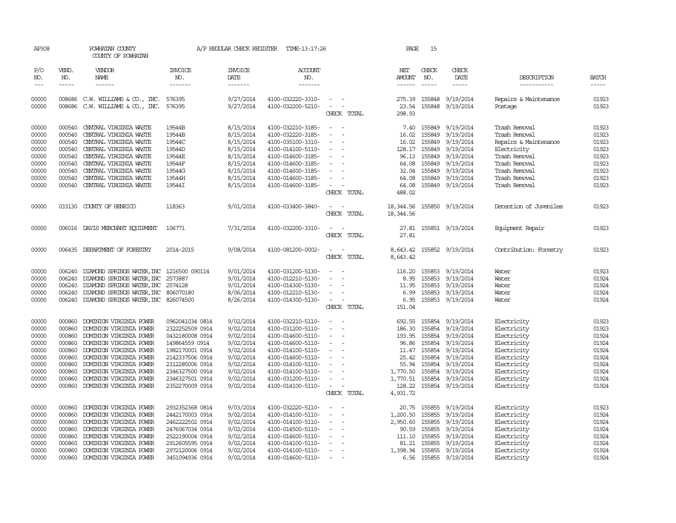| AP308          |               | POWHATAN COUNTY<br>COUNTY OF POWHATAN       |                       | A/P REGULAR CHECK REGISTER    | TIME-13:17:26                          |                                        | PAGE            | 15                      |                  |                                |                |
|----------------|---------------|---------------------------------------------|-----------------------|-------------------------------|----------------------------------------|----------------------------------------|-----------------|-------------------------|------------------|--------------------------------|----------------|
| P/O<br>NO.     | VEND.<br>NO.  | VENDOR<br>NAME                              | <b>INVOICE</b><br>NO. | <b>INVOICE</b><br><b>DATE</b> | <b>ACCOUNT</b><br>NO.                  |                                        | NET<br>AMOUNT   | CHECK<br>NO.            | CHECK<br>DATE    | DESCRIPTION                    | <b>BATCH</b>   |
| $---$          | $\frac{1}{2}$ | $- - - - - -$                               | -------               | -------                       | -------                                |                                        | $- - - - - -$   | $\frac{1}{2}$           | $- - - - -$      | -----------                    | $- - - - -$    |
| 00000<br>00000 |               | 008686 C.W. WILLIAMS & CO., INC.            | 576395<br>576395      | 9/27/2014                     | 4100-032220-3310-<br>4100-032200-5210- | $\sim$<br>$\sim$                       |                 | 275.39 155848<br>155848 | 9/19/2014        | Repairs & Maintenance          | 01923<br>01923 |
|                |               | 008686 C.W. WILLIAMS & CO., INC.            |                       | 9/27/2014                     |                                        | CHECK TOTAL                            | 23.54<br>298.93 |                         | 9/19/2014        | Postage                        |                |
|                |               |                                             |                       |                               |                                        | $\sim$                                 |                 |                         |                  |                                |                |
| 00000          | 000540        | CENTRAL VIRGINIA WASTE                      | 19544B<br>19544B      | 8/15/2014                     | 4100-032210-3185-                      | $\overline{\phantom{a}}$               | 7.40            | 155849                  | 9/19/2014        | Trash Removal<br>Trash Removal | 01923          |
| 00000          | 000540        | CENTRAL VIRGINIA WASTE                      |                       | 8/15/2014<br>8/15/2014        | 4100-032220-3185-                      |                                        | 16.02           | 155849                  | 9/19/2014        |                                | 01923          |
| 00000          | 000540        | CENTRAL VIRGINIA WASTE                      | 19544C                |                               | 4100-035100-3310-                      | $\overline{\phantom{a}}$               | 16.02           | 155849                  | 9/19/2014        | Repairs & Maintenance          | 01923          |
| 00000          |               | 000540 CENTRAL VIRGINIA WASTE               | 19544D                | 8/15/2014                     | 4100-014100-5110-                      | $\sim$                                 |                 | 128.17 155849           | 9/19/2014        | Electricity                    | 01923          |
| 00000          |               | 000540 CENTRAL VIRGINIA WASTE               | 19544E                | 8/15/2014                     | 4100-014600-3185-                      | $\overline{\phantom{a}}$               | 96.13           | 155849                  | 9/19/2014        | Trash Removal                  | 01923          |
| 00000          |               | 000540 CENTRAL VIRGINIA WASTE               | 19544F                | 8/15/2014                     | 4100-014600-3185-                      | $\overline{\phantom{a}}$               | 64.08           | 155849                  | 9/19/2014        | Trash Removal                  | 01923          |
| 00000          |               | 000540 CENTRAL VIRGINIA WASTE               | 19544G                | 8/15/2014                     | 4100-014600-3185-                      | $\sim$                                 | 32.04           | 155849                  | 9/19/2014        | Trash Removal                  | 01923          |
| 00000          | 000540        | CENTRAL VIRGINIA WASTE                      | 19544H                | 8/15/2014                     | 4100-014600-3185-                      | $\overline{\phantom{a}}$               | 64.08           | 155849                  | 9/19/2014        | Trash Removal                  | 01923          |
| 00000          |               | 000540 CENTRAL VIRGINIA WASTE               | 19544I                | 8/15/2014                     | 4100-014600-3185-                      | $\sim$                                 | 64.08           |                         | 155849 9/19/2014 | Trash Removal                  | 01923          |
|                |               |                                             |                       |                               |                                        | CHECK TOTAL                            | 488.02          |                         |                  |                                |                |
| 00000          |               | 033130 COUNTY OF HENRICO                    | 118363                | 9/01/2014                     | 4100-033400-3840-                      | $\sim$                                 | 18,344.56       |                         | 155850 9/19/2014 | Detention of Juveniles         | 01923          |
|                |               |                                             |                       |                               |                                        | CHECK TOTAL                            | 18, 344.56      |                         |                  |                                |                |
| 00000          |               | 006016 DAVIS MERCHANT EQUIPMENT             | 106771                | 7/31/2014                     | 4100-032200-3310-                      | $\overline{\phantom{a}}$               | 27.81           |                         | 155851 9/19/2014 | Equipment Repair               | 01923          |
|                |               |                                             |                       |                               |                                        | CHECK TOTAL                            | 27.81           |                         |                  |                                |                |
| 00000          | 006435        | DEPARIMENT OF FORESTRY                      | 2014-2015             | 9/08/2014                     | 4100-081200-0002-                      |                                        | 8,643.42        |                         | 155852 9/19/2014 | Contribution: Forestry         | 01923          |
|                |               |                                             |                       |                               |                                        | CHECK TOTAL                            | 8,643.42        |                         |                  |                                |                |
| 00000          | 006240        | DIAMOND SPRINGS WATER, INC                  | 1216500 090114        | 9/01/2014                     | 4100-031200-5130-                      | $\equiv$                               | 116.20          | 155853                  | 9/19/2014        | Water                          | 01923          |
| 00000          | 006240        | DIAMOND SPRINGS WATER, INC                  | 2573887               | 9/01/2014                     | 4100-012210-5130-                      | $\sim$                                 | 8.95            | 155853                  | 9/19/2014        | Water                          | 01924          |
| 00000          | 006240        | DIAMOND SPRINGS WATER, INC                  | 2574128               | 9/01/2014                     | 4100-014300-5130-                      | $\equiv$                               | 11.95           | 155853                  | 9/19/2014        | Water                          | 01924          |
| 00000          |               | 006240 DIAMOND SPRINGS WATER, INC 806070180 |                       | 8/06/2014                     | 4100-012210-5130-                      | $\overline{\phantom{a}}$               | 6.99            | 155853                  | 9/19/2014        | Water                          | 01924          |
| 00000          |               | 006240 DIAMOND SPRINGS WATER, INC 826074500 |                       | 8/26/2014                     | 4100-014300-5130-                      | $\sim$                                 | 6.95            | 155853                  | 9/19/2014        | Water                          | 01924          |
|                |               |                                             |                       |                               |                                        | CHECK TOTAL                            | 151.04          |                         |                  |                                |                |
|                |               |                                             |                       |                               |                                        |                                        |                 |                         |                  |                                |                |
| 00000          | 000860        | DOMINION VIRGINIA POWER                     | 0962041034 0814       | 9/02/2014                     | 4100-032210-5110-                      | $\sim$<br>$\sim$                       |                 | 692.55 155854           | 9/19/2014        | Electricity                    | 01923          |
| 00000          | 000860        | DOMINION VIRGINIA POWER                     | 2322252509 0914       | 9/02/2014                     | 4100-031200-5110-                      | $\overline{\phantom{a}}$               | 186.30          | 155854                  | 9/19/2014        | Electricity                    | 01923          |
| 00000          | 000860        | DOMINION VIRGINIA POWER                     | 0432180008 0914       | 9/02/2014                     | 4100-014600-5110-                      | $\overline{\phantom{a}}$               |                 | 193.95 155854           | 9/19/2014        | Electricity                    | 01924          |
| 00000          | 000860        | DOMINION VIRGINIA POWER                     | 149864559 0914        | 9/02/2014                     | 4100-014600-5110-                      | $\overline{\phantom{a}}$               | 96.86           | 155854                  | 9/19/2014        | Electricity                    | 01924          |
| 00000          | 000860        | DOMINION VIRGINIA POWER                     | 1982170001 0914       | 9/02/2014                     | 4100-014100-5110-                      | $\sim$                                 |                 | 11.47 155854            | 9/19/2014        | Electricity                    | 01924          |
| 00000          | 000860        | DOMINION VIRGINIA POWER                     | 2142337506 0914       | 9/02/2014                     | 4100-014600-5110-                      | $\sim$<br>$\overline{\phantom{a}}$     | 25.42           | 155854                  | 9/19/2014        | Electricity                    | 01924          |
| 00000          | 000860        | DOMINION VIRGINIA POWER                     | 2312285006 0914       | 9/02/2014                     | 4100-014100-5110-                      | $\overline{\phantom{a}}$               | 55.94           | 155854                  | 9/19/2014        | Electricity                    | 01924          |
| 00000          | 000860        | DOMINION VIRGINIA POWER                     | 2346327500 0914       | 9/02/2014                     | 4100-014100-5110-                      | $\sim$                                 | 1,770.50        | 155854                  | 9/19/2014        | Electricity                    | 01924          |
| 00000          | 000860        | DOMINION VIRGINIA POWER                     | 2346327501 0914       | 9/02/2014                     | 4100-031200-5110-                      | $\sim$                                 | 1,770.51        | 155854                  | 9/19/2014        | Electricity                    | 01924          |
| 00000          |               | 000860 DOMINION VIRGINIA POWER              | 2352270009 0914       | 9/02/2014                     | 4100-014100-5110-                      | $\sim$<br>$\sim$                       | 128.22          |                         | 155854 9/19/2014 | Electricity                    | 01924          |
|                |               |                                             |                       |                               |                                        | CHECK TOTAL                            | 4,931.72        |                         |                  |                                |                |
| 00000          | 000860        | DOMINION VIRGINIA POWER                     | 2932352368 0814       | 9/03/2014                     | 4100-032220-5110-                      | $\overline{\phantom{a}}$               |                 | 20.75 155855            | 9/19/2014        | Electricity                    | 01923          |
| 00000          | 000860        | DOMINION VIRGINIA POWER                     | 2442170003 0914       | 9/02/2014                     | 4100-014100-5110-                      | $\equiv$                               | 1,200.50        | 155855                  | 9/19/2014        | Electricity                    | 01924          |
| 00000          | 000860        | DOMINION VIRGINIA POWER                     | 2462222502 0914       | 9/02/2014                     | 4100-014100-5110-                      | $\sim$                                 | 2,950.60        | 155855                  | 9/19/2014        | Electricity                    | 01924          |
| 00000          | 000860        | DOMINION VIRGINIA POWER                     | 2476067034 0914       | 9/02/2014                     | 4100-014500-5110-                      | $\overline{\phantom{a}}$               | 90.59           | 155855                  | 9/19/2014        | Electricity                    | 01924          |
| 00000          | 000860        | DOMINION VIRGINIA POWER                     | 2522190004 0914       | 9/02/2014                     | 4100-014600-5110-                      |                                        | 111.10          | 155855                  | 9/19/2014        | Electricity                    | 01924          |
| 00000          | 000860        | DOMINION VIRGINIA POWER                     | 2912605595 0914       | 9/02/2014                     | 4100-014100-5110-                      | $\overline{\phantom{a}}$               | 81.21           | 155855                  | 9/19/2014        | Electricity                    | 01924          |
| 00000          | 000860        | DOMINION VIRGINIA POWER                     | 2972120006 0914       | 9/02/2014                     | 4100-014100-5110-                      | $\sim$                                 | 1,398.94 155855 |                         | 9/19/2014        | Electricity                    | 01924          |
| 00000          |               | 000860 DOMINION VIRGINIA POWER              | 3451094936 0914       | 9/02/2014                     | 4100-014600-5110-                      | $\sim$ $-$<br>$\overline{\phantom{a}}$ |                 | 6.56 155855             | 9/19/2014        | Electricity                    | 01924          |
|                |               |                                             |                       |                               |                                        |                                        |                 |                         |                  |                                |                |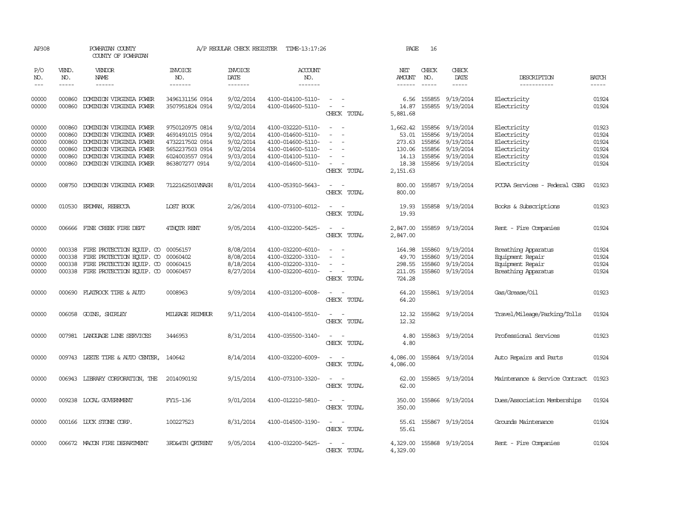| AP308                                              |                                                | POWHATAN COUNTY<br>COUNTY OF POWHATAN                                                                                                                                 |                                                                                                               | A/P REGULAR CHECK REGISTER                                                 | TIME-13:17:26                                                                                                              |                                                                                                                                               | PAGE                                                                | 16                                   |                                                                                          |                                                                                        |                                                    |
|----------------------------------------------------|------------------------------------------------|-----------------------------------------------------------------------------------------------------------------------------------------------------------------------|---------------------------------------------------------------------------------------------------------------|----------------------------------------------------------------------------|----------------------------------------------------------------------------------------------------------------------------|-----------------------------------------------------------------------------------------------------------------------------------------------|---------------------------------------------------------------------|--------------------------------------|------------------------------------------------------------------------------------------|----------------------------------------------------------------------------------------|----------------------------------------------------|
| P/O<br>NO.<br>$\frac{1}{2}$                        | VEND.<br>NO.<br>$- - - - -$                    | <b>VENDOR</b><br>NAME<br>$- - - - - -$                                                                                                                                | <b>INVOICE</b><br>NO.<br>-------                                                                              | <b>INVOICE</b><br>DATE<br>-------                                          | <b>ACCOUNT</b><br>NO.<br>-------                                                                                           |                                                                                                                                               | NET<br>AMOUNT<br>------                                             | CHECK<br>NO.<br>$\frac{1}{2}$        | CHECK<br>DATE<br>-----                                                                   | DESCRIPTION<br>-----------                                                             | <b>BATCH</b><br>$- - - - -$                        |
| 00000<br>00000                                     | 000860<br>000860                               | DOMINION VIRGINIA POWER<br>DOMINION VIRGINIA POWER                                                                                                                    | 3496131156 0914<br>3507951824 0914                                                                            | 9/02/2014<br>9/02/2014                                                     | 4100-014100-5110-<br>4100-014600-5110-                                                                                     | $\frac{1}{2} \left( \frac{1}{2} \right) \left( \frac{1}{2} \right) = \frac{1}{2} \left( \frac{1}{2} \right)$<br>$\sim$ $ \sim$<br>CHECK TOTAL | 6.56<br>14.87<br>5,881.68                                           | 155855                               | 9/19/2014<br>155855 9/19/2014                                                            | Electricity<br>Electricity                                                             | 01924<br>01924                                     |
| 00000<br>00000<br>00000<br>00000<br>00000<br>00000 | 000860<br>000860<br>000860<br>000860<br>000860 | DOMINION VIRGINIA POWER<br>DOMINION VIRGINIA POWER<br>DOMINION VIRGINIA POWER<br>DOMINION VIRGINIA POWER<br>DOMINION VIRGINIA POWER<br>000860 DOMINION VIRGINIA POWER | 9750120975 0814<br>4691491015 0914<br>4732217502 0914<br>5652237503 0914<br>6024003557 0914<br>863807277 0914 | 9/02/2014<br>9/02/2014<br>9/02/2014<br>9/02/2014<br>9/03/2014<br>9/02/2014 | 4100-032220-5110-<br>4100-014600-5110-<br>4100-014600-5110-<br>4100-014600-5110-<br>4100-014100-5110-<br>4100-014600-5110- | $\equiv$<br>CHECK TOTAL                                                                                                                       | 1,662.42<br>53.01<br>273.63<br>130.06<br>14.13<br>18.38<br>2,151.63 | 155856<br>155856<br>155856<br>155856 | 9/19/2014<br>9/19/2014<br>9/19/2014<br>9/19/2014<br>155856 9/19/2014<br>155856 9/19/2014 | Electricity<br>Electricity<br>Electricity<br>Electricity<br>Electricity<br>Electricity | 01923<br>01924<br>01924<br>01924<br>01924<br>01924 |
| 00000                                              |                                                | 008750 DOMINION VIRGINIA POWER                                                                                                                                        | 7122162501WASH                                                                                                | 8/01/2014                                                                  | 4100-053910-5643-                                                                                                          | CHECK TOTAL                                                                                                                                   | 800.00<br>800.00                                                    |                                      | 155857 9/19/2014                                                                         | PCCAA Services - Federal CSBG                                                          | 01923                                              |
| 00000                                              |                                                | 010530 ERDMAN, REBECCA                                                                                                                                                | LOST BOOK                                                                                                     | 2/26/2014                                                                  | 4100-073100-6012-                                                                                                          | $\equiv$<br>$\sim$<br>CHECK TOTAL                                                                                                             | 19.93<br>19.93                                                      |                                      | 155858 9/19/2014                                                                         | Books & Subscriptions                                                                  | 01923                                              |
| 00000                                              |                                                | 006666 FINE CREEK FIRE DEPT                                                                                                                                           | 4THQTR RENT                                                                                                   | 9/05/2014                                                                  | 4100-032200-5425-                                                                                                          | $\omega_{\rm{max}}$ and $\omega_{\rm{max}}$<br>CHECK TOTAL                                                                                    | 2,847.00<br>2,847.00                                                |                                      | 155859 9/19/2014                                                                         | Rent - Fire Companies                                                                  | 01924                                              |
| 00000<br>00000<br>00000<br>00000                   | 000338<br>000338<br>000338                     | FIRE PROTECTION EQUIP. CO<br>FIRE PROTECTION EQUIP. CO<br>FIRE PROTECTION EQUIP. CO<br>000338 FIRE PROTECTION EQUIP. CO 00060457                                      | 00056157<br>00060402<br>00060415                                                                              | 8/08/2014<br>8/08/2014<br>8/18/2014<br>8/27/2014                           | 4100-032200-6010-<br>4100-032200-3310-<br>4100-032200-3310-<br>4100-032200-6010-                                           | $\sim$<br>CHECK TOTAL                                                                                                                         | 164.98<br>49.70<br>298.55<br>211.05<br>724.28                       | 155860<br>155860<br>155860           | 9/19/2014<br>9/19/2014<br>9/19/2014<br>155860 9/19/2014                                  | Breathing Apparatus<br>Equipment Repair<br>Equipment Repair<br>Breathing Apparatus     | 01924<br>01924<br>01924<br>01924                   |
| 00000                                              |                                                | 000690 FLATROCK TIRE & AUTO                                                                                                                                           | 0008963                                                                                                       | 9/09/2014                                                                  | 4100-031200-6008-                                                                                                          | $\sim$<br>CHECK TOTAL                                                                                                                         | 64.20<br>64.20                                                      |                                      | 155861 9/19/2014                                                                         | Gas/Grease/Oil                                                                         | 01923                                              |
| 00000                                              |                                                | 006058 GOINS, SHIRLEY                                                                                                                                                 | MILEAGE REIMBUR                                                                                               | 9/11/2014                                                                  | 4100-014100-5510-                                                                                                          | CHECK TOTAL                                                                                                                                   | 12.32<br>12.32                                                      |                                      | 155862 9/19/2014                                                                         | Travel/Mileage/Parking/Tolls                                                           | 01924                                              |
| 00000                                              |                                                | 007981 LANGUAGE LINE SERVICES                                                                                                                                         | 3446953                                                                                                       | 8/31/2014                                                                  | 4100-035500-3140-                                                                                                          | $\sim$<br>$\sim$<br>CHECK TOTAL                                                                                                               | 4.80<br>4.80                                                        |                                      | 155863 9/19/2014                                                                         | Professional Services                                                                  | 01923                                              |
| 00000                                              |                                                | 009743 LEETE TIRE & AUTO CENTER,                                                                                                                                      | 140642                                                                                                        | 8/14/2014                                                                  | 4100-032200-6009-                                                                                                          | CHECK TOTAL                                                                                                                                   | 4,086.00<br>4,086.00                                                |                                      | 155864 9/19/2014                                                                         | Auto Repairs and Parts                                                                 | 01924                                              |
| 00000                                              |                                                | 006943 LIBRARY CORPORATION, THE                                                                                                                                       | 2014090192                                                                                                    | 9/15/2014                                                                  | 4100-073100-3320-                                                                                                          | $\overline{\phantom{a}}$<br>. —<br>CHECK TOTAL                                                                                                | 62.00<br>62.00                                                      |                                      | 155865 9/19/2014                                                                         | Maintenance & Service Contract                                                         | 01923                                              |
| 00000                                              |                                                | 009238 LOCAL GOVERNMENT                                                                                                                                               | FY15-136                                                                                                      | 9/01/2014                                                                  | 4100-012210-5810-                                                                                                          | $\overline{\phantom{a}}$<br>$\sim$<br>CHECK TOTAL                                                                                             | 350.00<br>350.00                                                    |                                      | 155866 9/19/2014                                                                         | Dues/Association Memberships                                                           | 01924                                              |
| 00000                                              |                                                | 000166 LUCK STONE CORP.                                                                                                                                               | 100227523                                                                                                     | 8/31/2014                                                                  | 4100-014500-3190-                                                                                                          | $\sim$<br>CHECK TOTAL                                                                                                                         | 55.61<br>55.61                                                      |                                      | 155867 9/19/2014                                                                         | Grounds Maintenance                                                                    | 01924                                              |
| 00000                                              |                                                | 006672 MACON FIRE DEPARTMENT                                                                                                                                          | <b>3RD&amp;4TH ORTRENT</b>                                                                                    | 9/05/2014                                                                  | 4100-032200-5425-                                                                                                          | CHECK TOTAL                                                                                                                                   | 4,329.00<br>4,329.00                                                |                                      | 155868 9/19/2014                                                                         | Rent - Fire Companies                                                                  | 01924                                              |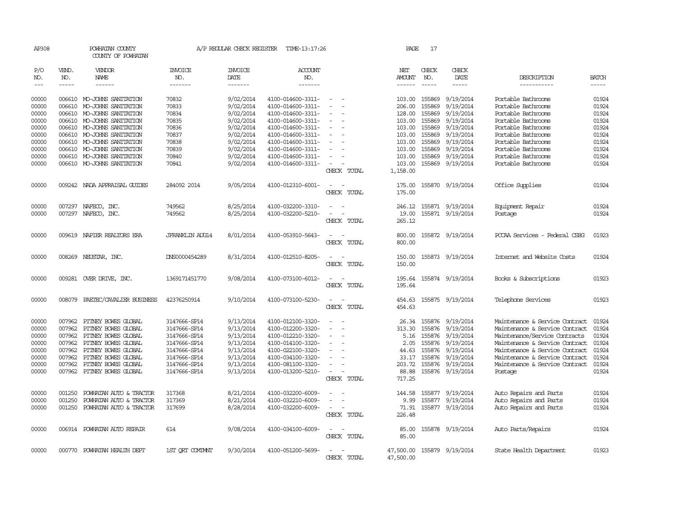| AP308                       |                             | POWHATAN COUNTY<br>COUNTY OF POWHATAN              |                                  | A/P REGULAR CHECK REGISTER        | TIME-13:17:26                          |                                                           | PAGE                           | 17                          |                            |                                                  |                       |
|-----------------------------|-----------------------------|----------------------------------------------------|----------------------------------|-----------------------------------|----------------------------------------|-----------------------------------------------------------|--------------------------------|-----------------------------|----------------------------|--------------------------------------------------|-----------------------|
| P/O<br>NO.<br>$\frac{1}{2}$ | VEND.<br>NO.<br>$- - - - -$ | VENDOR<br>NAME<br>------                           | <b>INVOICE</b><br>NO.<br>------- | <b>INVOICE</b><br>DATE<br>------- | <b>ACCOUNT</b><br>NO.<br>-------       |                                                           | NET<br>AMOUNT<br>$- - - - - -$ | CHECK<br>NO.<br>$- - - - -$ | CHECK<br>DATE<br>-----     | DESCRIPTION<br>-----------                       | <b>BATCH</b><br>----- |
| 00000                       | 006610                      | MO-JOHNS SANITATION                                | 70832                            | 9/02/2014                         | 4100-014600-3311-                      | $\overline{\phantom{a}}$<br>$\sim$                        | 103.00                         | 155869                      | 9/19/2014                  | Portable Bathrooms                               | 01924                 |
| 00000                       | 006610                      | MO-JOHNS SANITATION                                | 70833                            | 9/02/2014                         | 4100-014600-3311-                      | $\equiv$                                                  | 206.00                         | 155869                      | 9/19/2014                  | Portable Bathrooms                               | 01924                 |
| 00000                       |                             | 006610 MO-JOHNS SANITATION                         | 70834                            | 9/02/2014                         | 4100-014600-3311-                      |                                                           | 128.00                         | 155869                      | 9/19/2014                  | Portable Bathrooms                               | 01924                 |
| 00000                       | 006610                      | MO-JOHNS SANITATION                                | 70835                            | 9/02/2014                         | 4100-014600-3311-                      | $\overline{\phantom{a}}$                                  | 103.00                         | 155869                      | 9/19/2014                  | Portable Bathrooms                               | 01924                 |
| 00000                       |                             | 006610 MO-JOHNS SANITATION                         | 70836                            | 9/02/2014                         | 4100-014600-3311-                      | $\overline{\phantom{0}}$                                  | 103.00                         | 155869                      | 9/19/2014                  | Portable Bathrooms                               | 01924                 |
| 00000                       | 006610                      | MO-JOHNS SANITATION                                | 70837                            | 9/02/2014                         | 4100-014600-3311-                      |                                                           | 103.00                         | 155869                      | 9/19/2014                  | Portable Bathrooms                               | 01924                 |
| 00000                       | 006610                      | MO-JOHNS SANITATION                                | 70838                            | 9/02/2014                         | 4100-014600-3311-                      |                                                           | 103.00                         | 155869                      | 9/19/2014                  | Portable Bathrooms                               | 01924                 |
| 00000                       |                             | 006610 MO-JOHNS SANITATION                         | 70839                            | 9/02/2014                         | 4100-014600-3311-                      | $\overline{a}$                                            | 103.00                         | 155869                      | 9/19/2014                  | Portable Bathrooms                               | 01924                 |
| 00000                       |                             | 006610 MO-JOHNS SANITATION                         | 70840                            | 9/02/2014                         | 4100-014600-3311-                      |                                                           | 103.00                         | 155869                      | 9/19/2014                  | Portable Bathrooms                               | 01924                 |
| 00000                       |                             | 006610 MO-JOHNS SANITATION                         | 70841                            | 9/02/2014                         | 4100-014600-3311-                      |                                                           | 103.00                         | 155869                      | 9/19/2014                  | Portable Bathrooms                               | 01924                 |
|                             |                             |                                                    |                                  |                                   |                                        | CHECK TOTAL                                               | 1,158.00                       |                             |                            |                                                  |                       |
| 00000                       |                             | 009242 NADA APPRAISAL GUIDES                       | 284092 2014                      | 9/05/2014                         | 4100-012310-6001-                      | $\overline{\phantom{0}}$<br>CHECK TOTAL                   | 175.00<br>175.00               | 155870                      | 9/19/2014                  | Office Supplies                                  | 01924                 |
| 00000                       |                             | 007297 NAFECO, INC.                                | 749562                           | 8/25/2014                         | 4100-032200-3310-                      | $\sim$                                                    | 246.12                         |                             | 155871 9/19/2014           | Equipment Repair                                 | 01924                 |
| 00000                       |                             | 007297 NAFECO, INC.                                | 749562                           | 8/25/2014                         | 4100-032200-5210-                      |                                                           | 19.00                          |                             | 155871 9/19/2014           | Postage                                          | 01924                 |
|                             |                             |                                                    |                                  |                                   |                                        | CHECK TOTAL                                               | 265.12                         |                             |                            |                                                  |                       |
| 00000                       |                             | 009619 NAPIER REALTORS ERA                         | <b>JFRANKLIN AUG14</b>           | 8/01/2014                         | 4100-053910-5643-                      | $\sim$<br>$\overline{\phantom{a}}$<br>CHECK TOTAL         | 800.00<br>800.00               |                             | 155872 9/19/2014           | PCCAA Services - Federal CSBG                    | 01923                 |
| 00000                       | 008269                      | NEUSTAR, INC.                                      | DNS0000454289                    | 8/31/2014                         | 4100-012510-8205-                      | CHECK TOTAL                                               | 150.00<br>150.00               | 155873                      | 9/19/2014                  | Internet and Website Costs                       | 01924                 |
| 00000                       |                             | 009281 OVER DRIVE, INC.                            | 1369171451770                    | 9/08/2014                         | 4100-073100-6012-                      | CHECK TOTAL                                               | 195.64<br>195.64               |                             | 155874 9/19/2014           | Books & Subscriptions                            | 01923                 |
| 00000                       | 008079                      | PAETEC/CAVALIER BUSINESS                           | 42376250914                      | 9/10/2014                         | 4100-073100-5230-                      | CHECK TOTAL                                               | 454.63<br>454.63               |                             | 155875 9/19/2014           | Telephone Services                               | 01923                 |
| 00000                       | 007962                      | PITNEY BOWES GLOBAL                                | 3147666-SP14                     | 9/13/2014                         | 4100-012100-3320-                      |                                                           | 26.34                          | 155876                      | 9/19/2014                  | Maintenance & Service Contract                   | 01924                 |
| 00000                       | 007962                      | PITNEY BOWES GLOBAL                                | 3147666-SP14                     | 9/13/2014                         | 4100-012200-3320-                      | $\overline{\phantom{a}}$                                  | 313.30                         | 155876                      | 9/19/2014                  | Maintenance & Service Contract                   | 01924                 |
| 00000                       | 007962                      | PITNEY BOWES GLOBAL                                | 3147666-SP14                     | 9/13/2014                         | 4100-012210-3320-                      | $\sim$                                                    | 5.16                           | 155876                      | 9/19/2014                  | Maintenance/Service Contracts                    | 01924                 |
| 00000                       | 007962                      | PITNEY BOWES GLOBAL                                | 3147666-SP14                     | 9/13/2014                         | 4100-014100-3320-                      |                                                           | 2.05                           | 155876                      | 9/19/2014                  | Maintenance & Service Contract                   | 01924                 |
| 00000                       | 007962                      | PITNEY BOWES GLOBAL                                | 3147666-SP14                     | 9/13/2014                         | 4100-022100-3320-                      |                                                           | 44.63                          | 155876                      | 9/19/2014                  | Maintenance & Service Contract                   | 01924                 |
| 00000                       | 007962                      | PITNEY BOWES GLOBAL                                | 3147666-SP14                     | 9/13/2014                         | 4100-034100-3320-                      |                                                           | 33.17                          | 155876                      | 9/19/2014                  | Maintenance & Service Contract                   | 01924                 |
| 00000                       | 007962                      | PITNEY BOWES GLOBAL                                | 3147666-SP14                     | 9/13/2014                         | 4100-081100-3320-                      |                                                           | 203.72                         | 155876                      | 9/19/2014                  | Maintenance & Service Contract                   | 01924                 |
| 00000                       |                             | 007962 PITNEY BOWES GLOBAL                         | 3147666-SP14                     | 9/13/2014                         | 4100-013200-5210-                      | $\overline{a}$<br>$\overline{\phantom{a}}$<br>CHECK TOTAL | 88.88<br>717.25                | 155876                      | 9/19/2014                  | Postage                                          | 01924                 |
| 00000                       | 001250                      |                                                    |                                  | 8/21/2014                         |                                        |                                                           |                                |                             |                            |                                                  | 01924                 |
| 00000                       | 001250                      | POWHATAN AUTO & TRACTOR<br>POWHATAN AUTO & TRACTOR | 317368<br>317369                 | 8/21/2014                         | 4100-032200-6009-<br>4100-032210-6009- |                                                           | 144.58<br>9.99                 | 155877<br>155877            | 9/19/2014<br>9/19/2014     | Auto Repairs and Parts                           | 01924                 |
| 00000                       | 001250                      | POWHATAN AUTO & TRACTOR                            | 317699                           | 8/28/2014                         | 4100-032200-6009-                      | $\overline{\phantom{a}}$                                  | 71.91                          |                             | 155877 9/19/2014           | Auto Repairs and Parts<br>Auto Repairs and Parts | 01924                 |
|                             |                             |                                                    |                                  |                                   |                                        | CHECK TOTAL                                               | 226.48                         |                             |                            |                                                  |                       |
| 00000                       |                             | 006914 POWHATAN AUTO REPAIR                        | 614                              | 9/08/2014                         | 4100-034100-6009-                      | CHECK TOTAL                                               | 85.00<br>85.00                 |                             | 155878 9/19/2014           | Auto Parts/Repairs                               | 01924                 |
| 00000                       |                             | 000770 POWHATAN HEALTH DEPT                        | 1ST ORT COMINNT                  | 9/30/2014                         | 4100-051200-5699-                      | CHECK TOTAL                                               | 47,500.00                      |                             | 47,500.00 155879 9/19/2014 | State Health Department                          | 01923                 |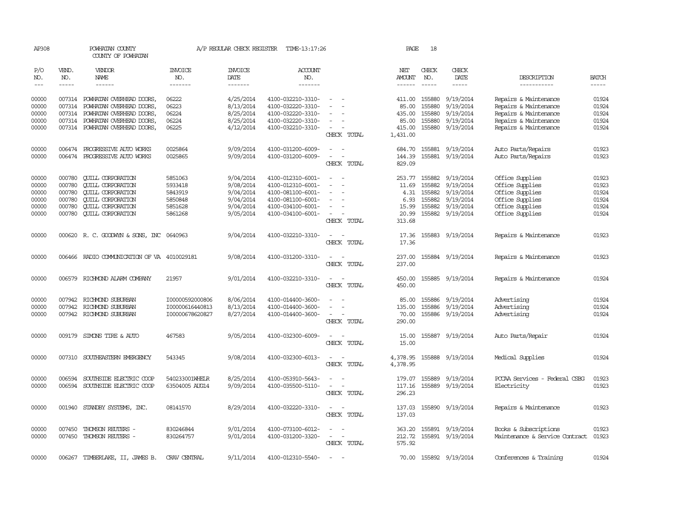| AP308      |               | POWHATAN COUNTY<br>COUNTY OF POWHATAN                                                                                                                                                                                                                                                                                                                                                                                                                                      |                       | A/P REGULAR CHECK REGISTER | TIME-13:17:26         |                                         | PAGE               | 18            |                        |                                |              |
|------------|---------------|----------------------------------------------------------------------------------------------------------------------------------------------------------------------------------------------------------------------------------------------------------------------------------------------------------------------------------------------------------------------------------------------------------------------------------------------------------------------------|-----------------------|----------------------------|-----------------------|-----------------------------------------|--------------------|---------------|------------------------|--------------------------------|--------------|
| P/O<br>NO. | VEND.<br>NO.  | VENDOR<br>NAME                                                                                                                                                                                                                                                                                                                                                                                                                                                             | <b>INVOICE</b><br>NO. | <b>INVOICE</b><br>DATE     | <b>ACCOUNT</b><br>NO. |                                         | NET<br>AMOUNT      | CHECK<br>NO.  | CHECK<br>DATE          | DESCRIPTION                    | <b>BATCH</b> |
| $---$      | $\frac{1}{2}$ | $\frac{1}{2} \left( \frac{1}{2} \right) \left( \frac{1}{2} \right) \left( \frac{1}{2} \right) \left( \frac{1}{2} \right) \left( \frac{1}{2} \right) \left( \frac{1}{2} \right) \left( \frac{1}{2} \right) \left( \frac{1}{2} \right) \left( \frac{1}{2} \right) \left( \frac{1}{2} \right) \left( \frac{1}{2} \right) \left( \frac{1}{2} \right) \left( \frac{1}{2} \right) \left( \frac{1}{2} \right) \left( \frac{1}{2} \right) \left( \frac{1}{2} \right) \left( \frac$ | -------               | --------                   | -------               |                                         | $- - - - - -$      | $\frac{1}{2}$ | $- - - - -$            | -----------                    | $- - - - -$  |
| 00000      |               | 007314 POWHATAN OVERHEAD DOORS,                                                                                                                                                                                                                                                                                                                                                                                                                                            | 06222                 | 4/25/2014                  | 4100-032210-3310-     |                                         | 411.00             | 155880        | 9/19/2014              | Repairs & Maintenance          | 01924        |
| 00000      |               | 007314 POWHATAN OVERHEAD DOORS,                                                                                                                                                                                                                                                                                                                                                                                                                                            | 06223                 | 8/13/2014                  | 4100-032220-3310-     |                                         | 85.00              | 155880        | 9/19/2014              | Repairs & Maintenance          | 01924        |
| 00000      | 007314        | POWHATAN OVERHEAD DOORS,                                                                                                                                                                                                                                                                                                                                                                                                                                                   | 06224                 | 8/25/2014                  | 4100-032220-3310-     |                                         | 435.00             | 155880        | 9/19/2014              |                                | 01924        |
|            |               |                                                                                                                                                                                                                                                                                                                                                                                                                                                                            |                       |                            |                       | $\sim$                                  |                    |               |                        | Repairs & Maintenance          |              |
| 00000      |               | 007314 POWHATAN OVERHEAD DOORS,                                                                                                                                                                                                                                                                                                                                                                                                                                            | 06224                 | 8/25/2014                  | 4100-032220-3310-     |                                         | 85.00              | 155880        | 9/19/2014              | Repairs & Maintenance          | 01924        |
| 00000      |               | 007314 POWHATAN OVERHEAD DOORS,                                                                                                                                                                                                                                                                                                                                                                                                                                            | 06225                 | 4/12/2014                  | 4100-032210-3310-     | $\overline{\phantom{a}}$<br>CHECK TOTAL | 415.00<br>1,431.00 | 155880        | 9/19/2014              | Repairs & Maintenance          | 01924        |
| 00000      | 006474        | PROGRESSIVE AUTO WORKS                                                                                                                                                                                                                                                                                                                                                                                                                                                     | 0025864               | 9/09/2014                  | 4100-031200-6009-     | $\sim$                                  | 684.70             | 155881        | 9/19/2014              | Auto Parts/Repairs             | 01923        |
| 00000      |               | 006474 PROGRESSIVE AUTO WORKS                                                                                                                                                                                                                                                                                                                                                                                                                                              | 0025865               | 9/09/2014                  | 4100-031200-6009-     |                                         | 144.39             |               | 155881 9/19/2014       | Auto Parts/Repairs             | 01923        |
|            |               |                                                                                                                                                                                                                                                                                                                                                                                                                                                                            |                       |                            |                       | CHECK TOTAL                             | 829.09             |               |                        |                                |              |
| 00000      | 000780        | <b>QUILL CORPORATION</b>                                                                                                                                                                                                                                                                                                                                                                                                                                                   | 5851063               | 9/04/2014                  | 4100-012310-6001-     |                                         | 253.77             | 155882        | 9/19/2014              | Office Supplies                | 01923        |
| 00000      | 000780        | <b>CUILL CORPORATION</b>                                                                                                                                                                                                                                                                                                                                                                                                                                                   | 5933418               | 9/08/2014                  | 4100-012310-6001-     |                                         | 11.69              | 155882        | 9/19/2014              | Office Supplies                | 01923        |
| 00000      | 000780        | <b>CUILL CORPORATION</b>                                                                                                                                                                                                                                                                                                                                                                                                                                                   | 5843919               | 9/04/2014                  | 4100-081100-6001-     | $\equiv$<br>$\overline{\phantom{a}}$    | 4.31               | 155882        | 9/19/2014              | Office Supplies                | 01924        |
| 00000      | 000780        | <b>QUILL CORPORATION</b>                                                                                                                                                                                                                                                                                                                                                                                                                                                   | 5850848               | 9/04/2014                  | 4100-081100-6001-     | $\equiv$                                | 6.93               | 155882        | 9/19/2014              | Office Supplies                | 01924        |
| 00000      | 000780        | <b>QUILL CORPORATION</b>                                                                                                                                                                                                                                                                                                                                                                                                                                                   | 5851628               | 9/04/2014                  | 4100-034100-6001-     |                                         | 15.99              | 155882        | 9/19/2014              | Office Supplies                | 01924        |
| 00000      | 000780        | <b>CUILL CORPORATION</b>                                                                                                                                                                                                                                                                                                                                                                                                                                                   | 5861268               | 9/05/2014                  | 4100-034100-6001-     | $\overline{\phantom{a}}$                | 20.99              |               | 155882 9/19/2014       | Office Supplies                | 01924        |
|            |               |                                                                                                                                                                                                                                                                                                                                                                                                                                                                            |                       |                            |                       | CHECK TOTAL                             | 313.68             |               |                        |                                |              |
| 00000      |               | 000620 R.C. GOODWYN & SONS, INC 0640963                                                                                                                                                                                                                                                                                                                                                                                                                                    |                       | 9/04/2014                  | 4100-032210-3310-     | $\sim$<br>$\sim$                        | 17.36              |               | 155883 9/19/2014       | Repairs & Maintenance          | 01923        |
|            |               |                                                                                                                                                                                                                                                                                                                                                                                                                                                                            |                       |                            |                       | CHECK TOTAL                             | 17.36              |               |                        |                                |              |
| 00000      | 006466        | RADIO COMMUNICATION OF VA 4010029181                                                                                                                                                                                                                                                                                                                                                                                                                                       |                       | 9/08/2014                  | 4100-031200-3310-     | CHECK TOTAL                             | 237.00<br>237.00   |               | 155884 9/19/2014       | Repairs & Maintenance          | 01923        |
| 00000      | 006579        | RICHMOND ALARM COMPANY                                                                                                                                                                                                                                                                                                                                                                                                                                                     | 21957                 | 9/01/2014                  | 4100-032210-3310-     | $\overline{\phantom{a}}$<br>CHECK TOTAL | 450.00<br>450.00   |               | 155885 9/19/2014       | Repairs & Maintenance          | 01924        |
| 00000      | 007942        | RICHMOND SUBURBAN                                                                                                                                                                                                                                                                                                                                                                                                                                                          | I00000592000806       | 8/06/2014                  | 4100-014400-3600-     |                                         | 85.00              | 155886        | 9/19/2014              | Advertising                    | 01924        |
| 00000      | 007942        | RICHMOND SUBURBAN                                                                                                                                                                                                                                                                                                                                                                                                                                                          | I00000616440813       | 8/13/2014                  | 4100-014400-3600-     |                                         | 135.00             | 155886        | 9/19/2014              | Advertising                    | 01924        |
| 00000      |               | 007942 RICHMOND SUBURBAN                                                                                                                                                                                                                                                                                                                                                                                                                                                   | I00000678620827       | 8/27/2014                  | 4100-014400-3600-     | $\equiv$                                | 70.00              |               | 155886 9/19/2014       | Advertising                    | 01924        |
|            |               |                                                                                                                                                                                                                                                                                                                                                                                                                                                                            |                       |                            |                       | CHECK TOTAL                             | 290.00             |               |                        |                                |              |
| 00000      |               | 009179 SIMONS TIRE & AUIO                                                                                                                                                                                                                                                                                                                                                                                                                                                  | 467583                | 9/05/2014                  | 4100-032300-6009-     | $\sim$<br>$\overline{\phantom{a}}$      | 15.00              |               | 155887 9/19/2014       | Auto Parts/Repair              | 01924        |
|            |               |                                                                                                                                                                                                                                                                                                                                                                                                                                                                            |                       |                            |                       | CHECK TOTAL                             | 15.00              |               |                        |                                |              |
| 00000      | 007310        | SOUTHEASTERN EMERGENCY                                                                                                                                                                                                                                                                                                                                                                                                                                                     | 543345                | 9/08/2014                  | 4100-032300-6013-     |                                         | 4,378.95           |               | 155888 9/19/2014       | Medical Supplies               | 01924        |
|            |               |                                                                                                                                                                                                                                                                                                                                                                                                                                                                            |                       |                            |                       | CHECK TOTAL                             | 4,378.95           |               |                        |                                |              |
| 00000      | 006594        | SOUTHSIDE ELECTRIC COOP                                                                                                                                                                                                                                                                                                                                                                                                                                                    | 540233001WHELR        | 8/25/2014                  | 4100-053910-5643-     |                                         | 179.07             | 155889        | 9/19/2014              | PCCAA Services - Federal CSBG  | 01923        |
| 00000      |               | 006594 SOUTHSIDE ELECTRIC COOP                                                                                                                                                                                                                                                                                                                                                                                                                                             | 63504005 AUG14        | 9/09/2014                  | 4100-035500-5110-     | $\sim$<br>$\sim$<br>CHECK TOTAL         | 117.16<br>296.23   |               | 155889 9/19/2014       | Electricity                    | 01923        |
|            |               |                                                                                                                                                                                                                                                                                                                                                                                                                                                                            |                       |                            |                       |                                         |                    |               |                        |                                |              |
| 00000      |               | 001940 STANDBY SYSTEMS, INC.                                                                                                                                                                                                                                                                                                                                                                                                                                               | 08141570              | 8/29/2014                  | 4100-032220-3310-     | $\sim$ $ \sim$<br>CHECK TOTAL           | 137.03<br>137.03   |               | 155890 9/19/2014       | Repairs & Maintenance          | 01923        |
| 00000      | 007450        | THOMSON REUTERS -                                                                                                                                                                                                                                                                                                                                                                                                                                                          | 830246844             | 9/01/2014                  | 4100-073100-6012-     |                                         | 363.20             |               | 155891 9/19/2014       | Books & Subscriptions          | 01923        |
| 00000      |               | 007450 THOMSON REUTERS -                                                                                                                                                                                                                                                                                                                                                                                                                                                   | 830264757             | 9/01/2014                  | 4100-031200-3320-     | $\sim$<br>$\overline{\phantom{a}}$      | 212.72             |               | 155891 9/19/2014       | Maintenance & Service Contract | 01923        |
|            |               |                                                                                                                                                                                                                                                                                                                                                                                                                                                                            |                       |                            |                       | CHECK TOTAL                             | 575.92             |               |                        |                                |              |
| 00000      | 006267        | TIMBERLAKE, II, JAMES B.                                                                                                                                                                                                                                                                                                                                                                                                                                                   | CRAV CENTRAL          | 9/11/2014                  | 4100-012310-5540-     | $\sim$                                  |                    |               | 70.00 155892 9/19/2014 | Conferences & Training         | 01924        |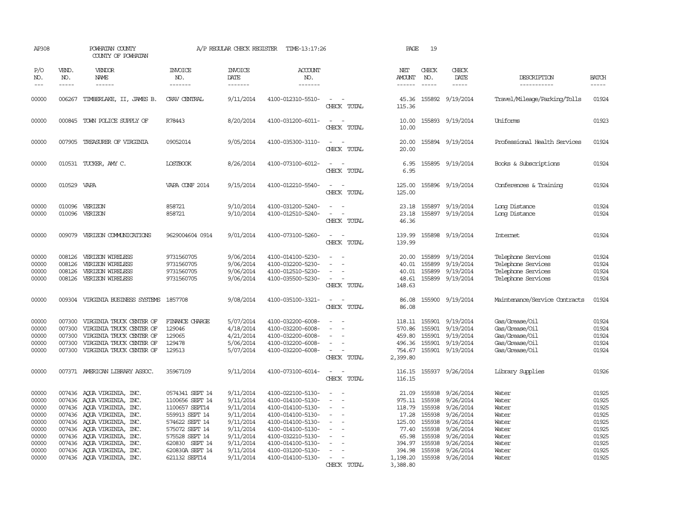| AP308                                                                                  |                                                | POWHATAN COUNTY<br>COUNTY OF POWHATAN                                                                                                                                                                                                                                                      |                                                                                                                                                                                    | A/P REGULAR CHECK REGISTER                                                                                                     | TIME-13:17:26                                                                                                                                                                                                  |                                                                     | PAGE                                                                                                       | 19                                                                                     |                                                                                                                                       |                                                                                        |                                                                                        |
|----------------------------------------------------------------------------------------|------------------------------------------------|--------------------------------------------------------------------------------------------------------------------------------------------------------------------------------------------------------------------------------------------------------------------------------------------|------------------------------------------------------------------------------------------------------------------------------------------------------------------------------------|--------------------------------------------------------------------------------------------------------------------------------|----------------------------------------------------------------------------------------------------------------------------------------------------------------------------------------------------------------|---------------------------------------------------------------------|------------------------------------------------------------------------------------------------------------|----------------------------------------------------------------------------------------|---------------------------------------------------------------------------------------------------------------------------------------|----------------------------------------------------------------------------------------|----------------------------------------------------------------------------------------|
| P/O<br>NO.<br>$---$                                                                    | VEND.<br>NO.<br>$- - - - -$                    | <b>VENDOR</b><br>NAME<br>------                                                                                                                                                                                                                                                            | <b>INVOICE</b><br>NO.<br>-------                                                                                                                                                   | <b>INVOICE</b><br>DATE<br>-------                                                                                              | ACCOUNT<br>NO.<br>-------                                                                                                                                                                                      |                                                                     | NET<br><b>AMOUNT</b><br>$- - - - - -$                                                                      | CHECK<br>NO.<br>$\frac{1}{2}$                                                          | CHECK<br>DATE<br>$- - - - -$                                                                                                          | DESCRIPTION<br>-----------                                                             | <b>BATCH</b><br>-----                                                                  |
| 00000                                                                                  |                                                | 006267 TIMBERLAKE, II, JAMES B.                                                                                                                                                                                                                                                            | <b>CRAV CENTRAL</b>                                                                                                                                                                | 9/11/2014                                                                                                                      | 4100-012310-5510-                                                                                                                                                                                              | CHECK TOTAL                                                         | 115.36                                                                                                     |                                                                                        | 45.36 155892 9/19/2014                                                                                                                | Travel/Mileage/Parking/Tolls                                                           | 01924                                                                                  |
| 00000                                                                                  |                                                | 000845 TOWN POLICE SUPPLY OF                                                                                                                                                                                                                                                               | R78443                                                                                                                                                                             | 8/20/2014                                                                                                                      | 4100-031200-6011-                                                                                                                                                                                              | $\equiv$<br>$\sim$<br>CHECK TOTAL                                   | 10.00<br>10.00                                                                                             |                                                                                        | 155893 9/19/2014                                                                                                                      | Uniforms                                                                               | 01923                                                                                  |
| 00000                                                                                  |                                                | 007905 TREASURER OF VIRGINIA                                                                                                                                                                                                                                                               | 09052014                                                                                                                                                                           | 9/05/2014                                                                                                                      | 4100-035300-3110-                                                                                                                                                                                              | $\overline{\phantom{a}}$<br>$\overline{\phantom{a}}$<br>CHECK TOTAL | 20.00<br>20.00                                                                                             |                                                                                        | 155894 9/19/2014                                                                                                                      | Professional Health Services                                                           | 01924                                                                                  |
| 00000                                                                                  |                                                | 010531 TUCKER, AMY C.                                                                                                                                                                                                                                                                      | <b>LOSTBOOK</b>                                                                                                                                                                    | 8/26/2014                                                                                                                      | 4100-073100-6012-                                                                                                                                                                                              | CHECK TOTAL                                                         | 6.95<br>6.95                                                                                               |                                                                                        | 155895 9/19/2014                                                                                                                      | Books & Subscriptions                                                                  | 01924                                                                                  |
| 00000                                                                                  | 010529                                         | VAPA                                                                                                                                                                                                                                                                                       | VAPA CONF 2014                                                                                                                                                                     | 9/15/2014                                                                                                                      | 4100-012210-5540-                                                                                                                                                                                              | CHECK TOTAL                                                         | 125.00<br>125.00                                                                                           |                                                                                        | 155896 9/19/2014                                                                                                                      | Conferences & Training                                                                 | 01924                                                                                  |
| 00000<br>00000                                                                         | 010096<br>010096                               | VERIZON<br>VERIZON                                                                                                                                                                                                                                                                         | 858721<br>858721                                                                                                                                                                   | 9/10/2014<br>9/10/2014                                                                                                         | 4100-031200-5240-<br>4100-012510-5240-                                                                                                                                                                         | CHECK TOTAL                                                         | 23.18<br>23.18<br>46.36                                                                                    | 155897                                                                                 | 155897 9/19/2014<br>9/19/2014                                                                                                         | Long Distance<br>Long Distance                                                         | 01924<br>01924                                                                         |
| 00000                                                                                  |                                                | 009079 VERIZON COMUNICATIONS                                                                                                                                                                                                                                                               | 9629004604 0914                                                                                                                                                                    | 9/01/2014                                                                                                                      | 4100-073100-5260-                                                                                                                                                                                              | $\sim$<br>CHECK TOTAL                                               | 139.99<br>139.99                                                                                           |                                                                                        | 155898 9/19/2014                                                                                                                      | Internet                                                                               | 01924                                                                                  |
| 00000<br>00000<br>00000<br>00000                                                       | 008126<br>008126<br>008126<br>008126           | VERIZON WIRELESS<br>VERIZON WIRELESS<br>VERIZON WIRELESS<br>VERIZON WIRELESS                                                                                                                                                                                                               | 9731560705<br>9731560705<br>9731560705<br>9731560705                                                                                                                               | 9/06/2014<br>9/06/2014<br>9/06/2014<br>9/06/2014                                                                               | 4100-014100-5230-<br>4100-032200-5230-<br>4100-012510-5230-<br>4100-035500-5230-                                                                                                                               | CHECK TOTAL                                                         | 20.00<br>40.01<br>40.01<br>48.61<br>148.63                                                                 | 155899<br>155899<br>155899                                                             | 9/19/2014<br>9/19/2014<br>9/19/2014<br>155899 9/19/2014                                                                               | Telephone Services<br>Telephone Services<br>Telephone Services<br>Telephone Services   | 01924<br>01924<br>01924<br>01924                                                       |
| 00000                                                                                  | 009304                                         | VIRGINIA BUSINESS SYSTEMS                                                                                                                                                                                                                                                                  | 1857708                                                                                                                                                                            | 9/08/2014                                                                                                                      | 4100-035100-3321-                                                                                                                                                                                              | CHECK TOTAL                                                         | 86.08<br>86.08                                                                                             | 155900                                                                                 | 9/19/2014                                                                                                                             | Maintenance/Service Contracts                                                          | 01924                                                                                  |
| 00000<br>00000<br>00000<br>00000<br>00000                                              | 007300<br>007300<br>007300<br>007300<br>007300 | VIRGINIA TRUCK CENTER OF<br>VIRGINIA TRUCK CENTER OF<br>VIRGINIA TRUCK CENTER OF<br>VIRGINIA TRUCK CENTER OF<br>VIRGINIA TRUCK CENTER OF                                                                                                                                                   | FINANCE CHARGE<br>129046<br>129065<br>129478<br>129513                                                                                                                             | 5/07/2014<br>4/18/2014<br>4/21/2014<br>5/06/2014<br>5/07/2014                                                                  | 4100-032200-6008-<br>4100-032200-6008-<br>4100-032200-6008-<br>4100-032200-6008-<br>4100-032200-6008-                                                                                                          | CHECK TOTAL                                                         | 118.11<br>570.86<br>459.80<br>496.36<br>754.67<br>2,399.80                                                 | 155901<br>155901                                                                       | 9/19/2014<br>9/19/2014<br>155901 9/19/2014<br>155901 9/19/2014<br>155901 9/19/2014                                                    | Gas/Grease/0il<br>Gas/Grease/Oil<br>Gas/Grease/Oil<br>Gas/Grease/Oil<br>Gas/Grease/Oil | 01924<br>01924<br>01924<br>01924<br>01924                                              |
| 00000                                                                                  |                                                | 007371 AMERICAN LIBRARY ASSOC.                                                                                                                                                                                                                                                             | 35967109                                                                                                                                                                           | 9/11/2014                                                                                                                      | 4100-073100-6014-                                                                                                                                                                                              | $\sim$<br>CHECK TOTAL                                               | 116.15<br>116.15                                                                                           |                                                                                        | 155937 9/26/2014                                                                                                                      | Library Supplies                                                                       | 01926                                                                                  |
| 00000<br>00000<br>00000<br>00000<br>00000<br>00000<br>00000<br>00000<br>00000<br>00000 | 007436<br>007436                               | 007436 AQUA VIRGINIA, INC.<br>007436 AQUA VIRGINIA, INC.<br>007436 AQUA VIRGINIA, INC.<br>007436 AQUA VIRGINIA, INC.<br>007436 AQUA VIRGINIA, INC.<br>007436 AQUA VIRGINIA, INC.<br>AQUA VIRGINIA, INC.<br>007436 AQUA VIRGINIA, INC.<br>AQUA VIRGINIA, INC.<br>007436 AQUA VIRGINIA, INC. | 0574341 SEPT 14<br>1100656 SEPT 14<br>1100657 SEPT14<br>559913 SEPT 14<br>574622 SEPT 14<br>575072 SEPT 14<br>575528 SEPT 14<br>620830 SEPT 14<br>620830A SEPT 14<br>621132 SEPT14 | 9/11/2014<br>9/11/2014<br>9/11/2014<br>9/11/2014<br>9/11/2014<br>9/11/2014<br>9/11/2014<br>9/11/2014<br>9/11/2014<br>9/11/2014 | 4100-022100-5130-<br>4100-014100-5130-<br>4100-014100-5130-<br>4100-014100-5130-<br>4100-014100-5130-<br>4100-014100-5130-<br>4100-032210-5130-<br>4100-014100-5130-<br>4100-031200-5130-<br>4100-014100-5130- | $\sim$<br>$\sim$<br>$\equiv$<br>CHECK TOTAL                         | 21.09<br>975.11<br>118.79<br>17.28<br>125.00<br>77.40<br>65.98<br>394.97<br>394.98<br>1,198.20<br>3,388.80 | 155938<br>155938<br>155938<br>155938<br>155938<br>155938<br>155938<br>155938<br>155938 | 9/26/2014<br>9/26/2014<br>9/26/2014<br>9/26/2014<br>9/26/2014<br>9/26/2014<br>9/26/2014<br>9/26/2014<br>9/26/2014<br>155938 9/26/2014 | Water<br>Water<br>Water<br>Water<br>Water<br>Water<br>Water<br>Water<br>Water<br>Water | 01925<br>01925<br>01925<br>01925<br>01925<br>01925<br>01925<br>01925<br>01925<br>01925 |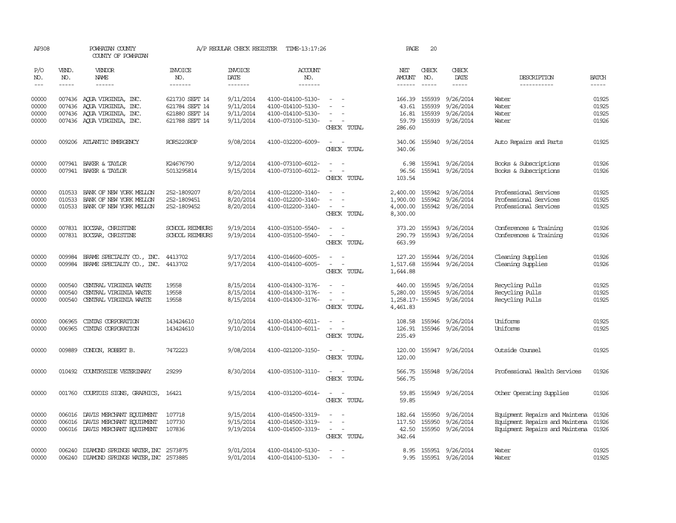| AP308                            |                            | POWHATAN COUNTY<br>COUNTY OF POWHATAN                                                                                |                                                                      | A/P REGULAR CHECK REGISTER                       | TIME-13:17:26                                                                    |                                                                                                           | PAGE                                         | 20               |                                                                     |                                                                                                                      |                                  |
|----------------------------------|----------------------------|----------------------------------------------------------------------------------------------------------------------|----------------------------------------------------------------------|--------------------------------------------------|----------------------------------------------------------------------------------|-----------------------------------------------------------------------------------------------------------|----------------------------------------------|------------------|---------------------------------------------------------------------|----------------------------------------------------------------------------------------------------------------------|----------------------------------|
| P/O<br>NO.                       | VEND.<br>NO.               | <b>VENDOR</b><br>NAME                                                                                                | <b>INVOICE</b><br>NO.                                                | <b>INVOICE</b><br>DATE                           | <b>ACCOUNT</b><br>NO.                                                            |                                                                                                           | NET<br>AMOUNT                                | CHECK<br>NO.     | CHECK<br>DATE                                                       | DESCRIPTION                                                                                                          | <b>BATCH</b>                     |
| $---$                            | $\frac{1}{2}$              | $- - - - - -$                                                                                                        | -------                                                              | -------                                          | -------                                                                          |                                                                                                           | $- - - - - -$                                | $\frac{1}{2}$    |                                                                     | -----------                                                                                                          | $- - - - -$                      |
| 00000<br>00000<br>00000<br>00000 |                            | 007436 AQUA VIRGINIA, INC.<br>007436 AQUA VIRGINIA, INC.<br>007436 AQUA VIRGINIA, INC.<br>007436 AQUA VIRGINIA, INC. | 621730 SEPT 14<br>621784 SEPT 14<br>621880 SEPT 14<br>621788 SEPT 14 | 9/11/2014<br>9/11/2014<br>9/11/2014<br>9/11/2014 | 4100-014100-5130-<br>4100-014100-5130-<br>4100-014100-5130-<br>4100-073100-5130- | $\sim$ $ \sim$<br>$\overline{\phantom{a}}$<br>$\sim$<br>$\sim$<br>CHECK TOTAL                             | 166.39 155939<br>43.61<br>16.81<br>286.60    | 155939<br>155939 | 9/26/2014<br>9/26/2014<br>9/26/2014<br>59.79 155939 9/26/2014       | Water<br>Water<br>Water<br>Water                                                                                     | 01925<br>01925<br>01925<br>01926 |
| 00000                            |                            | 009206 ATLANTIC EMERGENCY                                                                                            | ROR5220ROP                                                           | 9/08/2014                                        | 4100-032200-6009-                                                                | $\sim$ $ \sim$<br>CHECK TOTAL                                                                             | 340.06<br>340.06                             |                  | 155940 9/26/2014                                                    | Auto Repairs and Parts                                                                                               | 01925                            |
| 00000<br>00000                   |                            | 007941 BAKER & TAYLOR<br>007941 BAKER & TAYLOR                                                                       | K24676790<br>5013295814                                              | 9/12/2014<br>9/15/2014                           | 4100-073100-6012-<br>4100-073100-6012-                                           | $\sim$<br>$\sim$<br>CHECK TOTAL                                                                           | 96.56<br>103.54                              |                  | 6.98 155941 9/26/2014<br>155941 9/26/2014                           | Books & Subscriptions<br>Books & Subscriptions                                                                       | 01926<br>01926                   |
| 00000<br>00000<br>00000          | 010533<br>010533           | BANK OF NEW YORK MELLON<br>BANK OF NEW YORK MELLON<br>010533 BANK OF NEW YORK MELLON                                 | 252-1809207<br>252-1809451<br>252-1809452                            | 8/20/2014<br>8/20/2014<br>8/20/2014              | 4100-012200-3140-<br>4100-012200-3140-<br>4100-012200-3140-                      | $\overline{\phantom{0}}$<br>$\sim$<br>$\sim$<br>$\sim$ 100 $\sim$<br>CHECK TOTAL                          | 2,400.00<br>1,900.00<br>4,000.00<br>8,300.00 | 155942<br>155942 | 9/26/2014<br>9/26/2014<br>155942 9/26/2014                          | Professional Services<br>Professional Services<br>Professional Services                                              | 01925<br>01925<br>01925          |
| 00000<br>00000                   |                            | 007831 BOCZAR, CHRISTINE<br>007831 BOCZAR, CHRISTINE                                                                 | <b>SCHOOL REIMBURS</b><br>SCHOOL REIMBURS                            | 9/19/2014<br>9/19/2014                           | 4100-035100-5540-<br>4100-035100-5540-                                           | $\sim$<br>$\sim$<br>$\sim$<br>CHECK TOTAL                                                                 | 373.20<br>290.79<br>663.99                   |                  | 155943 9/26/2014<br>155943 9/26/2014                                | Conferences & Training<br>Conferences & Training                                                                     | 01926<br>01926                   |
| 00000<br>00000                   | 009984                     | BRAME SPECIALIY CO., INC.<br>009984 BRAME SPECIALITY CO., INC.                                                       | 4413702<br>4413702                                                   | 9/17/2014<br>9/17/2014                           | 4100-014600-6005-<br>4100-014100-6005-                                           | $\overline{\phantom{a}}$<br>$\sim$ $ -$<br>CHECK TOTAL                                                    | 1,644.88                                     |                  | 127.20 155944 9/26/2014<br>1,517.68 155944 9/26/2014                | Cleaning Supplies<br>Cleaning Supplies                                                                               | 01926<br>01926                   |
| 00000<br>00000<br>00000          | 000540<br>000540<br>000540 | CENTRAL VIRGINIA WASTE<br>CENTRAL VIRGINIA WASTE<br>CENTRAL VIRGINIA WASTE                                           | 19558<br>19558<br>19558                                              | 8/15/2014<br>8/15/2014<br>8/15/2014              | 4100-014300-3176-<br>4100-014300-3176-<br>4100-014300-3176-                      | $\sim$<br>$\sim$<br>$\sim$<br>$\sim$ 100 $\sim$<br>CHECK TOTAL                                            | 4,461.83                                     | 440.00 155945    | 9/26/2014<br>5,280.00 155945 9/26/2014<br>1,258.17-155945 9/26/2014 | Recycling Pulls<br>Recycling Pulls<br>Recycling Pulls                                                                | 01925<br>01925<br>01925          |
| 00000<br>00000                   | 006965<br>006965           | CINIAS CORPORATION<br>CINIAS CORPORATION                                                                             | 143424610<br>143424610                                               | 9/10/2014<br>9/10/2014                           | 4100-014300-6011-<br>4100-014100-6011-                                           | $\omega_{\rm{max}}$ and $\omega_{\rm{max}}$<br>$\omega_{\rm{max}}$ and $\omega_{\rm{max}}$<br>CHECK TOTAL | 126.91<br>235.49                             |                  | 108.58 155946 9/26/2014<br>155946 9/26/2014                         | Uniforms<br>Uniforms                                                                                                 | 01925<br>01925                   |
| 00000                            | 009889                     | CONDON, ROBERT B.                                                                                                    | 7472223                                                              | 9/08/2014                                        | 4100-021200-3150-                                                                | $\sim$ $ \sim$<br>CHECK TOTAL                                                                             | 120.00<br>120.00                             |                  | 155947 9/26/2014                                                    | Outside Counsel                                                                                                      | 01925                            |
| 00000                            |                            | 010492 COUNTRYSIDE VETERINARY                                                                                        | 29299                                                                | 8/30/2014                                        | 4100-035100-3110-                                                                | $\sim$ $ \sim$<br>CHECK TOTAL                                                                             | 566.75<br>566.75                             |                  | 155948 9/26/2014                                                    | Professional Health Services                                                                                         | 01926                            |
| 00000                            |                            | 001760 COURTOIS SIGNS, GRAPHICS,                                                                                     | 16421                                                                | 9/15/2014                                        | 4100-031200-6014-                                                                | $\sim$ $ -$<br>CHECK TOTAL                                                                                | 59.85                                        |                  | 59.85 155949 9/26/2014                                              | Other Operating Supplies                                                                                             | 01926                            |
| 00000<br>00000<br>00000          |                            | 006016 DAVIS MERCHANT EQUIPMENT<br>006016 DAVIS MERCHANT EQUIPMENT<br>006016 DAVIS MERCHANT EQUIPMENT                | 107718<br>107730<br>107836                                           | 9/15/2014<br>9/15/2014<br>9/19/2014              | 4100-014500-3319-<br>4100-014500-3319-<br>4100-014500-3319-                      | $\sim$<br>$\sim$<br>$\sim$<br>$\sim$<br>$\omega_{\rm{max}}$ and $\omega_{\rm{max}}$<br>CHECK TOTAL        | 182.64 155950<br>117.50<br>342.64            | 155950           | 9/26/2014<br>9/26/2014<br>42.50 155950 9/26/2014                    | Equipment Repairs and Maintena 01926<br>Equipment Repairs and Maintena 01926<br>Equipment Repairs and Maintena 01926 |                                  |
| 00000<br>00000                   |                            | 006240 DIAMOND SPRINGS WATER, INC 2573875<br>006240 DIAMOND SPRINGS WATER, INC 2573885                               |                                                                      | 9/01/2014<br>9/01/2014                           | 4100-014100-5130-<br>4100-014100-5130-                                           | $\overline{\phantom{a}}$                                                                                  |                                              |                  | 8.95 155951 9/26/2014<br>9.95 155951 9/26/2014                      | Water<br>Water                                                                                                       | 01925<br>01925                   |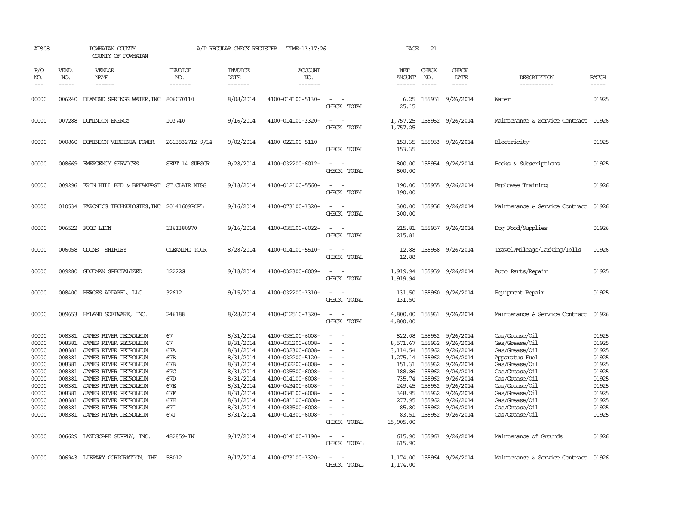| AP308                                                                                                             |                                                                                                                      | POWHATAN COUNTY<br>COUNTY OF POWHATAN                                                                                                                                                                                                                                                                                                     |                                                                                             | A/P REGULAR CHECK REGISTER                                                                                                                                            | TIME-13:17:26                                                                                                                                                                                                                                                                 |                                                                                      | PAGE                                                                                                                                                      | 21                                                                                                                   |                                                                                                                                                                              |                                                                                                                                                                                                                                                |                                                                                                                   |
|-------------------------------------------------------------------------------------------------------------------|----------------------------------------------------------------------------------------------------------------------|-------------------------------------------------------------------------------------------------------------------------------------------------------------------------------------------------------------------------------------------------------------------------------------------------------------------------------------------|---------------------------------------------------------------------------------------------|-----------------------------------------------------------------------------------------------------------------------------------------------------------------------|-------------------------------------------------------------------------------------------------------------------------------------------------------------------------------------------------------------------------------------------------------------------------------|--------------------------------------------------------------------------------------|-----------------------------------------------------------------------------------------------------------------------------------------------------------|----------------------------------------------------------------------------------------------------------------------|------------------------------------------------------------------------------------------------------------------------------------------------------------------------------|------------------------------------------------------------------------------------------------------------------------------------------------------------------------------------------------------------------------------------------------|-------------------------------------------------------------------------------------------------------------------|
| P/O<br>NO.<br>$---$                                                                                               | VEND.<br>NO.<br>$- - - - -$                                                                                          | VENDOR<br>NAME<br>------                                                                                                                                                                                                                                                                                                                  | <b>INVOICE</b><br>NO.<br>-------                                                            | <b>INVOICE</b><br>DATE<br>-------                                                                                                                                     | ACCOUNT<br>NO.<br>-------                                                                                                                                                                                                                                                     |                                                                                      | NET<br>AMOUNT<br>------                                                                                                                                   | CHECK<br>NO.<br>$\frac{1}{2}$                                                                                        | CHECK<br>DATE<br>$- - - - -$                                                                                                                                                 | DESCRIPTION<br>-----------                                                                                                                                                                                                                     | <b>BATCH</b><br>$- - - - -$                                                                                       |
| 00000                                                                                                             | 006240                                                                                                               | DIAMOND SPRINGS WATER, INC 806070110                                                                                                                                                                                                                                                                                                      |                                                                                             | 8/08/2014                                                                                                                                                             | 4100-014100-5130-                                                                                                                                                                                                                                                             | $\equiv$<br>CHECK TOTAL                                                              | 6.25<br>25.15                                                                                                                                             |                                                                                                                      | 155951 9/26/2014                                                                                                                                                             | Water                                                                                                                                                                                                                                          | 01925                                                                                                             |
| 00000                                                                                                             | 007288                                                                                                               | DOMINION ENERGY                                                                                                                                                                                                                                                                                                                           | 103740                                                                                      | 9/16/2014                                                                                                                                                             | 4100-014100-3320-                                                                                                                                                                                                                                                             | $\equiv$<br>CHECK TOTAL                                                              | 1,757.25<br>1,757.25                                                                                                                                      |                                                                                                                      | 155952 9/26/2014                                                                                                                                                             | Maintenance & Service Contract                                                                                                                                                                                                                 | 01926                                                                                                             |
| 00000                                                                                                             | 000860                                                                                                               | DOMINION VIRGINIA POWER                                                                                                                                                                                                                                                                                                                   | 2613832712 9/14                                                                             | 9/02/2014                                                                                                                                                             | 4100-022100-5110-                                                                                                                                                                                                                                                             | $\equiv$<br>CHECK TOTAL                                                              | 153.35<br>153.35                                                                                                                                          |                                                                                                                      | 155953 9/26/2014                                                                                                                                                             | Electricity                                                                                                                                                                                                                                    | 01925                                                                                                             |
| 00000                                                                                                             | 008669                                                                                                               | EMERGENCY SERVICES                                                                                                                                                                                                                                                                                                                        | SEPT 14 SUBSCR                                                                              | 9/28/2014                                                                                                                                                             | 4100-032200-6012-                                                                                                                                                                                                                                                             | CHECK TOTAL                                                                          | 800.00<br>800.00                                                                                                                                          |                                                                                                                      | 155954 9/26/2014                                                                                                                                                             | Books & Subscriptions                                                                                                                                                                                                                          | 01925                                                                                                             |
| 00000                                                                                                             |                                                                                                                      | 009296 ERIN HILL BED & BREAKFAST ST.CLAIR MIGS                                                                                                                                                                                                                                                                                            |                                                                                             | 9/18/2014                                                                                                                                                             | 4100-012100-5560-                                                                                                                                                                                                                                                             | $\equiv$<br>CHECK TOTAL                                                              | 190.00<br>190.00                                                                                                                                          |                                                                                                                      | 155955 9/26/2014                                                                                                                                                             | Employee Training                                                                                                                                                                                                                              | 01926                                                                                                             |
| 00000                                                                                                             |                                                                                                                      | 010534 FARONICS TECHNOLOGIES, INC 20141609PCPL                                                                                                                                                                                                                                                                                            |                                                                                             | 9/16/2014                                                                                                                                                             | 4100-073100-3320-                                                                                                                                                                                                                                                             | CHECK TOTAL                                                                          | 300.00<br>300.00                                                                                                                                          |                                                                                                                      | 155956 9/26/2014                                                                                                                                                             | Maintenance & Service Contract                                                                                                                                                                                                                 | 01926                                                                                                             |
| 00000                                                                                                             |                                                                                                                      | 006522 FOOD LION                                                                                                                                                                                                                                                                                                                          | 1361380970                                                                                  | 9/16/2014                                                                                                                                                             | 4100-035100-6022-                                                                                                                                                                                                                                                             | CHECK TOTAL                                                                          | 215.81<br>215.81                                                                                                                                          |                                                                                                                      | 155957 9/26/2014                                                                                                                                                             | Dog Food/Supplies                                                                                                                                                                                                                              | 01926                                                                                                             |
| 00000                                                                                                             | 006058                                                                                                               | GOINS, SHIRLEY                                                                                                                                                                                                                                                                                                                            | <b>CLEANING TOUR</b>                                                                        | 8/28/2014                                                                                                                                                             | 4100-014100-5510-                                                                                                                                                                                                                                                             | CHECK TOTAL                                                                          | 12.88<br>12.88                                                                                                                                            |                                                                                                                      | 155958 9/26/2014                                                                                                                                                             | Travel/Mileage/Parking/Tolls                                                                                                                                                                                                                   | 01926                                                                                                             |
| 00000                                                                                                             | 009280                                                                                                               | GOODMAN SPECIALIZED                                                                                                                                                                                                                                                                                                                       | 12222G                                                                                      | 9/18/2014                                                                                                                                                             | 4100-032300-6009-                                                                                                                                                                                                                                                             | $\equiv$<br>CHECK TOTAL                                                              | 1,919.94<br>1,919.94                                                                                                                                      |                                                                                                                      | 155959 9/26/2014                                                                                                                                                             | Auto Parts/Repair                                                                                                                                                                                                                              | 01925                                                                                                             |
| 00000                                                                                                             | 008400                                                                                                               | HEROES APPAREL, LLC                                                                                                                                                                                                                                                                                                                       | 32612                                                                                       | 9/15/2014                                                                                                                                                             | 4100-032200-3310-                                                                                                                                                                                                                                                             | $\equiv$<br>CHECK TOTAL                                                              | 131.50<br>131.50                                                                                                                                          |                                                                                                                      | 155960 9/26/2014                                                                                                                                                             | Equipment Repair                                                                                                                                                                                                                               | 01925                                                                                                             |
| 00000                                                                                                             | 009653                                                                                                               | HYLAND SOFTWARE, INC.                                                                                                                                                                                                                                                                                                                     | 246188                                                                                      | 8/28/2014                                                                                                                                                             | 4100-012510-3320-                                                                                                                                                                                                                                                             | $\equiv$<br>$\overline{\phantom{a}}$<br>CHECK TOTAL                                  | 4,800.00<br>4,800.00                                                                                                                                      |                                                                                                                      | 155961 9/26/2014                                                                                                                                                             | Maintenance & Service Contract                                                                                                                                                                                                                 | 01926                                                                                                             |
| 00000<br>00000<br>00000<br>00000<br>00000<br>00000<br>00000<br>00000<br>00000<br>00000<br>00000<br>00000<br>00000 | 008381<br>008381<br>008381<br>008381<br>008381<br>008381<br>008381<br>008381<br>008381<br>008381<br>008381<br>008381 | JAMES RIVER PETROLEUM<br>JAMES RIVER PETROLEUM<br>JAMES RIVER PETROLEUM<br>JAMES RIVER PETROLEUM<br>JAMES RIVER PETROLEUM<br>JAMES RIVER PETROLEUM<br>JAMES RIVER PETROLEUM<br>JAMES RIVER PETROLEUM<br>JAMES RIVER PETROLEUM<br>JAMES RIVER PETROLEUM<br>JAMES RIVER PETROLEUM<br>JAMES RIVER PETROLEUM<br>006629 LANDSCAPE SUPPLY, INC. | 67<br>67<br>67A<br>67B<br>67B<br>67C<br>67D<br>67E<br>67F<br>67H<br>67I<br>67J<br>482859-IN | 8/31/2014<br>8/31/2014<br>8/31/2014<br>8/31/2014<br>8/31/2014<br>8/31/2014<br>8/31/2014<br>8/31/2014<br>8/31/2014<br>8/31/2014<br>8/31/2014<br>8/31/2014<br>9/17/2014 | 4100-035100-6008-<br>4100-031200-6008-<br>4100-032300-6008-<br>4100-032200-5120-<br>4100-032200-6008-<br>4100-035500-6008-<br>4100-014100-6008-<br>4100-043400-6008-<br>4100-034100-6008-<br>4100-081100-6008-<br>4100-083500-6008-<br>4100-014300-6008-<br>4100-014100-3190- | $\equiv$<br>$\equiv$<br>$\equiv$<br>$\equiv$<br>CHECK TOTAL<br>$\sim$<br>CHECK TOTAL | 822.08<br>8,571.67<br>3,114.54<br>1,275.14<br>151.31<br>188.86<br>735.74<br>249.45<br>348.95<br>277.95<br>85.80<br>83.51<br>15,905.00<br>615.90<br>615.90 | 155962<br>155962<br>155962<br>155962<br>155962<br>155962<br>155962<br>155962<br>155962<br>155962<br>155962<br>155962 | 9/26/2014<br>9/26/2014<br>9/26/2014<br>9/26/2014<br>9/26/2014<br>9/26/2014<br>9/26/2014<br>9/26/2014<br>9/26/2014<br>9/26/2014<br>9/26/2014<br>9/26/2014<br>155963 9/26/2014 | Gas/Grease/Oil<br>Gas/Grease/Oil<br>Gas/Grease/Oil<br>Apparatus Fuel<br>Gas/Grease/Oil<br>Gas/Grease/Oil<br>Gas/Grease/Oil<br>Gas/Grease/Oil<br>Gas/Grease/Oil<br>Gas/Grease/Oil<br>Gas/Grease/Oil<br>Gas/Grease/Oil<br>Maintenance of Grounds | 01925<br>01925<br>01925<br>01925<br>01925<br>01925<br>01925<br>01925<br>01925<br>01925<br>01925<br>01925<br>01926 |
| 00000                                                                                                             |                                                                                                                      | 006943 LIBRARY CORPORATION, THE                                                                                                                                                                                                                                                                                                           | 58012                                                                                       | 9/17/2014                                                                                                                                                             | 4100-073100-3320-                                                                                                                                                                                                                                                             | CHECK TOTAL                                                                          | 1,174.00<br>1,174.00                                                                                                                                      |                                                                                                                      | 155964 9/26/2014                                                                                                                                                             | Maintenance & Service Contract                                                                                                                                                                                                                 | 01926                                                                                                             |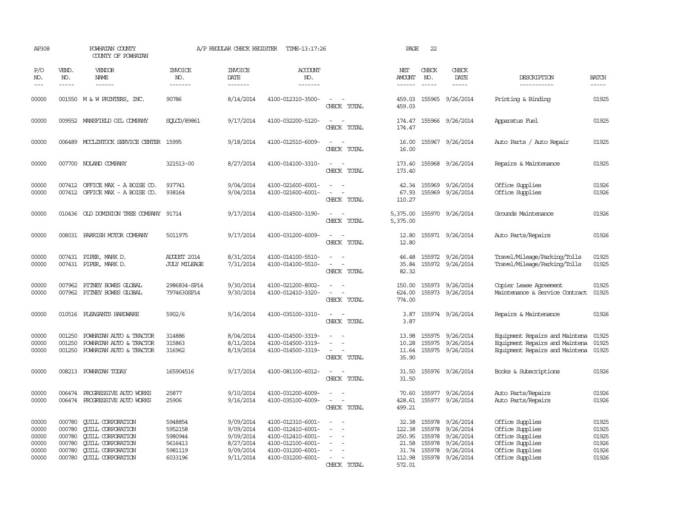| AP308                                              |                                                | POWHATAN COUNTY<br>COUNTY OF POWHATAN                                                                                                                                |                                                                | A/P REGULAR CHECK REGISTER                                                 | TIME-13:17:26                                                                                                              |                                                   | PAGE                                                            | 22                                             |                                                                                   |                                                                                                                |                                                    |
|----------------------------------------------------|------------------------------------------------|----------------------------------------------------------------------------------------------------------------------------------------------------------------------|----------------------------------------------------------------|----------------------------------------------------------------------------|----------------------------------------------------------------------------------------------------------------------------|---------------------------------------------------|-----------------------------------------------------------------|------------------------------------------------|-----------------------------------------------------------------------------------|----------------------------------------------------------------------------------------------------------------|----------------------------------------------------|
| P/O<br>NO.                                         | VEND.<br>NO.                                   | VENDOR<br>NAME                                                                                                                                                       | <b>INVOICE</b><br>NO.                                          | <b>INVOICE</b><br>DATE                                                     | <b>ACCOUNT</b><br>NO.                                                                                                      |                                                   | NET<br><b>AMOUNT</b>                                            | CHECK<br>NO.                                   | CHECK<br>DATE                                                                     | DESCRIPTION                                                                                                    | <b>BATCH</b>                                       |
| $---$                                              | $- - - - -$                                    | $- - - - - -$                                                                                                                                                        | -------                                                        | -------                                                                    | -------                                                                                                                    |                                                   | $- - - - - -$                                                   | $\frac{1}{2}$                                  | $- - - - -$                                                                       | -----------                                                                                                    | -----                                              |
| 00000                                              |                                                | 001550 M & W PRINTERS, INC.                                                                                                                                          | 90786                                                          | 8/14/2014                                                                  | 4100-012310-3500-                                                                                                          | $\sim$<br>CHECK TOTAL                             | 459.03                                                          |                                                | 459.03 155965 9/26/2014                                                           | Printing & Binding                                                                                             | 01925                                              |
| 00000                                              |                                                | 009552 MANSFIELD OIL COMPANY                                                                                                                                         | SOLCD/89861                                                    | 9/17/2014                                                                  | 4100-032200-5120-                                                                                                          | $\sim$<br>$\overline{\phantom{a}}$<br>CHECK TOTAL | 174.47<br>174.47                                                |                                                | 155966 9/26/2014                                                                  | Apparatus Fuel                                                                                                 | 01925                                              |
| 00000                                              |                                                | 006489 MCCLINTOCK SERVICE CENTER 15995                                                                                                                               |                                                                | 9/18/2014                                                                  | 4100-012510-6009-                                                                                                          | $\equiv$<br>. —<br>CHECK TOTAL                    | 16.00<br>16.00                                                  |                                                | 155967 9/26/2014                                                                  | Auto Parts / Auto Repair                                                                                       | 01925                                              |
| 00000                                              |                                                | 007700 NOLAND COMPANY                                                                                                                                                | 321513-00                                                      | 8/27/2014                                                                  | 4100-014100-3310-                                                                                                          | CHECK TOTAL                                       | 173.40<br>173.40                                                |                                                | 155968 9/26/2014                                                                  | Repairs & Maintenance                                                                                          | 01925                                              |
| 00000<br>00000                                     | 007412                                         | OFFICE MAX - A BOISE CO.<br>007412 OFFICE MAX - A BOISE CO.                                                                                                          | 937741<br>938164                                               | 9/04/2014<br>9/04/2014                                                     | 4100-021600-6001-<br>4100-021600-6001-                                                                                     | CHECK TOTAL                                       | 42.34<br>67.93<br>110.27                                        |                                                | 155969 9/26/2014<br>155969 9/26/2014                                              | Office Supplies<br>Office Supplies                                                                             | 01926<br>01926                                     |
| 00000                                              |                                                | 010436 OLD DOMINION TREE COMPANY                                                                                                                                     | 91714                                                          | 9/17/2014                                                                  | 4100-014500-3190-                                                                                                          | CHECK TOTAL                                       | 5,375.00<br>5,375.00                                            |                                                | 155970 9/26/2014                                                                  | Grounds Maintenance                                                                                            | 01926                                              |
| 00000                                              |                                                | 008031 PARRISH MOTOR COMPANY                                                                                                                                         | 5011975                                                        | 9/17/2014                                                                  | 4100-031200-6009-                                                                                                          | CHECK TOTAL                                       | 12.80<br>12.80                                                  |                                                | 155971 9/26/2014                                                                  | Auto Parts/Repairs                                                                                             | 01926                                              |
| 00000<br>00000                                     |                                                | 007431 PIPER, MARK D.<br>007431 PIPER, MARK D.                                                                                                                       | <b>AUGUST 2014</b><br><b>JULY MILEAGE</b>                      | 8/31/2014<br>7/31/2014                                                     | 4100-014100-5510-<br>4100-014100-5510-                                                                                     | - 11<br>$\sim$<br>$\equiv$<br>CHECK TOTAL         | 46.48<br>35.84<br>82.32                                         |                                                | 155972 9/26/2014<br>155972 9/26/2014                                              | Travel/Mileage/Parking/Tolls<br>Travel/Mileage/Parking/Tolls                                                   | 01925<br>01925                                     |
| 00000<br>00000                                     | 007962<br>007962                               | PITNEY BOWES GLOBAL<br>PITNEY BOWES GLOBAL                                                                                                                           | 2986834-SP14<br>7974630SP14                                    | 9/30/2014<br>9/30/2014                                                     | 4100-021200-8002-<br>4100-012410-3320-                                                                                     | $\equiv$<br>CHECK TOTAL                           | 150.00<br>624.00<br>774.00                                      |                                                | 155973 9/26/2014<br>155973 9/26/2014                                              | Copier Lease Agreement<br>Maintenance & Service Contract                                                       | 01925<br>01925                                     |
| 00000                                              | 010516                                         | PLEASANTS HARDWARE                                                                                                                                                   | 5902/6                                                         | 9/16/2014                                                                  | 4100-035100-3310-                                                                                                          | $\overline{\phantom{a}}$<br>CHECK TOTAL           | 3.87<br>3.87                                                    |                                                | 155974 9/26/2014                                                                  | Repairs & Maintenance                                                                                          | 01926                                              |
| 00000<br>00000<br>00000                            | 001250<br>001250<br>001250                     | POWHATAN AUTO & TRACTOR<br>POWHATAN AUTO & TRACTOR<br>POWHATAN AUTO & TRACTOR                                                                                        | 314886<br>315863<br>316962                                     | 8/04/2014<br>8/11/2014<br>8/19/2014                                        | 4100-014500-3319-<br>4100-014500-3319-<br>4100-014500-3319-                                                                | CHECK TOTAL                                       | 13.98<br>10.28<br>11.64<br>35.90                                |                                                | 155975 9/26/2014<br>155975 9/26/2014<br>155975 9/26/2014                          | Equipment Repairs and Maintena<br>Equipment Repairs and Maintena<br>Equipment Repairs and Maintena             | 01925<br>01925<br>01925                            |
| 00000                                              | 008213                                         | POWHATAN TODAY                                                                                                                                                       | 165904516                                                      | 9/17/2014                                                                  | 4100-081100-6012-                                                                                                          | CHECK TOTAL                                       | 31.50<br>31.50                                                  |                                                | 155976 9/26/2014                                                                  | Books & Subscriptions                                                                                          | 01926                                              |
| 00000<br>00000                                     | 006474                                         | PROGRESSIVE AUTO WORKS<br>006474 PROGRESSIVE AUTO WORKS                                                                                                              | 25877<br>25906                                                 | 9/10/2014<br>9/16/2014                                                     | 4100-031200-6009-<br>4100-035100-6009-                                                                                     | $\equiv$<br>CHECK TOTAL                           | 70.60<br>428.61<br>499.21                                       |                                                | 155977 9/26/2014<br>155977 9/26/2014                                              | Auto Parts/Repairs<br>Auto Parts/Repairs                                                                       | 01926<br>01926                                     |
| 00000<br>00000<br>00000<br>00000<br>00000<br>00000 | 000780<br>000780<br>000780<br>000780<br>000780 | <b>QUILL CORPORATION</b><br><b>QUILL CORPORATION</b><br><b>CUILL CORPORATION</b><br><b>CUILL CORPORATION</b><br><b>QUILL CORPORATION</b><br>000780 CUILL CORPORATION | 5948854<br>5952158<br>5980944<br>5616413<br>5981119<br>6033196 | 9/09/2014<br>9/09/2014<br>9/09/2014<br>8/27/2014<br>9/09/2014<br>9/11/2014 | 4100-012310-6001-<br>4100-012410-6001-<br>4100-012410-6001-<br>4100-012100-6001-<br>4100-031200-6001-<br>4100-031200-6001- | $\sim$<br>CHECK TOTAL                             | 32.38<br>122.38<br>250.95<br>21.58<br>31.74<br>112.98<br>572.01 | 155978<br>155978<br>155978<br>155978<br>155978 | 9/26/2014<br>9/26/2014<br>9/26/2014<br>9/26/2014<br>9/26/2014<br>155978 9/26/2014 | Office Supplies<br>Office Supplies<br>Office Supplies<br>Office Supplies<br>Office Supplies<br>Office Supplies | 01925<br>01925<br>01925<br>01926<br>01926<br>01926 |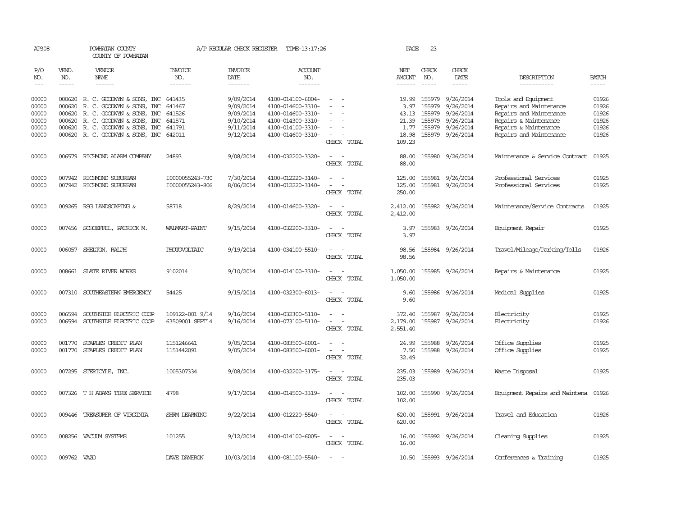| AP308          |               | POWHATAN COUNTY<br>COUNTY OF POWHATAN                         |                     | A/P REGULAR CHECK REGISTER | TIME-13:17:26                          |                                                                                                              | PAGE           | 23                     |                                                                                                                                                                                                                                                                                                                                                                                                                                                                                     |                                                |                |
|----------------|---------------|---------------------------------------------------------------|---------------------|----------------------------|----------------------------------------|--------------------------------------------------------------------------------------------------------------|----------------|------------------------|-------------------------------------------------------------------------------------------------------------------------------------------------------------------------------------------------------------------------------------------------------------------------------------------------------------------------------------------------------------------------------------------------------------------------------------------------------------------------------------|------------------------------------------------|----------------|
| P/O<br>NO.     | VEND.<br>NO.  | VENDOR<br>NAME                                                | INVOICE<br>NO.      | INVOICE<br>DATE            | ACCOUNT<br>NO.                         |                                                                                                              | NET<br>AMOUNT  | CHECK<br>NO.           | CHECK<br>DATE                                                                                                                                                                                                                                                                                                                                                                                                                                                                       | DESCRIPTION                                    | <b>BATCH</b>   |
| $- - -$        | $\frac{1}{2}$ | ------                                                        | -------             | -------                    | -------                                |                                                                                                              |                | $- - - - -$            | $\begin{tabular}{ccccc} \multicolumn{2}{c}{} & \multicolumn{2}{c}{} & \multicolumn{2}{c}{} & \multicolumn{2}{c}{} & \multicolumn{2}{c}{} & \multicolumn{2}{c}{} & \multicolumn{2}{c}{} & \multicolumn{2}{c}{} & \multicolumn{2}{c}{} & \multicolumn{2}{c}{} & \multicolumn{2}{c}{} & \multicolumn{2}{c}{} & \multicolumn{2}{c}{} & \multicolumn{2}{c}{} & \multicolumn{2}{c}{} & \multicolumn{2}{c}{} & \multicolumn{2}{c}{} & \multicolumn{2}{c}{} & \multicolumn{2}{c}{} & \mult$ | -----------                                    | $- - - - -$    |
| 00000<br>00000 | 000620        | 000620 R. C. GOODWYN & SONS, INC<br>R. C. GOODWYN & SONS, INC | 641435<br>641467    | 9/09/2014<br>9/09/2014     | 4100-014100-6004-<br>4100-014600-3310- | $\overline{\phantom{a}}$                                                                                     | 3.97           | 19.99 155979<br>155979 | 9/26/2014<br>9/26/2014                                                                                                                                                                                                                                                                                                                                                                                                                                                              | Tools and Equipment<br>Repairs and Maintenance | 01926<br>01926 |
| 00000          |               | 000620 R. C. GOODWYN & SONS, INC                              | 641526              | 9/09/2014                  | 4100-014600-3310-                      |                                                                                                              | 43.13          | 155979                 | 9/26/2014                                                                                                                                                                                                                                                                                                                                                                                                                                                                           | Repairs and Maintenance                        | 01926          |
| 00000          | 000620        | R. C. GOODWYN & SONS, INC                                     | 641571              | 9/10/2014                  | 4100-014300-3310-                      | $\sim$                                                                                                       | 21.39          | 155979                 | 9/26/2014                                                                                                                                                                                                                                                                                                                                                                                                                                                                           | Repairs & Maintenance                          | 01926          |
| 00000          |               | 000620 R. C. GOODWYN & SONS, INC                              | 641791              | 9/11/2014                  | 4100-014100-3310-                      | $\sim$                                                                                                       | 1.77           | 155979                 | 9/26/2014                                                                                                                                                                                                                                                                                                                                                                                                                                                                           | Repairs & Maintenance                          | 01926          |
| 00000          |               | 000620 R. C. GOODWYN & SONS, INC                              | 642011              | 9/12/2014                  | 4100-014600-3310-                      | $\sim$<br>$\overline{\phantom{a}}$                                                                           | 18.98          | 155979                 | 9/26/2014                                                                                                                                                                                                                                                                                                                                                                                                                                                                           | Repairs and Maintenance                        | 01926          |
|                |               |                                                               |                     |                            |                                        | CHECK TOTAL                                                                                                  | 109.23         |                        |                                                                                                                                                                                                                                                                                                                                                                                                                                                                                     |                                                |                |
| 00000          |               | 006579 RICHMOND ALARM COMPANY                                 | 24893               | 9/08/2014                  | 4100-032200-3320-                      | $\sim$<br>$\overline{\phantom{a}}$<br>CHECK TOTAL                                                            | 88.00<br>88.00 | 155980                 | 9/26/2014                                                                                                                                                                                                                                                                                                                                                                                                                                                                           | Maintenance & Service Contract                 | 01925          |
|                |               |                                                               |                     |                            |                                        |                                                                                                              |                |                        |                                                                                                                                                                                                                                                                                                                                                                                                                                                                                     |                                                |                |
| 00000          |               | 007942 RICHMOND SUBURBAN                                      | I0000055243-730     | 7/30/2014                  | 4100-012220-3140-                      | $\sim$<br>$\sim$                                                                                             | 125.00         | 155981                 | 9/26/2014                                                                                                                                                                                                                                                                                                                                                                                                                                                                           | Professional Services                          | 01925          |
| 00000          |               | 007942 RICHMOND SUBURBAN                                      | I0000055243-806     | 8/06/2014                  | 4100-012220-3140-                      | $\sim$<br>$\sim$                                                                                             | 125.00         |                        | 155981 9/26/2014                                                                                                                                                                                                                                                                                                                                                                                                                                                                    | Professional Services                          | 01925          |
|                |               |                                                               |                     |                            |                                        | CHECK TOTAL                                                                                                  | 250.00         |                        |                                                                                                                                                                                                                                                                                                                                                                                                                                                                                     |                                                |                |
| 00000          |               | 009265 RSG LANDSCAPING &                                      | 58718               | 8/29/2014                  | 4100-014600-3320-                      | $\sim$                                                                                                       | 2,412.00       |                        | 155982 9/26/2014                                                                                                                                                                                                                                                                                                                                                                                                                                                                    | Maintenance/Service Contracts                  | 01925          |
|                |               |                                                               |                     |                            |                                        | CHECK TOTAL                                                                                                  | 2,412.00       |                        |                                                                                                                                                                                                                                                                                                                                                                                                                                                                                     |                                                |                |
| 00000          |               | 007456 SCHOEFFEL, PATRICK M.                                  | WALMART-PAINT       | 9/15/2014                  | 4100-032200-3310-                      | $\sim$<br>$\sim$                                                                                             | 3.97           | 155983                 | 9/26/2014                                                                                                                                                                                                                                                                                                                                                                                                                                                                           | Equipment Repair                               | 01925          |
|                |               |                                                               |                     |                            |                                        | CHECK TOTAL                                                                                                  | 3.97           |                        |                                                                                                                                                                                                                                                                                                                                                                                                                                                                                     |                                                |                |
| 00000          |               | 006057 SHELTON, RALPH                                         | PHOTOVOLTAIC        | 9/19/2014                  | 4100-034100-5510-                      | $\sim$                                                                                                       | 98.56          |                        | 155984 9/26/2014                                                                                                                                                                                                                                                                                                                                                                                                                                                                    | Travel/Mileage/Parking/Tolls                   | 01926          |
|                |               |                                                               |                     |                            |                                        | CHECK TOTAL                                                                                                  | 98.56          |                        |                                                                                                                                                                                                                                                                                                                                                                                                                                                                                     |                                                |                |
| 00000          |               | 008661 SLATE RIVER WORKS                                      | 9102014             | 9/10/2014                  | 4100-014100-3310-                      | $\frac{1}{2} \left( \frac{1}{2} \right) \left( \frac{1}{2} \right) = \frac{1}{2} \left( \frac{1}{2} \right)$ |                |                        | 1,050.00 155985 9/26/2014                                                                                                                                                                                                                                                                                                                                                                                                                                                           | Repairs & Maintenance                          | 01925          |
|                |               |                                                               |                     |                            |                                        | CHECK TOTAL                                                                                                  | 1,050.00       |                        |                                                                                                                                                                                                                                                                                                                                                                                                                                                                                     |                                                |                |
| 00000          |               | 007310 SOUTHEASTERN EMERGENCY                                 | 54425               | 9/15/2014                  | 4100-032300-6013-                      | $\sim$<br>$\sim$                                                                                             | 9.60           |                        | 155986 9/26/2014                                                                                                                                                                                                                                                                                                                                                                                                                                                                    | Medical Supplies                               | 01925          |
|                |               |                                                               |                     |                            |                                        | CHECK TOTAL                                                                                                  | 9.60           |                        |                                                                                                                                                                                                                                                                                                                                                                                                                                                                                     |                                                |                |
| 00000          | 006594        | SOUTHSIDE ELECTRIC COOP                                       | 109122-001 9/14     | 9/16/2014                  | 4100-032300-5110-                      | $\equiv$<br>$\sim$                                                                                           | 372.40         | 155987                 | 9/26/2014                                                                                                                                                                                                                                                                                                                                                                                                                                                                           | Electricity                                    | 01925          |
| 00000          | 006594        | SOUTHSIDE ELECTRIC COOP                                       | 63509001 SEPT14     | 9/16/2014                  | 4100-073100-5110-                      | $\sim$<br>$\overline{\phantom{a}}$                                                                           | 2,179.00       | 155987                 | 9/26/2014                                                                                                                                                                                                                                                                                                                                                                                                                                                                           | Electricity                                    | 01926          |
|                |               |                                                               |                     |                            |                                        | CHECK TOTAL                                                                                                  | 2,551.40       |                        |                                                                                                                                                                                                                                                                                                                                                                                                                                                                                     |                                                |                |
| 00000          |               | 001770 STAPLES CREDIT PLAN                                    | 1151246641          | 9/05/2014                  | 4100-083500-6001-                      | $\sim$<br>$\sim$                                                                                             | 24.99          | 155988                 | 9/26/2014                                                                                                                                                                                                                                                                                                                                                                                                                                                                           | Office Supplies                                | 01925          |
| 00000          |               | 001770 STAPLES CREDIT PLAN                                    | 1151442091          | 9/05/2014                  | 4100-083500-6001-                      | $\overline{\phantom{a}}$<br>$\sim$                                                                           | 7.50           | 155988                 | 9/26/2014                                                                                                                                                                                                                                                                                                                                                                                                                                                                           | Office Supplies                                | 01925          |
|                |               |                                                               |                     |                            |                                        | CHECK TOTAL                                                                                                  | 32.49          |                        |                                                                                                                                                                                                                                                                                                                                                                                                                                                                                     |                                                |                |
| 00000          |               | 007295 STERICYLE, INC.                                        | 1005307334          | 9/08/2014                  | 4100-032200-3175-                      | $\overline{\phantom{a}}$<br>$\sim$                                                                           | 235.03         | 155989                 | 9/26/2014                                                                                                                                                                                                                                                                                                                                                                                                                                                                           | Waste Disposal                                 | 01925          |
|                |               |                                                               |                     |                            |                                        | CHECK TOTAL                                                                                                  | 235.03         |                        |                                                                                                                                                                                                                                                                                                                                                                                                                                                                                     |                                                |                |
| 00000          |               | 007326 T H ADAMS TIRE SERVICE                                 | 4798                | 9/17/2014                  | 4100-014500-3319-                      | $\sim$<br>$\sim$                                                                                             | 102.00         | 155990                 | 9/26/2014                                                                                                                                                                                                                                                                                                                                                                                                                                                                           | Equipment Repairs and Maintena                 | 01926          |
|                |               |                                                               |                     |                            |                                        | CHECK TOTAL                                                                                                  | 102.00         |                        |                                                                                                                                                                                                                                                                                                                                                                                                                                                                                     |                                                |                |
| 00000          |               | 009446 TREASURER OF VIRGINIA                                  | SHRM LEARNING       | 9/22/2014                  | 4100-012220-5540-                      | $\overline{\phantom{a}}$                                                                                     | 620.00         |                        | 155991 9/26/2014                                                                                                                                                                                                                                                                                                                                                                                                                                                                    | Travel and Education                           | 01926          |
|                |               |                                                               |                     |                            |                                        | CHECK TOTAL                                                                                                  | 620.00         |                        |                                                                                                                                                                                                                                                                                                                                                                                                                                                                                     |                                                |                |
| 00000          |               | 008256 VACUJM SYSTEMS                                         | 101255              | 9/12/2014                  | 4100-014100-6005-                      | $\sim$ $ \sim$                                                                                               | 16.00          |                        | 155992 9/26/2014                                                                                                                                                                                                                                                                                                                                                                                                                                                                    | Cleaning Supplies                              | 01925          |
|                |               |                                                               |                     |                            |                                        | CHECK TOTAL                                                                                                  | 16.00          |                        |                                                                                                                                                                                                                                                                                                                                                                                                                                                                                     |                                                |                |
| 00000          | 009762 VAZO   |                                                               | <b>DAVE DAMERON</b> | 10/03/2014                 | 4100-081100-5540-                      |                                                                                                              |                |                        | 10.50 155993 9/26/2014                                                                                                                                                                                                                                                                                                                                                                                                                                                              | Conferences & Training                         | 01925          |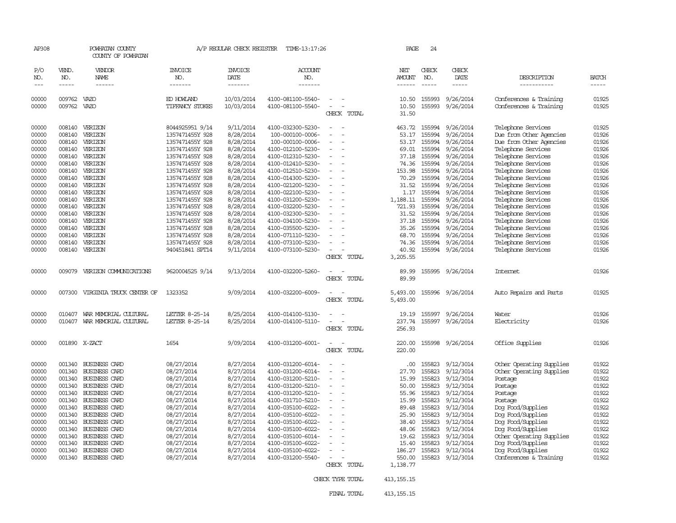| AP308               |                             | POWHATAN COUNTY<br>COUNTY OF POWHATAN        |                                    | A/P REGULAR CHECK REGISTER         | TIME-13:17:26                          |                  | PAGE                           | 24                          |                        |                                          |                       |
|---------------------|-----------------------------|----------------------------------------------|------------------------------------|------------------------------------|----------------------------------------|------------------|--------------------------------|-----------------------------|------------------------|------------------------------------------|-----------------------|
| P/O<br>NO.<br>$---$ | VEND.<br>NO.<br>$- - - - -$ | VENDOR<br>NAME<br>------                     | <b>INVOICE</b><br>NO.<br>-------   | INVOICE<br>DATE<br>$- - - - - - -$ | <b>ACCOUNT</b><br>NO.<br>-------       |                  | NET<br>AMOUNT<br>$- - - - - -$ | CHECK<br>NO.<br>$- - - - -$ | CHECK<br>DATE<br>----- | DESCRIPTION<br>-----------               | <b>BATCH</b><br>----- |
|                     |                             |                                              |                                    |                                    |                                        |                  |                                |                             |                        |                                          |                       |
| 00000               | 009762 VAZO                 |                                              | ED HOWLAND                         | 10/03/2014                         | 4100-081100-5540-                      |                  | 10.50                          | 155993                      | 9/26/2014              | Conferences & Training                   | 01925                 |
| 00000               | 009762                      | VAZO                                         | TIFFANCY STOKES                    | 10/03/2014                         | 4100-081100-5540-                      | CHECK TOTAL      | 10.50<br>31.50                 |                             | 155993 9/26/2014       | Conferences & Training                   | 01925                 |
| 00000               | 008140                      | VERIZON                                      | 8044925951 9/14                    | 9/11/2014                          | 4100-032300-5230-                      |                  | 463.72                         | 155994                      | 9/26/2014              | Telephone Services                       | 01925                 |
| 00000               | 008140                      | VERIZON                                      | 1357471455Y 928                    | 8/28/2014                          | 100-000100-0006-                       |                  | 53.17                          | 155994                      | 9/26/2014              | Due from Other Agencies                  | 01926                 |
| 00000               |                             | 008140 VERIZON                               | 1357471455Y 928                    | 8/28/2014                          | 100-000100-0006-                       |                  | 53.17                          | 155994                      | 9/26/2014              | Due from Other Agencies                  | 01926                 |
| 00000               | 008140                      | VERIZON                                      | 1357471455Y 928                    | 8/28/2014                          | 4100-012100-5230-                      |                  | 69.01                          | 155994                      | 9/26/2014              | Telephone Services                       | 01926                 |
| 00000               | 008140                      | VERIZON                                      | 1357471455Y 928                    | 8/28/2014                          | 4100-012310-5230-                      |                  | 37.18                          | 155994                      | 9/26/2014              | Telephone Services                       | 01926                 |
| 00000               | 008140                      | VERIZON                                      | 1357471455Y 928                    | 8/28/2014                          | 4100-012410-5230-                      |                  | 74.36                          | 155994                      | 9/26/2014              | Telephone Services                       | 01926                 |
| 00000               | 008140                      | VERIZON                                      | 1357471455Y 928                    | 8/28/2014                          | 4100-012510-5230-                      |                  | 153.98                         | 155994                      | 9/26/2014              | Telephone Services                       | 01926                 |
| 00000               | 008140                      | VERIZON                                      | 1357471455Y 928                    | 8/28/2014                          | 4100-014300-5230-                      |                  | 70.29                          | 155994                      | 9/26/2014              | Telephone Services                       | 01926                 |
| 00000<br>00000      | 008140                      | VERIZON<br>008140 VERIZON                    | 1357471455Y 928                    | 8/28/2014<br>8/28/2014             | 4100-021200-5230-<br>4100-022100-5230- |                  | 31.52                          | 155994<br>155994            | 9/26/2014<br>9/26/2014 | Telephone Services                       | 01926<br>01926        |
| 00000               |                             | 008140 VERIZON                               | 1357471455Y 928<br>1357471455Y 928 | 8/28/2014                          | 4100-031200-5230-                      |                  | 1.17<br>1,188.11               | 155994                      | 9/26/2014              | Telephone Services<br>Telephone Services | 01926                 |
| 00000               |                             | 008140 VERIZON                               | 1357471455Y 928                    | 8/28/2014                          | 4100-032200-5230-                      |                  | 721.93                         | 155994                      | 9/26/2014              | Telephone Services                       | 01926                 |
| 00000               | 008140                      | VERIZON                                      | 1357471455Y 928                    | 8/28/2014                          | 4100-032300-5230-                      |                  | 31.52                          | 155994                      | 9/26/2014              | Telephone Services                       | 01926                 |
| 00000               |                             | 008140 VERIZON                               | 1357471455Y 928                    | 8/28/2014                          | 4100-034100-5230-                      |                  | 37.18                          | 155994                      | 9/26/2014              | Telephone Services                       | 01926                 |
| 00000               | 008140                      | VERIZON                                      | 1357471455Y 928                    | 8/28/2014                          | 4100-035500-5230-                      |                  | 35.26                          | 155994                      | 9/26/2014              | Telephone Services                       | 01926                 |
| 00000               |                             | 008140 VERIZON                               | 1357471455Y 928                    | 8/28/2014                          | 4100-071110-5230-                      |                  | 68.70                          | 155994                      | 9/26/2014              | Telephone Services                       | 01926                 |
| 00000               | 008140                      | VERIZON                                      | 1357471455Y 928                    | 8/28/2014                          | 4100-073100-5230-                      |                  | 74.36                          | 155994                      | 9/26/2014              | Telephone Services                       | 01926                 |
| 00000               | 008140                      | VERIZON                                      | 940451841 SPT14                    | 9/11/2014                          | 4100-073100-5230-                      |                  | 40.92                          | 155994                      | 9/26/2014              | Telephone Services                       | 01926                 |
|                     |                             |                                              |                                    |                                    |                                        | CHECK TOTAL      | 3,205.55                       |                             |                        |                                          |                       |
| 00000               | 009079                      | VERIZON COMMUNICATIONS                       | 9620004525 9/14                    | 9/13/2014                          | 4100-032200-5260-                      | CHECK TOTAL      | 89.99<br>89.99                 |                             | 155995 9/26/2014       | Internet                                 | 01926                 |
| 00000               | 007300                      | VIRGINIA TRUCK CENTER OF                     | 1323352                            | 9/09/2014                          | 4100-032200-6009-                      |                  | 5,493.00                       |                             | 155996 9/26/2014       | Auto Repairs and Parts                   | 01925                 |
|                     |                             |                                              |                                    |                                    |                                        | CHECK TOTAL      | 5,493.00                       |                             |                        |                                          |                       |
| 00000               | 010407                      | WAR MEMORIAL CULTURAL                        | LETTER 8-25-14                     | 8/25/2014                          | 4100-014100-5130-                      |                  | 19.19                          |                             | 155997 9/26/2014       | Water                                    | 01926                 |
| 00000               |                             | 010407 WAR MEMORIAL CULTURAL                 | LETTER 8-25-14                     | 8/25/2014                          | 4100-014100-5110-                      |                  | 237.74                         |                             | 155997 9/26/2014       | Electricity                              | 01926                 |
|                     |                             |                                              |                                    |                                    |                                        | CHECK TOTAL      | 256.93                         |                             |                        |                                          |                       |
| 00000               |                             | 001890 X-ZACT                                | 1654                               | 9/09/2014                          | 4100-031200-6001-                      |                  | 220.00                         |                             | 155998 9/26/2014       | Office Supplies                          | 01926                 |
|                     |                             |                                              |                                    |                                    |                                        | CHECK TOTAL      | 220.00                         |                             |                        |                                          |                       |
| 00000               |                             | 001340 BUSINESS CARD                         | 08/27/2014                         | 8/27/2014                          | 4100-031200-6014-                      |                  | .00                            | 155823                      | 9/12/3014              | Other Operating Supplies                 | 01922                 |
| 00000               | 001340                      | BUSINESS CARD                                | 08/27/2014                         | 8/27/2014                          | 4100-031200-6014-                      |                  | 27.70                          | 155823                      | 9/12/3014              | Other Operating Supplies                 | 01922                 |
| 00000               |                             | 001340 BUSINESS CARD                         | 08/27/2014                         | 8/27/2014                          | 4100-031200-5210-                      |                  | 15.99                          |                             | 155823 9/12/3014       | Postage                                  | 01922                 |
| 00000               | 001340                      | <b>BUSINESS CARD</b>                         | 08/27/2014                         | 8/27/2014                          | 4100-031200-5210-                      |                  | 50.00                          | 155823                      | 9/12/3014              | Postage                                  | 01922                 |
| 00000               |                             | 001340 BUSINESS CARD                         | 08/27/2014                         | 8/27/2014                          | 4100-031200-5210-                      |                  | 55.96                          | 155823                      | 9/12/3014              | Postage                                  | 01922                 |
| 00000               | 001340                      | <b>BUSINESS CARD</b>                         | 08/27/2014                         | 8/27/2014                          | 4100-031710-5210-                      |                  | 15.99                          | 155823                      | 9/12/3014              | Postage                                  | 01922                 |
| 00000               |                             | 001340 BUSINESS CARD                         | 08/27/2014                         | 8/27/2014                          | 4100-035100-6022-                      |                  | 89.48                          | 155823                      | 9/12/3014              | Dog Food/Supplies                        | 01922                 |
| 00000               |                             | 001340 BUSINESS CARD                         | 08/27/2014                         | 8/27/2014                          | 4100-035100-6022-                      |                  | 25.90                          | 155823                      | 9/12/3014              | Dog Food/Supplies                        | 01922                 |
| 00000               |                             | 001340 BUSINESS CARD                         | 08/27/2014                         | 8/27/2014                          | 4100-035100-6022-                      |                  | 38.40                          | 155823                      | 9/12/3014              | Dog Food/Supplies                        | 01922                 |
| 00000               |                             | 001340 BUSINESS CARD                         | 08/27/2014                         | 8/27/2014                          | 4100-035100-6022-                      |                  | 48.06                          | 155823                      | 9/12/3014              | Dog Food/Supplies                        | 01922                 |
| 00000               |                             | 001340 BUSINESS CARD                         | 08/27/2014                         | 8/27/2014                          | 4100-035100-6014-                      |                  | 19.62                          | 155823                      | 9/12/3014              | Other Operating Supplies                 | 01922<br>01922        |
| 00000<br>00000      |                             | 001340 BUSINESS CARD<br>001340 BUSINESS CARD | 08/27/2014<br>08/27/2014           | 8/27/2014<br>8/27/2014             | 4100-035100-6022-<br>4100-035100-6022- |                  | 15.40<br>186.27                | 155823<br>155823            | 9/12/3014<br>9/12/3014 | Dog Food/Supplies<br>Dog Food/Supplies   | 01922                 |
| 00000               |                             | 001340 BUSINESS CARD                         | 08/27/2014                         | 8/27/2014                          | 4100-031200-5540-                      |                  | 550.00                         | 155823                      | 9/12/3014              | Conferences & Training                   | 01922                 |
|                     |                             |                                              |                                    |                                    |                                        | CHECK TOTAL      | 1,138.77                       |                             |                        |                                          |                       |
|                     |                             |                                              |                                    |                                    |                                        |                  |                                |                             |                        |                                          |                       |
|                     |                             |                                              |                                    |                                    |                                        | CHECK TYPE TOTAL | 413, 155. 15                   |                             |                        |                                          |                       |

FINAL TOTAL 413,155.15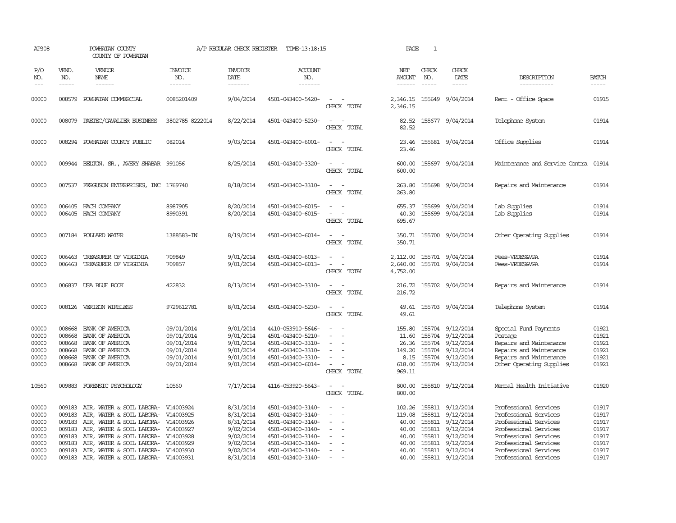| AP308                                                       |                                                                    | POWHATAN COUNTY<br>COUNTY OF POWHATAN                                                                                                                                                                                                                     |                                                                                  | A/P REGULAR CHECK REGISTER                                                              | TIME-13:18:15                                                                                                                                   |                                                                                                                             | PAGE                                                          | $\mathbf{1}$                  |                                                                                                                                          |                                                                                                                                                                             |                                                             |
|-------------------------------------------------------------|--------------------------------------------------------------------|-----------------------------------------------------------------------------------------------------------------------------------------------------------------------------------------------------------------------------------------------------------|----------------------------------------------------------------------------------|-----------------------------------------------------------------------------------------|-------------------------------------------------------------------------------------------------------------------------------------------------|-----------------------------------------------------------------------------------------------------------------------------|---------------------------------------------------------------|-------------------------------|------------------------------------------------------------------------------------------------------------------------------------------|-----------------------------------------------------------------------------------------------------------------------------------------------------------------------------|-------------------------------------------------------------|
| P/O<br>NO.<br>$---$                                         | VEND.<br>NO.                                                       | VENDOR<br>NAME                                                                                                                                                                                                                                            | <b>INVOICE</b><br>NO.<br>-------                                                 | <b>INVOICE</b><br>DATE<br>-------                                                       | <b>ACCOUNT</b><br>NO.<br>-------                                                                                                                |                                                                                                                             | NET<br><b>AMOUNT</b><br>------                                | CHECK<br>NO.<br>$\frac{1}{2}$ | CHECK<br>DATE                                                                                                                            | DESCRIPTION<br>-----------                                                                                                                                                  | <b>BATCH</b><br>-----                                       |
| 00000                                                       | 008579                                                             | POWHATAN COMMERCIAL                                                                                                                                                                                                                                       | 0085201409                                                                       | 9/04/2014                                                                               | 4501-043400-5420-                                                                                                                               | $\sim$<br>CHECK TOTAL                                                                                                       | 2,346.15<br>2,346.15                                          |                               | 155649 9/04/2014                                                                                                                         | Rent - Office Space                                                                                                                                                         | 01915                                                       |
| 00000                                                       |                                                                    | 008079 PAETEC/CAVALIER BUSINESS                                                                                                                                                                                                                           | 3802785 8222014                                                                  | 8/22/2014                                                                               | 4501-043400-5230-                                                                                                                               | CHECK TOTAL                                                                                                                 | 82.52<br>82.52                                                |                               | 155677 9/04/2014                                                                                                                         | Telephone System                                                                                                                                                            | 01914                                                       |
| 00000                                                       |                                                                    | 008294 POWHATAN COUNTY PUBLIC                                                                                                                                                                                                                             | 082014                                                                           | 9/03/2014                                                                               | 4501-043400-6001-                                                                                                                               | CHECK TOTAL                                                                                                                 | 23.46<br>23.46                                                |                               | 155681 9/04/2014                                                                                                                         | Office Supplies                                                                                                                                                             | 01914                                                       |
| 00000                                                       |                                                                    | 009944 BELTON, SR., AVERY SHABAR 991056                                                                                                                                                                                                                   |                                                                                  | 8/25/2014                                                                               | 4501-043400-3320-                                                                                                                               | $\sim$ $\sim$<br>CHECK TOTAL                                                                                                | 600.00<br>600.00                                              |                               | 155697 9/04/2014                                                                                                                         | Maintenance and Service Contra                                                                                                                                              | 01914                                                       |
| 00000                                                       |                                                                    | 007537 FERGUSON ENTERPRISES, INC 1769740                                                                                                                                                                                                                  |                                                                                  | 8/18/2014                                                                               | 4501-043400-3310-                                                                                                                               | $\sim$<br>CHECK TOTAL                                                                                                       | 263.80<br>263.80                                              |                               | 155698 9/04/2014                                                                                                                         | Repairs and Maintenance                                                                                                                                                     | 01914                                                       |
| 00000<br>00000                                              |                                                                    | 006405 HACH COMPANY<br>006405 HACH COMPANY                                                                                                                                                                                                                | 8987905<br>8990391                                                               | 8/20/2014<br>8/20/2014                                                                  | 4501-043400-6015-<br>4501-043400-6015-                                                                                                          | CHECK TOTAL                                                                                                                 | 40.30<br>695.67                                               | 155699                        | 655.37 155699 9/04/2014<br>9/04/2014                                                                                                     | Lab Supplies<br>Lab Supplies                                                                                                                                                | 01914<br>01914                                              |
| 00000                                                       |                                                                    | 007184 POLLARD WATER                                                                                                                                                                                                                                      | 1388583-IN                                                                       | 8/19/2014                                                                               | 4501-043400-6014-                                                                                                                               | CHECK TOTAL                                                                                                                 | 350.71                                                        |                               | 350.71 155700 9/04/2014                                                                                                                  | Other Operating Supplies                                                                                                                                                    | 01914                                                       |
| 00000<br>00000                                              | 006463<br>006463                                                   | TREASURER OF VIRGINIA<br>TREASURER OF VIRGINIA                                                                                                                                                                                                            | 709849<br>709857                                                                 | 9/01/2014<br>9/01/2014                                                                  | 4501-043400-6013-<br>4501-043400-6013-                                                                                                          | $\overline{\phantom{a}}$<br>CHECK TOTAL                                                                                     | 2,112.00<br>2,640.00<br>4,752.00                              |                               | 155701 9/04/2014<br>155701 9/04/2014                                                                                                     | Fees-VPDES&VPA<br>Fees-VPDES&VPA                                                                                                                                            | 01914<br>01914                                              |
| 00000                                                       |                                                                    | 006837 USA BLUE BOOK                                                                                                                                                                                                                                      | 422832                                                                           | 8/13/2014                                                                               | 4501-043400-3310-                                                                                                                               | $\frac{1}{2} \left( \frac{1}{2} \right) \left( \frac{1}{2} \right) = \frac{1}{2} \left( \frac{1}{2} \right)$<br>CHECK TOTAL | 216.72<br>216.72                                              |                               | 155702 9/04/2014                                                                                                                         | Repairs and Maintenance                                                                                                                                                     | 01914                                                       |
| 00000                                                       |                                                                    | 008126 VERIZON WIRELESS                                                                                                                                                                                                                                   | 9729612781                                                                       | 8/01/2014                                                                               | 4501-043400-5230-                                                                                                                               | $\sim$ $\sim$<br>CHECK TOTAL                                                                                                | 49.61                                                         |                               | 49.61 155703 9/04/2014                                                                                                                   | Telephone System                                                                                                                                                            | 01914                                                       |
| 00000<br>00000<br>00000<br>00000<br>00000<br>00000          | 008668<br>008668<br>008668<br>008668<br>008668                     | BANK OF AMERICA<br>BANK OF AMERICA<br>BANK OF AMERICA<br>BANK OF AMERICA<br>BANK OF AMERICA<br>008668 BANK OF AMERICA                                                                                                                                     | 09/01/2014<br>09/01/2014<br>09/01/2014<br>09/01/2014<br>09/01/2014<br>09/01/2014 | 9/01/2014<br>9/01/2014<br>9/01/2014<br>9/01/2014<br>9/01/2014<br>9/01/2014              | 4410-053910-5646-<br>4501-043400-5210-<br>4501-043400-3310-<br>4501-043400-3310-<br>4501-043400-3310-<br>4501-043400-6014-                      | $\overline{\phantom{a}}$<br>$\equiv$<br>CHECK TOTAL                                                                         | 11.60<br>26.36<br>149.20<br>618.00<br>969.11                  |                               | 155.80 155704 9/12/2014<br>155704 9/12/2014<br>155704 9/12/2014<br>155704 9/12/2014<br>8.15 155704 9/12/2014<br>155704 9/12/2014         | Special Fund Payments<br>Postage<br>Repairs and Maintenance<br>Repairs and Maintenance<br>Repairs and Maintenance<br>Other Operating Supplies                               | 01921<br>01921<br>01921<br>01921<br>01921<br>01921          |
| 10560                                                       |                                                                    | 009883 FORENSIC PSYCHOLOGY                                                                                                                                                                                                                                | 10560                                                                            | 7/17/2014                                                                               | 4116-053920-5643-                                                                                                                               | $\sim$<br>CHECK TOTAL                                                                                                       | 800.00<br>800.00                                              |                               | 155810 9/12/2014                                                                                                                         | Mental Health Initiative                                                                                                                                                    | 01920                                                       |
| 00000<br>00000<br>00000<br>00000<br>00000<br>00000<br>00000 | 009183<br>009183<br>009183<br>009183<br>009183<br>009183<br>009183 | AIR, WATER & SOIL LABORA-<br>AIR, WATER & SOIL LABORA- V14003925<br>AIR, WATER & SOIL LABORA- V14003926<br>AIR, WATER & SOIL LABORA- V14003927<br>AIR, WATER & SOIL LABORA-<br>AIR, WATER & SOIL LABORA- V14003929<br>AIR, WATER & SOIL LABORA- V14003930 | V14003924<br>V14003928                                                           | 8/31/2014<br>8/31/2014<br>8/31/2014<br>9/02/2014<br>9/02/2014<br>9/02/2014<br>9/02/2014 | 4501-043400-3140-<br>4501-043400-3140-<br>4501-043400-3140-<br>4501-043400-3140-<br>4501-043400-3140-<br>4501-043400-3140-<br>4501-043400-3140- | $\equiv$<br>$\equiv$                                                                                                        | 102.26<br>119.08<br>40.00<br>40.00<br>40.00<br>40.00<br>40.00 |                               | 155811 9/12/2014<br>155811 9/12/2014<br>155811 9/12/2014<br>155811 9/12/2014<br>155811 9/12/2014<br>155811 9/12/2014<br>155811 9/12/2014 | Professional Services<br>Professional Services<br>Professional Services<br>Professional Services<br>Professional Services<br>Professional Services<br>Professional Services | 01917<br>01917<br>01917<br>01917<br>01917<br>01917<br>01917 |
| 00000                                                       | 009183                                                             | AIR, WATER & SOIL LABORA- V14003931                                                                                                                                                                                                                       |                                                                                  | 8/31/2014                                                                               | 4501-043400-3140-                                                                                                                               |                                                                                                                             | 40.00                                                         |                               | 155811 9/12/2014                                                                                                                         | Professional Services                                                                                                                                                       | 01917                                                       |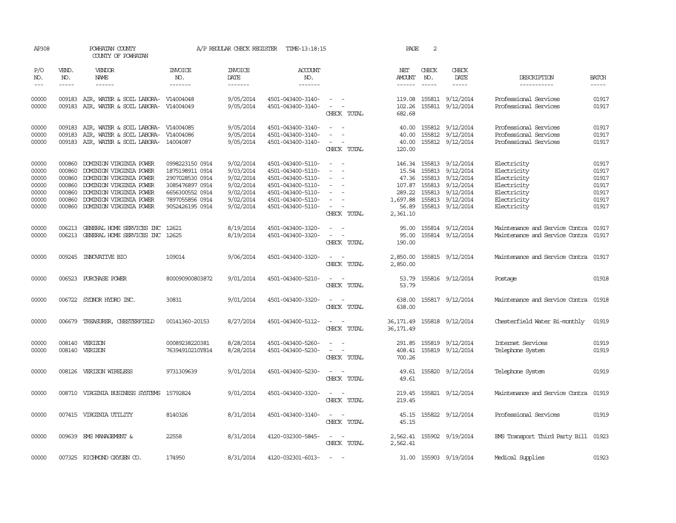| AP308               |                               | POWHATAN COUNTY<br>COUNTY OF POWHATAN                                             |                                  | A/P REGULAR CHECK REGISTER        | TIME-13:18:15                          |                                                                                | PAGE                       | 2            |                                      |                                                |                                                                                                                                                                                                                                                                                                                                                                                                                                                                         |
|---------------------|-------------------------------|-----------------------------------------------------------------------------------|----------------------------------|-----------------------------------|----------------------------------------|--------------------------------------------------------------------------------|----------------------------|--------------|--------------------------------------|------------------------------------------------|-------------------------------------------------------------------------------------------------------------------------------------------------------------------------------------------------------------------------------------------------------------------------------------------------------------------------------------------------------------------------------------------------------------------------------------------------------------------------|
| P/O<br>NO.<br>$---$ | VEND.<br>NO.<br>$\frac{1}{2}$ | VENDOR<br>NAME<br>------                                                          | <b>INVOICE</b><br>NO.<br>------- | <b>INVOICE</b><br>DATE<br>------- | ACCOUNT<br>NO.<br>-------              |                                                                                | NET<br>AMOUNT              | CHECK<br>NO. | CHECK<br>DATE<br>-----               | DESCRIPTION<br>-----------                     | <b>BATCH</b><br>$\begin{tabular}{ccccc} \multicolumn{2}{c }{\multicolumn{2}{c }{\multicolumn{2}{c }{\multicolumn{2}{c}}{\hspace{-2.2cm}}}} \multicolumn{2}{c }{\multicolumn{2}{c }{\hspace{-2.2cm}}\hline} \multicolumn{2}{c }{\hspace{-2.2cm}}\hline \multicolumn{2}{c }{\hspace{-2.2cm}}\hline \multicolumn{2}{c }{\hspace{-2.2cm}}\hline \multicolumn{2}{c }{\hspace{-2.2cm}}\hline \multicolumn{2}{c }{\hspace{-2.2cm}}\hline \multicolumn{2}{c }{\hspace{-2.2cm}}$ |
|                     |                               |                                                                                   |                                  |                                   |                                        |                                                                                |                            |              |                                      |                                                |                                                                                                                                                                                                                                                                                                                                                                                                                                                                         |
| 00000<br>00000      | 009183                        | 009183 AIR, WATER & SOIL LABORA- V14004048<br>AIR, WATER & SOIL LABORA- V14004049 |                                  | 9/05/2014<br>9/05/2014            | 4501-043400-3140-<br>4501-043400-3140- | $\omega_{\rm{max}}$ and $\omega_{\rm{max}}$<br>$\sim$<br>$\sim$<br>CHECK TOTAL | 119.08<br>102.26<br>682.68 |              | 155811 9/12/2014<br>155811 9/12/2014 | Professional Services<br>Professional Services | 01917<br>01917                                                                                                                                                                                                                                                                                                                                                                                                                                                          |
| 00000               | 009183                        | AIR, WATER & SOIL LABORA- V14004085                                               |                                  | 9/05/2014                         | 4501-043400-3140-                      | $\overline{\phantom{a}}$<br>$\sim$                                             | 40.00                      |              | 155812 9/12/2014                     | Professional Services                          | 01917                                                                                                                                                                                                                                                                                                                                                                                                                                                                   |
| 00000               | 009183                        | AIR, WATER & SOIL LABORA- V14004086                                               |                                  | 9/05/2014                         | 4501-043400-3140-                      | $\overline{\phantom{a}}$                                                       | 40.00                      |              | 155812 9/12/2014                     | Professional Services                          | 01917                                                                                                                                                                                                                                                                                                                                                                                                                                                                   |
| 00000               |                               | 009183 AIR, WATER & SOIL LABORA- 14004087                                         |                                  | 9/05/2014                         | 4501-043400-3140-                      | $\sim$<br>$\overline{\phantom{a}}$<br>CHECK TOTAL                              | 40.00<br>120.00            |              | 155812 9/12/2014                     | Professional Services                          | 01917                                                                                                                                                                                                                                                                                                                                                                                                                                                                   |
| 00000               | 000860                        | DOMINION VIRGINIA POWER                                                           | 0998223150 0914                  | 9/02/2014                         | 4501-043400-5110-                      | $\sim$<br>$\sim$                                                               |                            |              | 146.34 155813 9/12/2014              | Electricity                                    | 01917                                                                                                                                                                                                                                                                                                                                                                                                                                                                   |
| 00000               | 000860                        | DOMINION VIRGINIA POWER                                                           | 1875198911 0914                  | 9/03/2014                         | 4501-043400-5110-                      | $\overline{\phantom{a}}$<br>$\overline{\phantom{a}}$                           | 15.54                      |              | 155813 9/12/2014                     | Electricity                                    | 01917                                                                                                                                                                                                                                                                                                                                                                                                                                                                   |
| 00000               | 000860                        | DOMINION VIRGINIA POWER                                                           | 2907028530 0914                  | 9/02/2014                         | 4501-043400-5110-                      | $\overline{\phantom{a}}$                                                       | 47.36                      |              | 155813 9/12/2014                     | Electricity                                    | 01917                                                                                                                                                                                                                                                                                                                                                                                                                                                                   |
| 00000               | 000860                        | DOMINION VIRGINIA POWER                                                           | 3085476897 0914                  | 9/02/2014                         | 4501-043400-5110-                      |                                                                                |                            |              | 107.87 155813 9/12/2014              | Electricity                                    | 01917                                                                                                                                                                                                                                                                                                                                                                                                                                                                   |
| 00000               |                               | 000860 DOMINION VIRGINIA POWER                                                    | 6656300552 0914                  | 9/02/2014                         | 4501-043400-5110-                      | $\sim$<br>$\overline{\phantom{a}}$                                             | 289.22                     |              | 155813 9/12/2014                     | Electricity                                    | 01917                                                                                                                                                                                                                                                                                                                                                                                                                                                                   |
| 00000               | 000860                        | DOMINION VIRGINIA POWER                                                           | 7897055856 0914                  | 9/02/2014                         | 4501-043400-5110-                      | $\sim$                                                                         | 1,697.88                   |              | 155813 9/12/2014                     | Electricity                                    | 01917                                                                                                                                                                                                                                                                                                                                                                                                                                                                   |
| 00000               |                               | 000860 DOMINION VIRGINIA POWER                                                    | 9052426195 0914                  | 9/02/2014                         | 4501-043400-5110-                      | $ -$                                                                           | 56.89                      |              | 155813 9/12/2014                     | Electricity                                    | 01917                                                                                                                                                                                                                                                                                                                                                                                                                                                                   |
|                     |                               |                                                                                   |                                  |                                   |                                        | CHECK TOTAL                                                                    | 2,361.10                   |              |                                      |                                                |                                                                                                                                                                                                                                                                                                                                                                                                                                                                         |
| 00000               | 006213                        | GENERAL HOME SERVICES INC                                                         | 12621                            | 8/19/2014                         | 4501-043400-3320-                      |                                                                                | 95.00                      |              | 155814 9/12/2014                     | Maintenance and Service Contra                 | 01917                                                                                                                                                                                                                                                                                                                                                                                                                                                                   |
| 00000               |                               | 006213 GENERAL HOME SERVICES INC 12625                                            |                                  | 8/19/2014                         | 4501-043400-3320-                      |                                                                                | 95.00                      |              | 155814 9/12/2014                     | Maintenance and Service Contra                 | 01917                                                                                                                                                                                                                                                                                                                                                                                                                                                                   |
|                     |                               |                                                                                   |                                  |                                   |                                        | CHECK TOTAL                                                                    | 190.00                     |              |                                      |                                                |                                                                                                                                                                                                                                                                                                                                                                                                                                                                         |
| 00000               |                               | 009245 INNOVATIVE BIO                                                             | 109014                           | 9/06/2014                         | 4501-043400-3320-                      | $\overline{\phantom{a}}$<br>CHECK TOTAL                                        | 2,850.00<br>2,850.00       |              | 155815 9/12/2014                     | Maintenance and Service Contra                 | 01917                                                                                                                                                                                                                                                                                                                                                                                                                                                                   |
| 00000               |                               | 006523 PURCHASE POWER                                                             | 800090900803872                  | 9/01/2014                         | 4501-043400-5210-                      | CHECK TOTAL                                                                    | 53.79<br>53.79             |              | 155816 9/12/2014                     | Postage                                        | 01918                                                                                                                                                                                                                                                                                                                                                                                                                                                                   |
| 00000               |                               | 006722 SYDNOR HYDRO INC.                                                          | 30831                            | 9/01/2014                         | 4501-043400-3320-                      | CHECK TOTAL                                                                    | 638.00<br>638.00           |              | 155817 9/12/2014                     | Maintenance and Service Contra                 | 01918                                                                                                                                                                                                                                                                                                                                                                                                                                                                   |
| 00000               | 006679                        | TREASURER, CHESTERFIELD                                                           | 00141360-20153                   | 8/27/2014                         | 4501-043400-5112-                      | $\sim$<br>CHECK TOTAL                                                          | 36,171.49<br>36, 171.49    |              | 155818 9/12/2014                     | Chesterfield Water Bi-monthly                  | 01919                                                                                                                                                                                                                                                                                                                                                                                                                                                                   |
| 00000               |                               | 008140 VERIZON                                                                    | 00089238220381                   | 8/28/2014                         | 4501-043400-5260-                      | $\sim$<br>$\sim$                                                               | 291.85                     |              | 155819 9/12/2014                     | Internet Services                              | 01919                                                                                                                                                                                                                                                                                                                                                                                                                                                                   |
| 00000               |                               | 008140 VERIZON                                                                    | 76394910210Y814                  | 8/28/2014                         | 4501-043400-5230-                      | $\overline{\phantom{a}}$<br>$\overline{\phantom{a}}$                           | 408.41                     |              | 155819 9/12/2014                     | Telephone System                               | 01919                                                                                                                                                                                                                                                                                                                                                                                                                                                                   |
|                     |                               |                                                                                   |                                  |                                   |                                        | CHECK TOTAL                                                                    | 700.26                     |              |                                      |                                                |                                                                                                                                                                                                                                                                                                                                                                                                                                                                         |
| 00000               |                               | 008126 VERIZON WIRELESS                                                           | 9731309639                       | 9/01/2014                         | 4501-043400-5230-                      | $\overline{\phantom{a}}$<br>$\sim$<br>CHECK TOTAL                              | 49.61<br>49.61             |              | 155820 9/12/2014                     | Telephone System                               | 01919                                                                                                                                                                                                                                                                                                                                                                                                                                                                   |
| 00000               |                               | 008710 VIRGINIA BUSINESS SYSTEMS 15792824                                         |                                  | 9/01/2014                         | 4501-043400-3320-                      | $\sim$ $ \sim$<br>CHECK TOTAL                                                  | 219.45<br>219.45           |              | 155821 9/12/2014                     | Maintenance and Service Contra                 | 01919                                                                                                                                                                                                                                                                                                                                                                                                                                                                   |
| 00000               |                               | 007415 VIRGINIA UTILITY                                                           | 8140326                          | 8/31/2014                         | 4501-043400-3140-                      | $\sim$ $\sim$<br>CHECK TOTAL                                                   | 45.15                      |              | 45.15 155822 9/12/2014               | Professional Services                          | 01919                                                                                                                                                                                                                                                                                                                                                                                                                                                                   |
| 00000               |                               | 009639 EMS MANAGEMENT &                                                           | 22558                            | 8/31/2014                         | 4120-032300-5845-                      | $\sim$<br>$\sim$<br>CHECK TOTAL                                                | 2,562.41                   |              | 2,562.41 155902 9/19/2014            | EMS Transport Third Party Bill 01923           |                                                                                                                                                                                                                                                                                                                                                                                                                                                                         |
| 00000               |                               | 007325 RICHMOND OXYGEN CO.                                                        | 174950                           | 8/31/2014                         | 4120-032301-6013-                      | $\sim$                                                                         |                            |              | 31.00 155903 9/19/2014               | Medical Supplies                               | 01923                                                                                                                                                                                                                                                                                                                                                                                                                                                                   |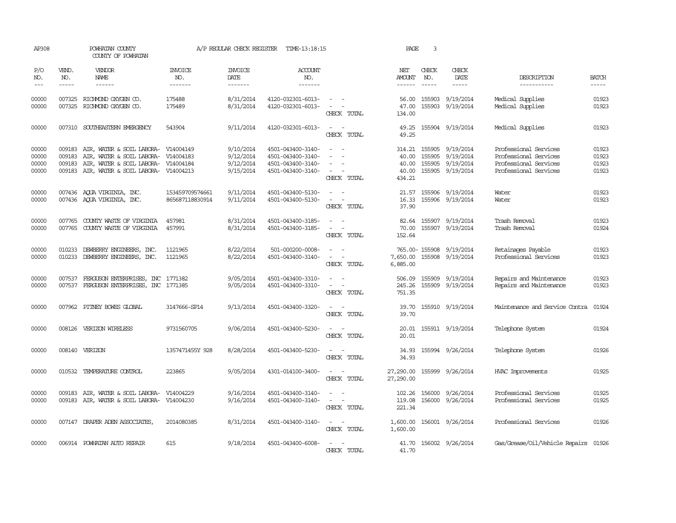| AP308                            |                            | POWHATAN COUNTY<br>COUNTY OF POWHATAN                                                                                   |                                                  | A/P REGULAR CHECK REGISTER                       | TIME-13:18:15                                                                    |                                                                                 | PAGE                                        | 3            |                                                                       |                                                                                                  |                                  |
|----------------------------------|----------------------------|-------------------------------------------------------------------------------------------------------------------------|--------------------------------------------------|--------------------------------------------------|----------------------------------------------------------------------------------|---------------------------------------------------------------------------------|---------------------------------------------|--------------|-----------------------------------------------------------------------|--------------------------------------------------------------------------------------------------|----------------------------------|
| P/O<br>NO.<br>$---$              | VEND.<br>NO.<br>-----      | <b>VENDOR</b><br>NAME<br>$- - - - - -$                                                                                  | <b>INVOICE</b><br>NO.<br>-------                 | <b>INVOICE</b><br>DATE<br>-------                | <b>ACCOUNT</b><br>NO.<br>-------                                                 |                                                                                 | NET<br>AMOUNT<br>------                     | CHECK<br>NO. | CHECK<br>DATE<br>-----                                                | DESCRIPTION<br>-----------                                                                       | <b>BATCH</b><br>-----            |
| 00000<br>00000                   |                            | 007325 RICHMOND OXYGEN CO.<br>007325 RICHMOND OXYGEN CO.                                                                | 175488<br>175489                                 | 8/31/2014<br>8/31/2014                           | 4120-032301-6013-<br>4120-032301-6013-                                           | $\sim$ $  -$<br>$\sim$ $ -$<br>CHECK TOTAL                                      | 56.00<br>47.00<br>134.00                    |              | 155903 9/19/2014<br>155903 9/19/2014                                  | Medical Supplies<br>Medical Supplies                                                             | 01923<br>01923                   |
| 00000                            |                            | 007310 SOUTHEASTERN EMERGENCY                                                                                           | 543904                                           | 9/11/2014                                        | 4120-032301-6013-                                                                | CHECK TOTAL                                                                     | 49.25<br>49.25                              |              | 155904 9/19/2014                                                      | Medical Supplies                                                                                 | 01923                            |
| 00000<br>00000<br>00000<br>00000 | 009183<br>009183<br>009183 | AIR, WATER & SOIL LABORA-<br>AIR, WATER & SOIL LABORA-<br>AIR, WATER & SOIL LABORA-<br>009183 AIR, WATER & SOIL LABORA- | V14004149<br>V14004183<br>V14004184<br>V14004213 | 9/10/2014<br>9/12/2014<br>9/12/2014<br>9/15/2014 | 4501-043400-3140-<br>4501-043400-3140-<br>4501-043400-3140-<br>4501-043400-3140- | $\overline{\phantom{a}}$<br>$\sim$<br>CHECK TOTAL                               | 314.21<br>40.00<br>40.00<br>40.00<br>434.21 | 155905       | 9/19/2014<br>155905 9/19/2014<br>155905 9/19/2014<br>155905 9/19/2014 | Professional Services<br>Professional Services<br>Professional Services<br>Professional Services | 01923<br>01923<br>01923<br>01923 |
| 00000<br>00000                   |                            | 007436 AQUA VIRGINIA, INC.<br>007436 AQUA VIRGINIA, INC.                                                                | 153459709574661<br>865687118830914               | 9/11/2014<br>9/11/2014                           | 4501-043400-5130-<br>4501-043400-5130-                                           | $\equiv$<br>$\overline{\phantom{a}}$<br>$\overline{\phantom{a}}$<br>CHECK TOTAL | 21.57<br>16.33<br>37.90                     |              | 155906 9/19/2014<br>155906 9/19/2014                                  | Water<br>Water                                                                                   | 01923<br>01923                   |
| 00000<br>00000                   |                            | 007765 COUNTY WASTE OF VIRGINIA<br>007765 COUNTY WASTE OF VIRGINIA                                                      | 457981<br>457991                                 | 8/31/2014<br>8/31/2014                           | 4501-043400-3185-<br>4501-043400-3185-                                           | $\sim$ $\sim$<br>$\sim$ 100 $\sim$<br>CHECK TOTAL                               | 70.00<br>152.64                             |              | 82.64 155907 9/19/2014<br>155907 9/19/2014                            | Trash Removal<br>Trash Removal                                                                   | 01923<br>01924                   |
| 00000<br>00000                   |                            | 010233 DEWBERRY ENGINEERS, INC.<br>010233 DEWBERRY ENGINEERS, INC.                                                      | 1121965<br>1121965                               | 8/22/2014<br>8/22/2014                           | 501-000200-0008-<br>4501-043400-3140-                                            | CHECK TOTAL                                                                     | 7,650.00<br>6,885.00                        |              | 765.00-155908 9/19/2014<br>155908 9/19/2014                           | Retainages Payable<br>Professional Services                                                      | 01923<br>01923                   |
| 00000<br>00000                   | 007537                     | FERGUSON ENTERPRISES, INC 1771382<br>007537 FERGUSON ENTERPRISES, INC 1771385                                           |                                                  | 9/05/2014<br>9/05/2014                           | 4501-043400-3310-<br>4501-043400-3310-                                           | $\sim$<br>$\sim$<br>CHECK TOTAL                                                 | 506.09<br>245.26<br>751.35                  |              | 155909 9/19/2014<br>155909 9/19/2014                                  | Repairs and Maintenance<br>Repairs and Maintenance                                               | 01923<br>01923                   |
| 00000                            |                            | 007962 PITNEY BOWES GLOBAL                                                                                              | 3147666-SP14                                     | 9/13/2014                                        | 4501-043400-3320-                                                                | $\sim$ $ \sim$<br>CHECK TOTAL                                                   | 39.70<br>39.70                              |              | 155910 9/19/2014                                                      | Maintenance and Service Contra                                                                   | 01924                            |
| 00000                            |                            | 008126 VERIZON WIRELESS                                                                                                 | 9731560705                                       | 9/06/2014                                        | 4501-043400-5230-                                                                | $\sim$ $\sim$<br>CHECK TOTAL                                                    | 20.01<br>20.01                              |              | 155911 9/19/2014                                                      | Telephone System                                                                                 | 01924                            |
| 00000                            |                            | 008140 VERIZON                                                                                                          | 1357471455Y 928                                  | 8/28/2014                                        | 4501-043400-5230-                                                                | $\sim$ $ -$<br>CHECK TOTAL                                                      | 34.93<br>34.93                              |              | 155994 9/26/2014                                                      | Telephone System                                                                                 | 01926                            |
| 00000                            |                            | 010532 TEMPERATURE CONTROL                                                                                              | 223865                                           | 9/05/2014                                        | 4301-014100-3400-                                                                | CHECK TOTAL                                                                     | 27,290.00<br>27,290.00                      |              | 155999 9/26/2014                                                      | HVAC Improvements                                                                                | 01925                            |
| 00000<br>00000                   | 009183                     | AIR, WATER & SOIL LABORA-<br>009183 AIR, WATER & SOIL LABORA-                                                           | V14004229<br>V14004230                           | 9/16/2014<br>9/16/2014                           | 4501-043400-3140-<br>4501-043400-3140-                                           | CHECK TOTAL                                                                     | 102.26<br>119.08<br>221.34                  |              | 156000 9/26/2014<br>156000 9/26/2014                                  | Professional Services<br>Professional Services                                                   | 01925<br>01925                   |
| 00000                            |                            | 007147 DRAPER ADEN ASSOCIATES                                                                                           | 2014080385                                       | 8/31/2014                                        | 4501-043400-3140-                                                                | CHECK TOTAL                                                                     | 1,600.00<br>1,600.00                        |              | 156001 9/26/2014                                                      | Professional Services                                                                            | 01926                            |
| 00000                            |                            | 006914 POWHATAN AUTO REPAIR                                                                                             | 615                                              | 9/18/2014                                        | 4501-043400-6008-                                                                | CHECK TOTAL                                                                     | 41.70<br>41.70                              |              | 156002 9/26/2014                                                      | Gas/Grease/Oil/Vehicle Repairs 01926                                                             |                                  |